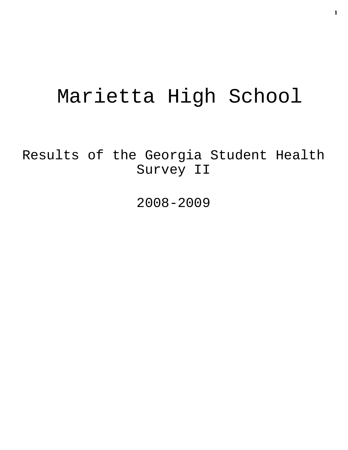# Marietta High School

Results of the Georgia Student Health Survey II

2008-2009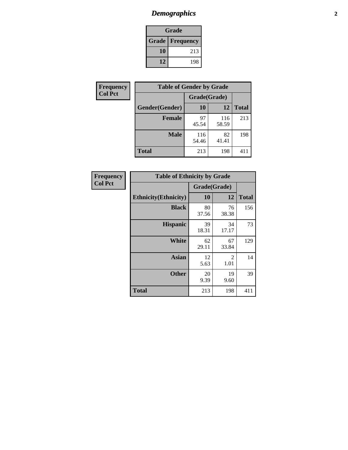# *Demographics* **2**

| Grade                    |     |  |  |  |
|--------------------------|-----|--|--|--|
| <b>Grade   Frequency</b> |     |  |  |  |
| 10                       | 213 |  |  |  |
| 12                       | 198 |  |  |  |

| <b>Frequency</b> | <b>Table of Gender by Grade</b> |              |              |              |  |
|------------------|---------------------------------|--------------|--------------|--------------|--|
| <b>Col Pct</b>   |                                 | Grade(Grade) |              |              |  |
|                  | Gender(Gender)                  | <b>10</b>    | 12           | <b>Total</b> |  |
|                  | <b>Female</b>                   | 97<br>45.54  | 116<br>58.59 | 213          |  |
|                  | <b>Male</b>                     | 116<br>54.46 | 82<br>41.41  | 198          |  |
|                  | <b>Total</b>                    | 213          | 198          | 411          |  |

| <b>Frequency</b><br>Col Pct |
|-----------------------------|

| <b>Table of Ethnicity by Grade</b> |              |             |              |  |  |  |
|------------------------------------|--------------|-------------|--------------|--|--|--|
|                                    | Grade(Grade) |             |              |  |  |  |
| <b>Ethnicity</b> (Ethnicity)       | 10           | 12          | <b>Total</b> |  |  |  |
| <b>Black</b>                       | 80<br>37.56  | 76<br>38.38 | 156          |  |  |  |
| <b>Hispanic</b>                    | 39<br>18.31  | 34<br>17.17 | 73           |  |  |  |
| White                              | 62<br>29.11  | 67<br>33.84 | 129          |  |  |  |
| <b>Asian</b>                       | 12<br>5.63   | 2<br>1.01   | 14           |  |  |  |
| <b>Other</b>                       | 20<br>9.39   | 19<br>9.60  | 39           |  |  |  |
| <b>Total</b>                       | 213          | 198         | 411          |  |  |  |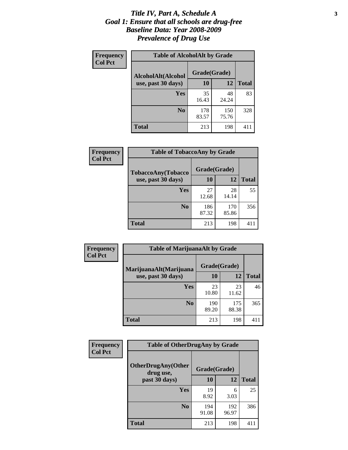#### *Title IV, Part A, Schedule A* **3** *Goal 1: Ensure that all schools are drug-free Baseline Data: Year 2008-2009 Prevalence of Drug Use*

| Frequency<br><b>Col Pct</b> | <b>Table of AlcoholAlt by Grade</b> |              |              |              |  |
|-----------------------------|-------------------------------------|--------------|--------------|--------------|--|
|                             | AlcoholAlt(Alcohol                  | Grade(Grade) |              |              |  |
|                             | use, past 30 days)                  | <b>10</b>    | 12           | <b>Total</b> |  |
|                             | <b>Yes</b>                          | 35<br>16.43  | 48<br>24.24  | 83           |  |
|                             | N <sub>0</sub>                      | 178<br>83.57 | 150<br>75.76 | 328          |  |
|                             | Total                               | 213          | 198          | 411          |  |

| <b>Frequency</b><br><b>Col Pct</b> | <b>Table of TobaccoAny by Grade</b> |              |              |              |  |  |
|------------------------------------|-------------------------------------|--------------|--------------|--------------|--|--|
|                                    | TobaccoAny(Tobacco                  | Grade(Grade) |              |              |  |  |
|                                    | use, past 30 days)                  | 10           | 12           | <b>Total</b> |  |  |
|                                    | Yes                                 | 27<br>12.68  | 28<br>14.14  | 55           |  |  |
|                                    | N <sub>0</sub>                      | 186<br>87.32 | 170<br>85.86 | 356          |  |  |
|                                    | <b>Total</b>                        | 213          | 198          | 411          |  |  |

| Frequency<br><b>Col Pct</b> | <b>Table of MarijuanaAlt by Grade</b> |              |              |              |  |  |
|-----------------------------|---------------------------------------|--------------|--------------|--------------|--|--|
|                             | MarijuanaAlt(Marijuana                | Grade(Grade) |              |              |  |  |
|                             | use, past 30 days)                    | <b>10</b>    | 12           | <b>Total</b> |  |  |
|                             | <b>Yes</b>                            | 23<br>10.80  | 23<br>11.62  | 46           |  |  |
|                             | N <sub>0</sub>                        | 190<br>89.20 | 175<br>88.38 | 365          |  |  |
|                             | <b>Total</b>                          | 213          | 198          | 411          |  |  |

| Frequency<br><b>Col Pct</b> | <b>Table of OtherDrugAny by Grade</b>                  |              |              |              |  |
|-----------------------------|--------------------------------------------------------|--------------|--------------|--------------|--|
|                             | <b>OtherDrugAny(Other</b><br>Grade(Grade)<br>drug use, |              |              |              |  |
|                             | past 30 days)                                          | 10           | 12           | <b>Total</b> |  |
|                             | Yes                                                    | 19<br>8.92   | 6<br>3.03    | 25           |  |
|                             | N <sub>0</sub>                                         | 194<br>91.08 | 192<br>96.97 | 386          |  |
|                             | <b>Total</b>                                           | 213          | 198          | 411          |  |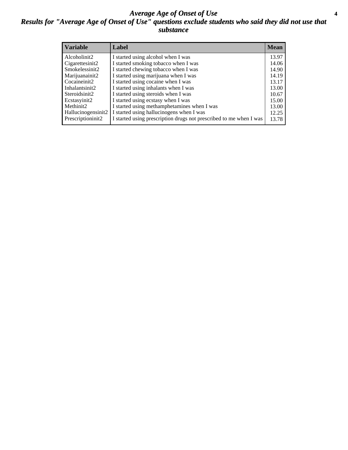#### *Average Age of Onset of Use* **4** *Results for "Average Age of Onset of Use" questions exclude students who said they did not use that substance*

| <b>Variable</b>    | Label                                                              | <b>Mean</b> |
|--------------------|--------------------------------------------------------------------|-------------|
| Alcoholinit2       | I started using alcohol when I was                                 | 13.97       |
| Cigarettesinit2    | I started smoking tobacco when I was                               | 14.06       |
| Smokelessinit2     | I started chewing tobacco when I was                               | 14.90       |
| Marijuanainit2     | I started using marijuana when I was                               | 14.19       |
| Cocaineinit2       | I started using cocaine when I was                                 | 13.17       |
| Inhalantsinit2     | I started using inhalants when I was                               | 13.00       |
| Steroidsinit2      | I started using steroids when I was                                | 10.67       |
| Ecstasyinit2       | I started using ecstasy when I was                                 | 15.00       |
| Methinit2          | I started using methamphetamines when I was                        | 13.00       |
| Hallucinogensinit2 | I started using hallucinogens when I was                           | 12.25       |
| Prescriptioninit2  | I started using prescription drugs not prescribed to me when I was | 13.78       |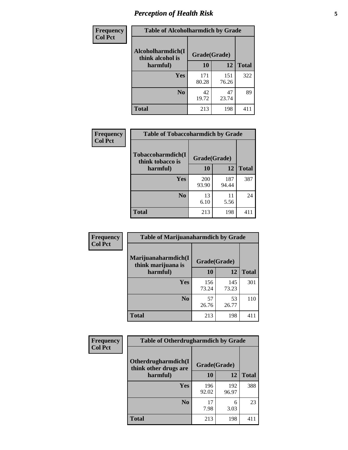### *Perception of Health Risk* **5**

| <b>Frequency</b> | <b>Table of Alcoholharmdich by Grade</b> |              |              |              |  |
|------------------|------------------------------------------|--------------|--------------|--------------|--|
| <b>Col Pct</b>   | Alcoholharmdich(I<br>think alcohol is    | Grade(Grade) |              |              |  |
|                  | harmful)                                 | 10           | 12           | <b>Total</b> |  |
|                  | <b>Yes</b>                               | 171<br>80.28 | 151<br>76.26 | 322          |  |
|                  | N <sub>0</sub>                           | 42<br>19.72  | 47<br>23.74  | 89           |  |
|                  | <b>Total</b>                             | 213          | 198          | 411          |  |

| <b>Frequency</b> | <b>Table of Tobaccoharmdich by Grade</b> |              |              |              |  |
|------------------|------------------------------------------|--------------|--------------|--------------|--|
| <b>Col Pct</b>   | Tobaccoharmdich(I<br>think tobacco is    | Grade(Grade) |              |              |  |
|                  | harmful)                                 | 10           | 12           | <b>Total</b> |  |
|                  | <b>Yes</b>                               | 200<br>93.90 | 187<br>94.44 | 387          |  |
|                  | N <sub>0</sub>                           | 13<br>6.10   | 11<br>5.56   | 24           |  |
|                  | <b>Total</b>                             | 213          | 198          | 411          |  |

| Frequency      | <b>Table of Marijuanaharmdich by Grade</b>                |              |              |              |  |  |
|----------------|-----------------------------------------------------------|--------------|--------------|--------------|--|--|
| <b>Col Pct</b> | Marijuanaharmdich(I<br>Grade(Grade)<br>think marijuana is |              |              |              |  |  |
|                | harmful)                                                  | 10           | 12           | <b>Total</b> |  |  |
|                | <b>Yes</b>                                                | 156<br>73.24 | 145<br>73.23 | 301          |  |  |
|                | N <sub>0</sub>                                            | 57<br>26.76  | 53<br>26.77  | 110          |  |  |
|                | <b>Total</b>                                              | 213          | 198          | 411          |  |  |

|                             | <b>Table of Otherdrugharmdich by Grade</b>   |              |              |              |  |  |  |
|-----------------------------|----------------------------------------------|--------------|--------------|--------------|--|--|--|
| Frequency<br><b>Col Pct</b> | Otherdrugharmdich(I<br>think other drugs are | Grade(Grade) |              |              |  |  |  |
|                             | harmful)                                     | 10           | 12           | <b>Total</b> |  |  |  |
|                             | <b>Yes</b>                                   | 196<br>92.02 | 192<br>96.97 | 388          |  |  |  |
|                             | N <sub>0</sub>                               | 17<br>7.98   | 6<br>3.03    | 23           |  |  |  |
|                             | <b>Total</b>                                 | 213          | 198          | 411          |  |  |  |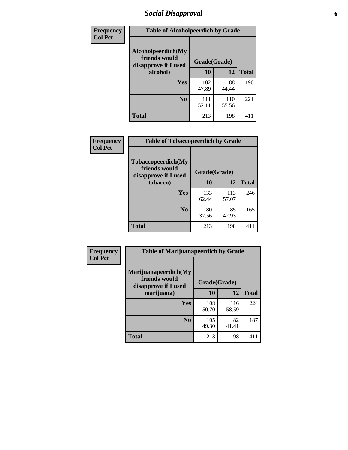### *Social Disapproval* **6**

| Frequency      |                                                             | <b>Table of Alcoholpeerdich by Grade</b> |              |              |  |  |  |
|----------------|-------------------------------------------------------------|------------------------------------------|--------------|--------------|--|--|--|
| <b>Col Pct</b> | Alcoholpeerdich(My<br>friends would<br>disapprove if I used | Grade(Grade)                             |              |              |  |  |  |
|                | alcohol)                                                    | 10                                       | 12           | <b>Total</b> |  |  |  |
|                | <b>Yes</b>                                                  | 102<br>47.89                             | 88<br>44.44  | 190          |  |  |  |
|                | N <sub>0</sub>                                              | 111<br>52.11                             | 110<br>55.56 | 221          |  |  |  |
|                | <b>Total</b>                                                | 213                                      | 198          | 411          |  |  |  |

| <b>Frequency</b> |
|------------------|
| <b>Col Pct</b>   |

|                                                                     | <b>Table of Tobaccopeerdich by Grade</b> |              |              |  |  |  |
|---------------------------------------------------------------------|------------------------------------------|--------------|--------------|--|--|--|
| <b>Tobaccopeerdich</b> (My<br>friends would<br>disapprove if I used | Grade(Grade)                             |              |              |  |  |  |
| tobacco)                                                            | 10                                       | 12           | <b>Total</b> |  |  |  |
| Yes                                                                 | 133<br>62.44                             | 113<br>57.07 | 246          |  |  |  |
| N <sub>0</sub>                                                      | 80<br>37.56                              | 85<br>42.93  | 165          |  |  |  |
| <b>Total</b>                                                        | 213                                      | 198          | 411          |  |  |  |

| <b>Frequency</b>               | <b>Table of Marijuanapeerdich by Grade</b>                    |              |              |              |  |  |  |
|--------------------------------|---------------------------------------------------------------|--------------|--------------|--------------|--|--|--|
| <b>Col Pct</b><br><b>Total</b> | Marijuanapeerdich(My<br>friends would<br>disapprove if I used | Grade(Grade) |              |              |  |  |  |
|                                | marijuana)                                                    | 10           | 12           | <b>Total</b> |  |  |  |
|                                | <b>Yes</b>                                                    | 108<br>50.70 | 116<br>58.59 | 224          |  |  |  |
|                                | N <sub>0</sub>                                                | 105<br>49.30 | 82<br>41.41  | 187          |  |  |  |
|                                |                                                               | 213          | 198          | 411          |  |  |  |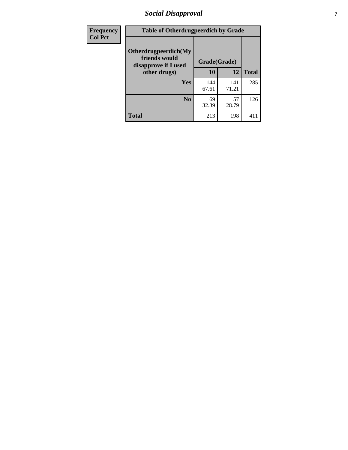### *Social Disapproval* **7**

| Frequency      | <b>Table of Otherdrugpeerdich by Grade</b>                    |              |              |              |  |  |  |  |
|----------------|---------------------------------------------------------------|--------------|--------------|--------------|--|--|--|--|
| <b>Col Pct</b> | Otherdrugpeerdich(My<br>friends would<br>disapprove if I used | Grade(Grade) |              |              |  |  |  |  |
|                | other drugs)                                                  | 10           | 12           | <b>Total</b> |  |  |  |  |
|                | Yes                                                           | 144<br>67.61 | 141<br>71.21 | 285          |  |  |  |  |
|                | N <sub>0</sub>                                                | 69<br>32.39  | 57<br>28.79  | 126          |  |  |  |  |
|                | <b>Total</b>                                                  | 213          | 198          | 41           |  |  |  |  |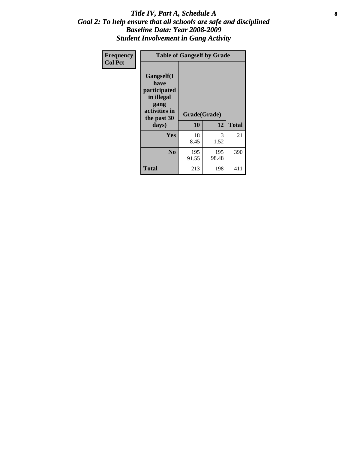#### Title IV, Part A, Schedule A **8** *Goal 2: To help ensure that all schools are safe and disciplined Baseline Data: Year 2008-2009 Student Involvement in Gang Activity*

| Frequency      |                                                                                                   | <b>Table of Gangself by Grade</b> |              |              |  |  |
|----------------|---------------------------------------------------------------------------------------------------|-----------------------------------|--------------|--------------|--|--|
| <b>Col Pct</b> | Gangself(I<br>have<br>participated<br>in illegal<br>gang<br>activities in<br>the past 30<br>days) | Grade(Grade)<br>10                | 12           | <b>Total</b> |  |  |
|                | Yes                                                                                               | 18<br>8.45                        | 3<br>1.52    | 21           |  |  |
|                | N <sub>0</sub>                                                                                    | 195<br>91.55                      | 195<br>98.48 | 390          |  |  |
|                | <b>Total</b>                                                                                      | 213                               | 198          | 411          |  |  |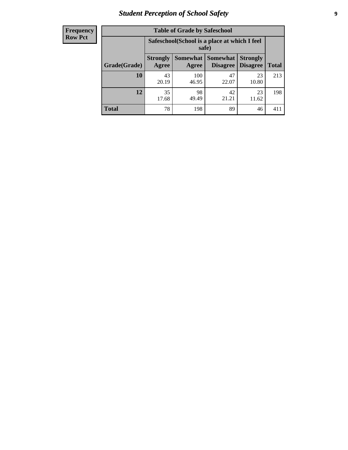### *Student Perception of School Safety* **9**

| <b>Frequency</b><br>Row Pct |
|-----------------------------|
|                             |

| <b>Table of Grade by Safeschool</b> |                          |                                                        |                                 |                                    |              |  |  |
|-------------------------------------|--------------------------|--------------------------------------------------------|---------------------------------|------------------------------------|--------------|--|--|
|                                     |                          | Safeschool (School is a place at which I feel<br>safe) |                                 |                                    |              |  |  |
| Grade(Grade)                        | <b>Strongly</b><br>Agree | Agree                                                  | Somewhat   Somewhat<br>Disagree | <b>Strongly</b><br><b>Disagree</b> | <b>Total</b> |  |  |
| 10                                  | 43<br>20.19              | 100<br>46.95                                           | 47<br>22.07                     | 23<br>10.80                        | 213          |  |  |
| 12                                  | 35<br>17.68              | 98<br>49.49                                            | 42<br>21.21                     | 23<br>11.62                        | 198          |  |  |
| <b>Total</b>                        | 78                       | 198                                                    | 89                              | 46                                 | 411          |  |  |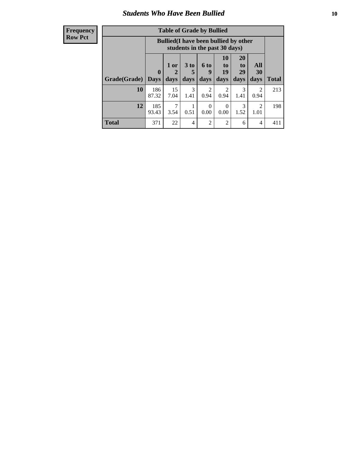### *Students Who Have Been Bullied* **10**

#### **Frequency Row Pct**

| <b>Table of Grade by Bullied</b> |                  |                                                                               |                              |                          |                        |                               |                        |              |
|----------------------------------|------------------|-------------------------------------------------------------------------------|------------------------------|--------------------------|------------------------|-------------------------------|------------------------|--------------|
|                                  |                  | <b>Bullied</b> (I have been bullied by other<br>students in the past 30 days) |                              |                          |                        |                               |                        |              |
| Grade(Grade)                     | 0<br><b>Days</b> | 1 or<br>days                                                                  | 3 <sub>to</sub><br>5<br>days | <b>6 to</b><br>9<br>days | 10<br>to<br>19<br>days | <b>20</b><br>to<br>29<br>days | All<br>30<br>days      | <b>Total</b> |
| 10                               | 186<br>87.32     | 15<br>7.04                                                                    | 3<br>1.41                    | $\overline{2}$<br>0.94   | $\mathfrak{D}$<br>0.94 | 3<br>1.41                     | $\mathfrak{D}$<br>0.94 | 213          |
| 12                               | 185<br>93.43     | 7<br>3.54                                                                     | 0.51                         | $\Omega$<br>0.00         | 0<br>0.00              | 3<br>1.52                     | 2<br>1.01              | 198          |
| <b>Total</b>                     | 371              | 22                                                                            | 4                            | $\overline{2}$           | $\overline{2}$         | 6                             | 4                      | 411          |

 $\blacksquare$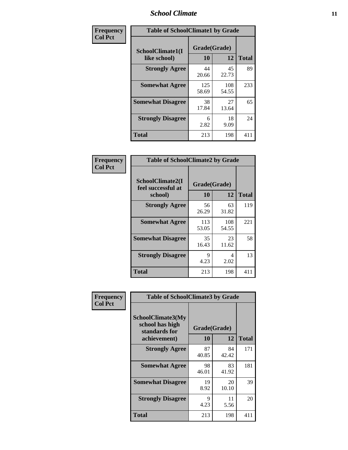### *School Climate* **11**

| Frequency      | <b>Table of SchoolClimate1 by Grade</b> |                    |              |              |  |  |
|----------------|-----------------------------------------|--------------------|--------------|--------------|--|--|
| <b>Col Pct</b> | SchoolClimate1(I<br>like school)        | Grade(Grade)<br>10 | 12           | <b>Total</b> |  |  |
|                | <b>Strongly Agree</b>                   | 44<br>20.66        | 45<br>22.73  | 89           |  |  |
|                | <b>Somewhat Agree</b>                   | 125<br>58.69       | 108<br>54.55 | 233          |  |  |
|                | <b>Somewhat Disagree</b>                | 38<br>17.84        | 27<br>13.64  | 65           |  |  |
|                | <b>Strongly Disagree</b>                | 6<br>2.82          | 18<br>9.09   | 24           |  |  |
|                | <b>Total</b>                            | 213                | 198          | 411          |  |  |

| <b>Frequency</b> |  |
|------------------|--|
| <b>Col Pct</b>   |  |

|                                                   | <b>Table of SchoolClimate2 by Grade</b> |              |              |  |  |  |
|---------------------------------------------------|-----------------------------------------|--------------|--------------|--|--|--|
| SchoolClimate2(I<br>feel successful at<br>school) | Grade(Grade)<br>10                      | 12           | <b>Total</b> |  |  |  |
| <b>Strongly Agree</b>                             | 56<br>26.29                             | 63<br>31.82  | 119          |  |  |  |
| <b>Somewhat Agree</b>                             | 113<br>53.05                            | 108<br>54.55 | 221          |  |  |  |
| <b>Somewhat Disagree</b>                          | 35<br>16.43                             | 23<br>11.62  | 58           |  |  |  |
| <b>Strongly Disagree</b>                          | 9<br>4.23                               | 4<br>2.02    | 13           |  |  |  |
| <b>Total</b>                                      | 213                                     | 198          | 411          |  |  |  |

| Frequency      | <b>Table of SchoolClimate3 by Grade</b>                      |             |              |              |  |
|----------------|--------------------------------------------------------------|-------------|--------------|--------------|--|
| <b>Col Pct</b> | <b>SchoolClimate3(My</b><br>school has high<br>standards for |             | Grade(Grade) |              |  |
|                | achievement)                                                 | <b>10</b>   | 12           | <b>Total</b> |  |
|                | <b>Strongly Agree</b>                                        | 87<br>40.85 | 84<br>42.42  | 171          |  |
|                | <b>Somewhat Agree</b>                                        | 98<br>46.01 | 83<br>41.92  | 181          |  |
|                | <b>Somewhat Disagree</b>                                     | 19<br>8.92  | 20<br>10.10  | 39           |  |
|                | <b>Strongly Disagree</b>                                     | 9<br>4.23   | 11<br>5.56   | 20           |  |
|                | Total                                                        | 213         | 198          | 411          |  |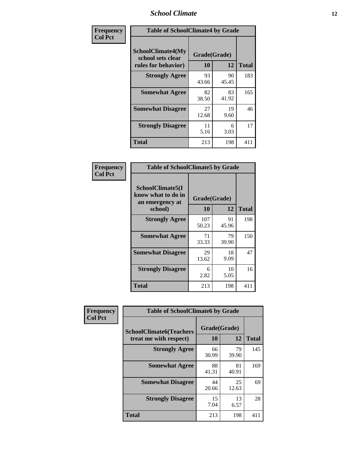### *School Climate* **12**

| Frequency      | <b>Table of SchoolClimate4 by Grade</b>                              |                    |             |              |
|----------------|----------------------------------------------------------------------|--------------------|-------------|--------------|
| <b>Col Pct</b> | <b>SchoolClimate4(My</b><br>school sets clear<br>rules for behavior) | Grade(Grade)<br>10 | 12          | <b>Total</b> |
|                | <b>Strongly Agree</b>                                                | 93<br>43.66        | 90<br>45.45 | 183          |
|                | <b>Somewhat Agree</b>                                                | 82<br>38.50        | 83<br>41.92 | 165          |
|                | <b>Somewhat Disagree</b>                                             | 27<br>12.68        | 19<br>9.60  | 46           |
|                | <b>Strongly Disagree</b>                                             | 11<br>5.16         | 6<br>3.03   | 17           |
|                | <b>Total</b>                                                         | 213                | 198         | 411          |

| <b>Table of SchoolClimate5 by Grade</b>                   |              |             |              |  |  |
|-----------------------------------------------------------|--------------|-------------|--------------|--|--|
| SchoolClimate5(I<br>know what to do in<br>an emergency at | Grade(Grade) |             |              |  |  |
| school)                                                   | 10           | 12          | <b>Total</b> |  |  |
| <b>Strongly Agree</b>                                     | 107<br>50.23 | 91<br>45.96 | 198          |  |  |
| <b>Somewhat Agree</b>                                     | 71<br>33.33  | 79<br>39.90 | 150          |  |  |
| <b>Somewhat Disagree</b>                                  | 29<br>13.62  | 18<br>9.09  | 47           |  |  |
| <b>Strongly Disagree</b>                                  | 6<br>2.82    | 10<br>5.05  | 16           |  |  |
| Total                                                     | 213          | 198         | 411          |  |  |

| <b>Frequency</b> | <b>Table of SchoolClimate6 by Grade</b>                  |                    |             |              |
|------------------|----------------------------------------------------------|--------------------|-------------|--------------|
| <b>Col Pct</b>   | <b>SchoolClimate6(Teachers</b><br>treat me with respect) | Grade(Grade)<br>10 | 12          | <b>Total</b> |
|                  | <b>Strongly Agree</b>                                    | 66<br>30.99        | 79<br>39.90 | 145          |
|                  | <b>Somewhat Agree</b>                                    | 88<br>41.31        | 81<br>40.91 | 169          |
|                  | <b>Somewhat Disagree</b>                                 | 44<br>20.66        | 25<br>12.63 | 69           |
|                  | <b>Strongly Disagree</b>                                 | 15<br>7.04         | 13<br>6.57  | 28           |
|                  | <b>Total</b>                                             | 213                | 198         | 411          |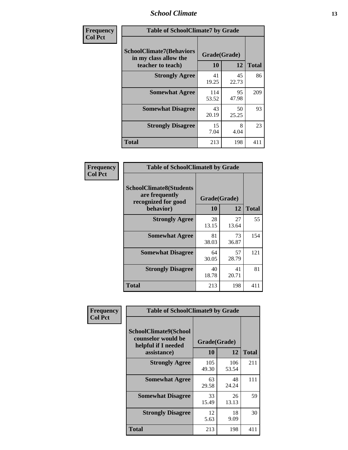### *School Climate* **13**

| Frequency      | <b>Table of SchoolClimate7 by Grade</b>                                       |                           |             |              |
|----------------|-------------------------------------------------------------------------------|---------------------------|-------------|--------------|
| <b>Col Pct</b> | <b>SchoolClimate7(Behaviors</b><br>in my class allow the<br>teacher to teach) | Grade(Grade)<br><b>10</b> | 12          | <b>Total</b> |
|                | <b>Strongly Agree</b>                                                         | 41<br>19.25               | 45<br>22.73 | 86           |
|                | <b>Somewhat Agree</b>                                                         | 114<br>53.52              | 95<br>47.98 | 209          |
|                | <b>Somewhat Disagree</b>                                                      | 43<br>20.19               | 50<br>25.25 | 93           |
|                | <b>Strongly Disagree</b>                                                      | 15<br>7.04                | 8<br>4.04   | 23           |
|                | <b>Total</b>                                                                  | 213                       | 198         | 411          |

| Frequency      | <b>Table of SchoolClimate8 by Grade</b>                                              |                    |             |              |
|----------------|--------------------------------------------------------------------------------------|--------------------|-------------|--------------|
| <b>Col Pct</b> | <b>SchoolClimate8(Students</b><br>are frequently<br>recognized for good<br>behavior) | Grade(Grade)<br>10 | 12          | <b>Total</b> |
|                | <b>Strongly Agree</b>                                                                | 28<br>13.15        | 27<br>13.64 | 55           |
|                | <b>Somewhat Agree</b>                                                                | 81<br>38.03        | 73<br>36.87 | 154          |
|                | <b>Somewhat Disagree</b>                                                             | 64<br>30.05        | 57<br>28.79 | 121          |
|                | <b>Strongly Disagree</b>                                                             | 40<br>18.78        | 41<br>20.71 | 81           |
|                | <b>Total</b>                                                                         | 213                | 198         | 411          |

| Frequency      | <b>Table of SchoolClimate9 by Grade</b>                                           |                    |              |              |
|----------------|-----------------------------------------------------------------------------------|--------------------|--------------|--------------|
| <b>Col Pct</b> | SchoolClimate9(School<br>counselor would be<br>helpful if I needed<br>assistance) | Grade(Grade)<br>10 | 12           | <b>Total</b> |
|                | <b>Strongly Agree</b>                                                             | 105<br>49.30       | 106<br>53.54 | 211          |
|                | <b>Somewhat Agree</b>                                                             | 63<br>29.58        | 48<br>24.24  | 111          |
|                | <b>Somewhat Disagree</b>                                                          | 33<br>15.49        | 26<br>13.13  | 59           |
|                | <b>Strongly Disagree</b>                                                          | 12<br>5.63         | 18<br>9.09   | 30           |
|                | Total                                                                             | 213                | 198          | 411          |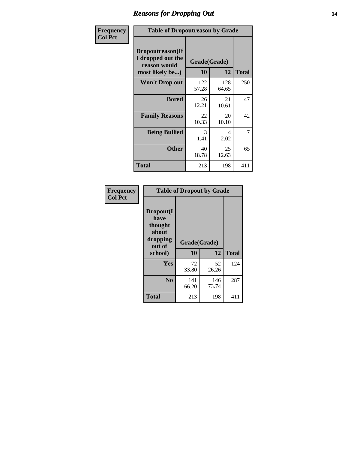### *Reasons for Dropping Out* **14**

| Frequency      | <b>Table of Dropoutreason by Grade</b>                                   |                    |              |              |
|----------------|--------------------------------------------------------------------------|--------------------|--------------|--------------|
| <b>Col Pct</b> | Dropoutreason(If<br>I dropped out the<br>reason would<br>most likely be) | Grade(Grade)<br>10 | 12           | <b>Total</b> |
|                | Won't Drop out                                                           | 122<br>57.28       | 128<br>64.65 | 250          |
|                | <b>Bored</b>                                                             | 26<br>12.21        | 21<br>10.61  | 47           |
|                | <b>Family Reasons</b>                                                    | 22<br>10.33        | 20<br>10.10  | 42           |
|                | <b>Being Bullied</b>                                                     | 3<br>1.41          | 4<br>2.02    | 7            |
|                | <b>Other</b>                                                             | 40<br>18.78        | 25<br>12.63  | 65           |
|                | <b>Total</b>                                                             | 213                | 198          | 411          |

| Frequency      | <b>Table of Dropout by Grade</b>                            |              |              |              |  |
|----------------|-------------------------------------------------------------|--------------|--------------|--------------|--|
| <b>Col Pct</b> | Dropout(I<br>have<br>thought<br>about<br>dropping<br>out of | Grade(Grade) |              |              |  |
|                | school)                                                     | 10           | 12           | <b>Total</b> |  |
|                | Yes                                                         | 72<br>33.80  | 52<br>26.26  | 124          |  |
|                |                                                             |              |              |              |  |
|                | N <sub>0</sub>                                              | 141<br>66.20 | 146<br>73.74 | 287          |  |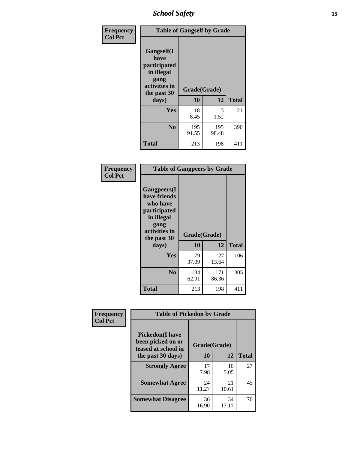*School Safety* **15**

| Frequency      | <b>Table of Gangself by Grade</b>                                                                 |                    |              |              |
|----------------|---------------------------------------------------------------------------------------------------|--------------------|--------------|--------------|
| <b>Col Pct</b> | Gangself(I<br>have<br>participated<br>in illegal<br>gang<br>activities in<br>the past 30<br>days) | Grade(Grade)<br>10 | 12           | <b>Total</b> |
|                | Yes                                                                                               | 18<br>8.45         | 3<br>1.52    | 21           |
|                | N <sub>0</sub>                                                                                    | 195<br>91.55       | 195<br>98.48 | 390          |
|                | <b>Total</b>                                                                                      | 213                | 198          | 411          |

| Frequency<br><b>Col Pct</b> | <b>Table of Gangpeers by Grade</b>                                                                                     |                    |              |              |
|-----------------------------|------------------------------------------------------------------------------------------------------------------------|--------------------|--------------|--------------|
|                             | Gangpeers(I<br>have friends<br>who have<br>participated<br>in illegal<br>gang<br>activities in<br>the past 30<br>days) | Grade(Grade)<br>10 | 12           | <b>Total</b> |
|                             | <b>Yes</b>                                                                                                             | 79<br>37.09        | 27<br>13.64  | 106          |
|                             | N <sub>0</sub>                                                                                                         | 134<br>62.91       | 171<br>86.36 | 305          |
|                             | <b>Total</b>                                                                                                           | 213                | 198          | 411          |

| Frequency      | <b>Table of Pickedon by Grade</b>                                  |              |             |              |  |  |  |  |  |
|----------------|--------------------------------------------------------------------|--------------|-------------|--------------|--|--|--|--|--|
| <b>Col Pct</b> | <b>Pickedon(I have</b><br>been picked on or<br>teased at school in | Grade(Grade) |             |              |  |  |  |  |  |
|                | the past 30 days)                                                  | 10           | 12          | <b>Total</b> |  |  |  |  |  |
|                | <b>Strongly Agree</b>                                              | 17<br>7.98   | 10<br>5.05  | 27           |  |  |  |  |  |
|                | <b>Somewhat Agree</b>                                              | 24<br>11.27  | 21<br>10.61 | 45           |  |  |  |  |  |
|                | <b>Somewhat Disagree</b>                                           | 36<br>16.90  | 34<br>17.17 | 70           |  |  |  |  |  |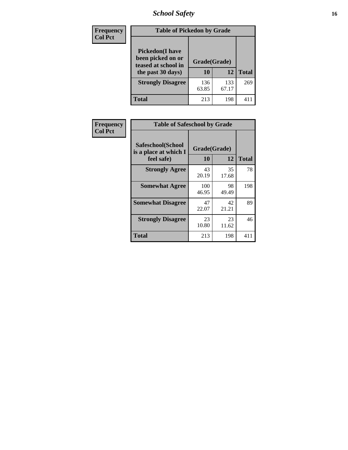### *School Safety* **16**

| <b>Frequency</b> | <b>Table of Pickedon by Grade</b>                                                        |                    |              |              |
|------------------|------------------------------------------------------------------------------------------|--------------------|--------------|--------------|
| <b>Col Pct</b>   | <b>Pickedon</b> (I have<br>been picked on or<br>teased at school in<br>the past 30 days) | Grade(Grade)<br>10 | 12           | <b>Total</b> |
|                  | <b>Strongly Disagree</b>                                                                 | 136<br>63.85       | 133<br>67.17 | 269          |
|                  | Total                                                                                    | 213                | 198          | 41           |

| Frequency      | <b>Table of Safeschool by Grade</b>                      |                    |             |              |
|----------------|----------------------------------------------------------|--------------------|-------------|--------------|
| <b>Col Pct</b> | Safeschool(School<br>is a place at which I<br>feel safe) | Grade(Grade)<br>10 | 12          | <b>Total</b> |
|                | <b>Strongly Agree</b>                                    | 43<br>20.19        | 35<br>17.68 | 78           |
|                | <b>Somewhat Agree</b>                                    | 100<br>46.95       | 98<br>49.49 | 198          |
|                | <b>Somewhat Disagree</b>                                 | 47<br>22.07        | 42<br>21.21 | 89           |
|                | <b>Strongly Disagree</b>                                 | 23<br>10.80        | 23<br>11.62 | 46           |
|                | <b>Total</b>                                             | 213                | 198         | 411          |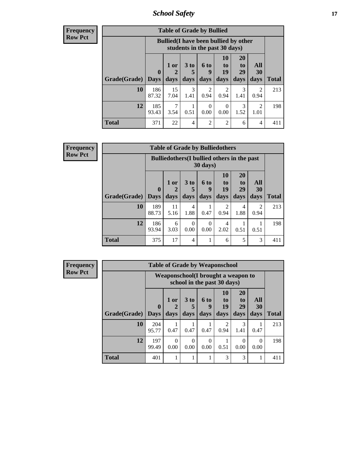*School Safety* **17**

| Frequency |  |
|-----------|--|
| Row Pct   |  |

| <b>Table of Grade by Bullied</b> |                  |                                                                                                                                              |           |                |                                     |           |                        |     |  |  |
|----------------------------------|------------------|----------------------------------------------------------------------------------------------------------------------------------------------|-----------|----------------|-------------------------------------|-----------|------------------------|-----|--|--|
|                                  |                  | <b>Bullied</b> (I have been bullied by other<br>students in the past 30 days)                                                                |           |                |                                     |           |                        |     |  |  |
| Grade(Grade)   Days              | $\boldsymbol{0}$ | 20<br>10<br><b>All</b><br>3 to<br>6 to<br>$1$ or $ $<br>to<br>to<br>19<br>29<br>30<br>9<br>5<br>days<br>days<br>days<br>days<br>days<br>days |           |                |                                     |           |                        |     |  |  |
| 10                               | 186<br>87.32     | 15<br>7.04                                                                                                                                   | 3<br>1.41 | 2<br>0.94      | $\mathcal{D}_{\mathcal{L}}$<br>0.94 | 3<br>1.41 | $\mathfrak{D}$<br>0.94 | 213 |  |  |
| 12                               | 185<br>93.43     | 3.54                                                                                                                                         | 0.51      | 0<br>0.00      | 0<br>0.00                           | 3<br>1.52 | $\mathfrak{D}$<br>1.01 | 198 |  |  |
| <b>Total</b>                     | 371              | 22                                                                                                                                           | 4         | $\overline{c}$ | $\overline{2}$                      | 6         | 4                      | 411 |  |  |

| <b>Frequency</b><br>Row Pct |
|-----------------------------|

÷ ×

| <b>Table of Grade by Bulliedothers</b> |                             |                                                                         |                              |                   |                               |                               |                   |              |  |  |
|----------------------------------------|-----------------------------|-------------------------------------------------------------------------|------------------------------|-------------------|-------------------------------|-------------------------------|-------------------|--------------|--|--|
|                                        |                             | <b>Bulliedothers</b> (I bullied others in the past<br>$30 \text{ days}$ |                              |                   |                               |                               |                   |              |  |  |
| Grade(Grade)                           | $\mathbf{0}$<br><b>Days</b> | 1 or<br>2<br>days                                                       | 3 <sub>to</sub><br>5<br>days | 6 to<br>q<br>days | <b>10</b><br>to<br>19<br>days | <b>20</b><br>to<br>29<br>days | All<br>30<br>days | <b>Total</b> |  |  |
| <b>10</b>                              | 189<br>88.73                | 11<br>5.16                                                              | 4<br>1.88                    | 0.47              | $\mathfrak{D}$<br>0.94        | 4<br>1.88                     | 2<br>0.94         | 213          |  |  |
| 12                                     | 186<br>93.94                | 6<br>3.03                                                               | $\Omega$<br>0.00             | 0<br>0.00         | 4<br>2.02                     | 0.51                          | 0.51              | 198          |  |  |
| <b>Total</b>                           | 375                         | 17                                                                      | 4                            |                   | 6                             | 5                             | 3                 | 411          |  |  |

| Frequency      | <b>Table of Grade by Weaponschool</b> |              |                  |                                                                   |                  |                        |                       |                  |              |  |
|----------------|---------------------------------------|--------------|------------------|-------------------------------------------------------------------|------------------|------------------------|-----------------------|------------------|--------------|--|
| <b>Row Pct</b> |                                       |              |                  | Weaponschool(I brought a weapon to<br>school in the past 30 days) |                  |                        |                       |                  |              |  |
|                |                                       | $\mathbf{0}$ | $1$ or<br>2      | 3 <sub>to</sub><br>5                                              | <b>6 to</b><br>9 | 10<br>to<br>19         | <b>20</b><br>to<br>29 | <b>All</b><br>30 |              |  |
|                | <b>Grade</b> (Grade) Days             |              | days             | days                                                              | days             | days                   | days                  | days             | <b>Total</b> |  |
|                | 10                                    | 204<br>95.77 | 0.47             | 0.47                                                              | 0.47             | $\mathfrak{D}$<br>0.94 | 3<br>1.41             | 0.47             | 213          |  |
|                | 12                                    | 197<br>99.49 | $\Omega$<br>0.00 | $\Omega$<br>0.00                                                  | $\Omega$<br>0.00 | 0.51                   | 0<br>0.00             | $\Omega$<br>0.00 | 198          |  |
|                | <b>Total</b>                          | 401          |                  |                                                                   |                  | 3                      | 3                     | 1                | 411          |  |

h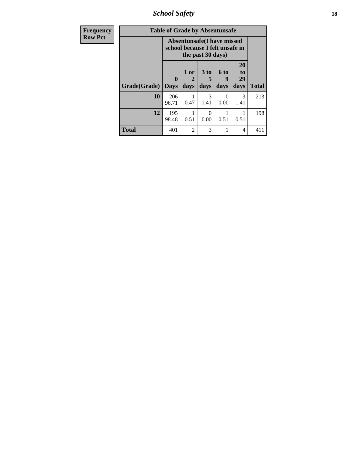*School Safety* **18**

| <b>Frequency</b> | <b>Table of Grade by Absentunsafe</b> |                         |                                                                      |                   |                   |                        |              |  |  |  |
|------------------|---------------------------------------|-------------------------|----------------------------------------------------------------------|-------------------|-------------------|------------------------|--------------|--|--|--|
| <b>Row Pct</b>   |                                       |                         | <b>Absentunsafe(I have missed</b><br>school because I felt unsafe in | the past 30 days) |                   |                        |              |  |  |  |
|                  | Grade(Grade)                          | $\bf{0}$<br><b>Days</b> | 1 or<br>2<br>days                                                    | 3 to<br>5<br>days | 6 to<br>9<br>days | 20<br>to<br>29<br>days | <b>Total</b> |  |  |  |
|                  | 10                                    | 206<br>96.71            | 0.47                                                                 | 3<br>1.41         | 0.00              | 3<br>1.41              | 213          |  |  |  |
|                  | 12                                    | 195<br>98.48            | 0.51                                                                 | 0<br>0.00         | 0.51              | 0.51                   | 198          |  |  |  |
|                  | <b>Total</b>                          | 401                     | $\overline{2}$                                                       | 3                 | 1                 | 4                      | 411          |  |  |  |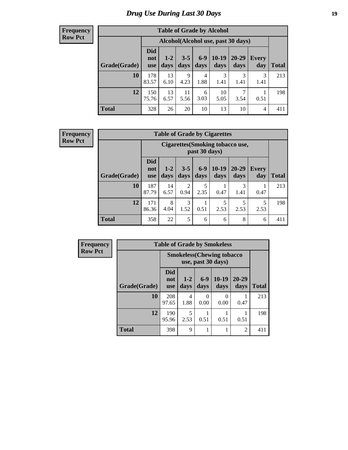### *Drug Use During Last 30 Days* **19**

#### **Frequency Row Pct**

| <b>Table of Grade by Alcohol</b> |                                 |                                     |                 |               |                 |               |                     |              |  |  |
|----------------------------------|---------------------------------|-------------------------------------|-----------------|---------------|-----------------|---------------|---------------------|--------------|--|--|
|                                  |                                 | Alcohol (Alcohol use, past 30 days) |                 |               |                 |               |                     |              |  |  |
| Grade(Grade)                     | <b>Did</b><br>not<br><b>use</b> | $1 - 2$<br>days                     | $3 - 5$<br>days | $6-9$<br>days | $10-19$<br>days | 20-29<br>days | <b>Every</b><br>day | <b>Total</b> |  |  |
| 10                               | 178<br>83.57                    | 13<br>6.10                          | 9<br>4.23       | 4<br>1.88     | 3<br>1.41       | 3<br>1.41     | 3<br>1.41           | 213          |  |  |
| 12                               | 150<br>75.76                    | 13<br>6.57                          | 11<br>5.56      | 6<br>3.03     | 10<br>5.05      | 7<br>3.54     | 0.51                | 198          |  |  |
| <b>Total</b>                     | 328                             | 26                                  | 20              | 10            | 13              | 10            | 4                   | 411          |  |  |

#### **Frequency Row Pct**

| <b>Table of Grade by Cigarettes</b> |                                 |                                                   |                 |               |                 |                   |                     |       |  |  |
|-------------------------------------|---------------------------------|---------------------------------------------------|-----------------|---------------|-----------------|-------------------|---------------------|-------|--|--|
|                                     |                                 | Cigarettes (Smoking tobacco use,<br>past 30 days) |                 |               |                 |                   |                     |       |  |  |
| Grade(Grade)                        | <b>Did</b><br>not<br><b>use</b> | $1-2$<br>days                                     | $3 - 5$<br>days | $6-9$<br>days | $10-19$<br>days | $20 - 29$<br>days | <b>Every</b><br>day | Total |  |  |
| 10                                  | 187<br>87.79                    | 14<br>6.57                                        | 2<br>0.94       | 5<br>2.35     | 0.47            | 3<br>1.41         | 0.47                | 213   |  |  |
| 12                                  | 171<br>86.36                    | 8<br>4.04                                         | 3<br>1.52       | 0.51          | 5<br>2.53       | 5<br>2.53         | 5<br>2.53           | 198   |  |  |
| <b>Total</b>                        | 358                             | 22                                                | 5               | 6             | 6               | 8                 | 6                   | 411   |  |  |

| <b>Frequency</b> | <b>Table of Grade by Smokeless</b> |                          |                                   |                  |                  |                   |              |  |
|------------------|------------------------------------|--------------------------|-----------------------------------|------------------|------------------|-------------------|--------------|--|
| <b>Row Pct</b>   |                                    |                          | <b>Smokeless</b> (Chewing tobacco |                  |                  |                   |              |  |
|                  | Grade(Grade)                       | Did<br>not<br><b>use</b> | $1 - 2$<br>days                   | $6-9$<br>days    | $10-19$<br>days  | $20 - 29$<br>days | <b>Total</b> |  |
|                  | 10                                 | 208<br>97.65             | 4<br>1.88                         | $\Omega$<br>0.00 | $\Omega$<br>0.00 | 0.47              | 213          |  |
|                  | 12                                 | 190<br>95.96             | 5<br>2.53                         | 0.51             | 0.51             | 0.51              | 198          |  |
|                  | <b>Total</b>                       | 398                      | 9                                 |                  |                  | $\overline{2}$    | 411          |  |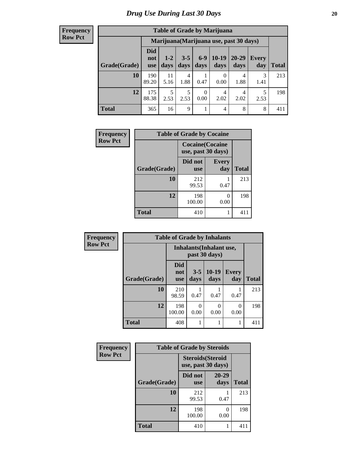#### **Frequency Row Pct**

| <b>Table of Grade by Marijuana</b> |                          |                                         |                 |               |                  |               |              |       |
|------------------------------------|--------------------------|-----------------------------------------|-----------------|---------------|------------------|---------------|--------------|-------|
|                                    |                          | Marijuana (Marijuana use, past 30 days) |                 |               |                  |               |              |       |
| Grade(Grade)                       | Did<br>not<br><b>use</b> | $1 - 2$<br>days                         | $3 - 5$<br>days | $6-9$<br>days | $10-19$<br>days  | 20-29<br>days | Every<br>day | Total |
| 10                                 | 190<br>89.20             | 11<br>5.16                              | 4<br>1.88       | 0.47          | $\Omega$<br>0.00 | 4<br>1.88     | 3<br>1.41    | 213   |
| 12                                 | 175<br>88.38             | 5<br>2.53                               | 5<br>2.53       | 0<br>0.00     | 4<br>2.02        | 4<br>2.02     | 5<br>2.53    | 198   |
| <b>Total</b>                       | 365                      | 16                                      | 9               |               | 4                | 8             | 8            | 411   |

| Frequency      | <b>Table of Grade by Cocaine</b> |                                               |                     |              |  |  |
|----------------|----------------------------------|-----------------------------------------------|---------------------|--------------|--|--|
| <b>Row Pct</b> |                                  | <b>Cocaine</b> (Cocaine<br>use, past 30 days) |                     |              |  |  |
|                | Grade(Grade)                     | Did not<br><b>use</b>                         | <b>Every</b><br>day | <b>Total</b> |  |  |
|                | 10                               | 212<br>99.53                                  | 0.47                | 213          |  |  |
|                | 12                               | 198<br>100.00                                 | 0<br>0.00           | 198          |  |  |
|                | <b>Total</b>                     | 410                                           |                     | 411          |  |  |

| Frequency      | <b>Table of Grade by Inhalants</b> |                                                  |                 |                 |                     |              |  |  |
|----------------|------------------------------------|--------------------------------------------------|-----------------|-----------------|---------------------|--------------|--|--|
| <b>Row Pct</b> |                                    | <b>Inhalants</b> (Inhalant use,<br>past 30 days) |                 |                 |                     |              |  |  |
|                | Grade(Grade)                       | <b>Did</b><br>not<br><b>use</b>                  | $3 - 5$<br>days | $10-19$<br>days | <b>Every</b><br>day | <b>Total</b> |  |  |
|                | 10                                 | 210<br>98.59                                     | 0.47            | 0.47            | 0.47                | 213          |  |  |
|                | 12                                 | 198<br>100.00                                    | 0.00            | ∩<br>0.00       | $\Omega$<br>0.00    | 198          |  |  |
|                | <b>Total</b>                       | 408                                              | 1               |                 |                     | 411          |  |  |

| Frequency      |              | <b>Table of Grade by Steroids</b>              |               |              |
|----------------|--------------|------------------------------------------------|---------------|--------------|
| <b>Row Pct</b> |              | <b>Steroids</b> (Steroid<br>use, past 30 days) |               |              |
|                | Grade(Grade) | Did not<br><b>use</b>                          | 20-29<br>days | <b>Total</b> |
|                | 10           | 212<br>99.53                                   | 0.47          | 213          |
|                | 12           | 198<br>100.00                                  | 0.00          | 198          |
|                | <b>Total</b> | 410                                            |               | 411          |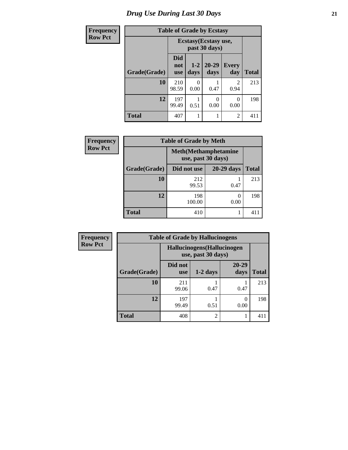### *Drug Use During Last 30 Days* **21**

| <b>Frequency</b> | <b>Table of Grade by Ecstasy</b> |                                        |                 |                   |                          |              |
|------------------|----------------------------------|----------------------------------------|-----------------|-------------------|--------------------------|--------------|
| <b>Row Pct</b>   |                                  | Ecstasy (Ecstasy use,<br>past 30 days) |                 |                   |                          |              |
|                  | Grade(Grade)                     | <b>Did</b><br>not<br>use               | $1 - 2$<br>days | $20 - 29$<br>days | Every<br>day             | <b>Total</b> |
|                  | 10                               | 210<br>98.59                           | $\cup$<br>0.00  | 0.47              | $\overline{2}$<br>0.94   | 213          |
|                  | 12                               | 197<br>99.49                           | 0.51            | 0<br>0.00         | $\left( \right)$<br>0.00 | 198          |
|                  | <b>Total</b>                     | 407                                    |                 |                   | $\overline{2}$           | 411          |

| Frequency      | <b>Table of Grade by Meth</b> |                                                    |                           |              |  |  |  |
|----------------|-------------------------------|----------------------------------------------------|---------------------------|--------------|--|--|--|
| <b>Row Pct</b> |                               | <b>Meth</b> (Methamphetamine<br>use, past 30 days) |                           |              |  |  |  |
|                | Grade(Grade)                  | Did not use                                        | 20-29 days                | <b>Total</b> |  |  |  |
|                | 10                            | 212<br>99.53                                       | 0.47                      | 213          |  |  |  |
|                | 12                            | 198<br>100.00                                      | $\mathbf{\Omega}$<br>0.00 | 198          |  |  |  |
|                | <b>Total</b>                  | 410                                                |                           | 411          |  |  |  |

| Frequency      | <b>Table of Grade by Hallucinogens</b> |                                                   |                |                  |       |  |
|----------------|----------------------------------------|---------------------------------------------------|----------------|------------------|-------|--|
| <b>Row Pct</b> |                                        | Hallucinogens (Hallucinogen<br>use, past 30 days) |                |                  |       |  |
|                | Grade(Grade)                           | Did not<br><b>use</b>                             | $1-2$ days     | 20-29<br>days    | Total |  |
|                | 10                                     | 211<br>99.06                                      | 0.47           | 0.47             | 213   |  |
|                | 12                                     | 197<br>99.49                                      | 0.51           | $\theta$<br>0.00 | 198   |  |
|                | <b>Total</b>                           | 408                                               | $\overline{2}$ |                  | 411   |  |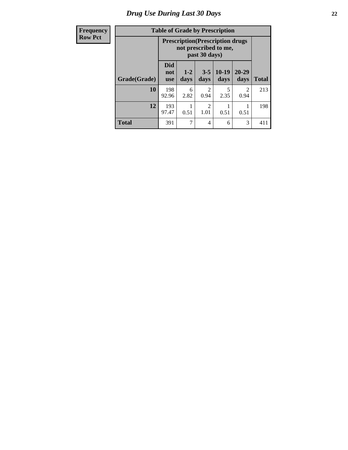### *Drug Use During Last 30 Days* **22**

| Frequency      |  |
|----------------|--|
| <b>Row Pct</b> |  |

# **Table of Grade by Prescription**

| спсу            |              | Lavie of <i>Avaue</i> by Liescription |                                                                                    |                        |                 |                        |              |  |  |
|-----------------|--------------|---------------------------------------|------------------------------------------------------------------------------------|------------------------|-----------------|------------------------|--------------|--|--|
| <sup>o</sup> ct |              |                                       | <b>Prescription</b> (Prescription drugs)<br>not prescribed to me,<br>past 30 days) |                        |                 |                        |              |  |  |
|                 | Grade(Grade) | Did<br>not<br><b>use</b>              | $1 - 2$<br>days                                                                    | $3 - 5$<br>days        | $10-19$<br>days | $20 - 29$<br>days      | <b>Total</b> |  |  |
|                 | 10           | 198<br>92.96                          | 6<br>2.82                                                                          | $\overline{2}$<br>0.94 | 5<br>2.35       | $\overline{2}$<br>0.94 | 213          |  |  |
|                 | 12           | 193<br>97.47                          | 0.51                                                                               | $\overline{c}$<br>1.01 | 0.51            | 0.51                   | 198          |  |  |
|                 | <b>Total</b> | 391                                   | 7                                                                                  | 4                      | 6               | 3                      | 411          |  |  |

П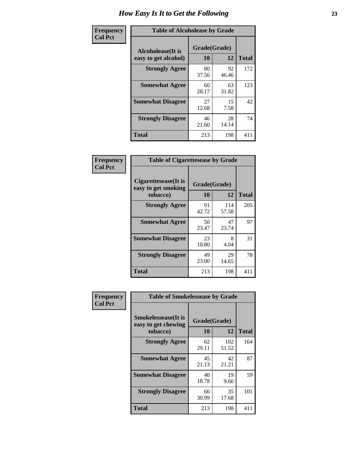| Frequency      | <b>Table of Alcoholease by Grade</b>              |                    |              |     |
|----------------|---------------------------------------------------|--------------------|--------------|-----|
| <b>Col Pct</b> | <b>Alcoholease</b> (It is<br>easy to get alcohol) | Grade(Grade)<br>10 | <b>Total</b> |     |
|                | <b>Strongly Agree</b>                             | 80<br>37.56        | 92<br>46.46  | 172 |
|                | <b>Somewhat Agree</b>                             | 60<br>28.17        | 63<br>31.82  | 123 |
|                | <b>Somewhat Disagree</b>                          | 27<br>12.68        | 15<br>7.58   | 42  |
|                | <b>Strongly Disagree</b>                          | 46<br>21.60        | 28<br>14.14  | 74  |
|                | <b>Total</b>                                      | 213                | 198          | 411 |

| Frequency      | <b>Table of Cigarettesease by Grade</b>                 |                    |              |              |  |
|----------------|---------------------------------------------------------|--------------------|--------------|--------------|--|
| <b>Col Pct</b> | Cigarettesease(It is<br>easy to get smoking<br>tobacco) | Grade(Grade)<br>10 | 12           | <b>Total</b> |  |
|                | <b>Strongly Agree</b>                                   | 91<br>42.72        | 114<br>57.58 | 205          |  |
|                | <b>Somewhat Agree</b>                                   | 50<br>23.47        | 47<br>23.74  | 97           |  |
|                | <b>Somewhat Disagree</b>                                | 23<br>10.80        | 8<br>4.04    | 31           |  |
|                | <b>Strongly Disagree</b>                                | 49<br>23.00        | 29<br>14.65  | 78           |  |
|                | Total                                                   | 213                | 198          | 411          |  |

| Frequency      | <b>Table of Smokelessease by Grade</b>                         |                          |              |              |  |  |  |
|----------------|----------------------------------------------------------------|--------------------------|--------------|--------------|--|--|--|
| <b>Col Pct</b> | <b>Smokelessease</b> (It is<br>easy to get chewing<br>tobacco) | Grade(Grade)<br>12<br>10 |              | <b>Total</b> |  |  |  |
|                | <b>Strongly Agree</b>                                          | 62<br>29.11              | 102<br>51.52 | 164          |  |  |  |
|                | <b>Somewhat Agree</b>                                          | 45<br>21.13              | 42<br>21.21  | 87           |  |  |  |
|                | <b>Somewhat Disagree</b>                                       | 40<br>18.78              | 19<br>9.60   | 59           |  |  |  |
|                | <b>Strongly Disagree</b>                                       | 66<br>30.99              | 35<br>17.68  | 101          |  |  |  |
|                | Total                                                          | 213                      | 198          | 411          |  |  |  |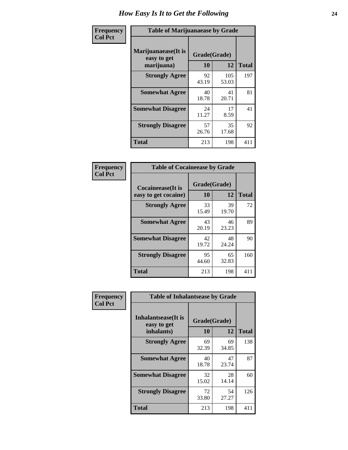| Frequency      | <b>Table of Marijuanaease by Grade</b>           |                    |              |              |  |  |  |  |  |  |  |
|----------------|--------------------------------------------------|--------------------|--------------|--------------|--|--|--|--|--|--|--|
| <b>Col Pct</b> | Marijuanaease(It is<br>easy to get<br>marijuana) | Grade(Grade)<br>10 | 12           | <b>Total</b> |  |  |  |  |  |  |  |
|                | <b>Strongly Agree</b>                            | 92<br>43.19        | 105<br>53.03 | 197          |  |  |  |  |  |  |  |
|                | <b>Somewhat Agree</b>                            | 40<br>18.78        | 41<br>20.71  | 81           |  |  |  |  |  |  |  |
|                | <b>Somewhat Disagree</b>                         | 24<br>11.27        | 17<br>8.59   | 41           |  |  |  |  |  |  |  |
|                | <b>Strongly Disagree</b>                         | 57<br>26.76        | 35<br>17.68  | 92           |  |  |  |  |  |  |  |
|                | <b>Total</b>                                     | 213                | 198          | 411          |  |  |  |  |  |  |  |

| <b>Table of Cocaineease by Grade</b>              |             |                    |     |  |  |  |  |  |  |
|---------------------------------------------------|-------------|--------------------|-----|--|--|--|--|--|--|
| <b>Cocaineease</b> (It is<br>easy to get cocaine) | 10          | Grade(Grade)<br>12 |     |  |  |  |  |  |  |
| <b>Strongly Agree</b>                             | 33<br>15.49 | 39<br>19.70        | 72  |  |  |  |  |  |  |
| <b>Somewhat Agree</b>                             | 43<br>20.19 | 46<br>23.23        | 89  |  |  |  |  |  |  |
| <b>Somewhat Disagree</b>                          | 42<br>19.72 | 48<br>24.24        | 90  |  |  |  |  |  |  |
| <b>Strongly Disagree</b>                          | 95<br>44.60 | 65<br>32.83        | 160 |  |  |  |  |  |  |
| <b>Total</b>                                      | 213         | 198                | 411 |  |  |  |  |  |  |

| Frequency      | <b>Table of Inhalantsease by Grade</b>     |              |             |              |
|----------------|--------------------------------------------|--------------|-------------|--------------|
| <b>Col Pct</b> | <b>Inhalantsease</b> (It is<br>easy to get | Grade(Grade) |             |              |
|                | inhalants)                                 | 10           | 12          | <b>Total</b> |
|                | <b>Strongly Agree</b>                      | 69<br>32.39  | 69<br>34.85 | 138          |
|                | <b>Somewhat Agree</b>                      | 40<br>18.78  | 47<br>23.74 | 87           |
|                | <b>Somewhat Disagree</b>                   | 32<br>15.02  | 28<br>14.14 | 60           |
|                | <b>Strongly Disagree</b>                   | 72<br>33.80  | 54<br>27.27 | 126          |
|                | <b>Total</b>                               | 213          | 198         | 411          |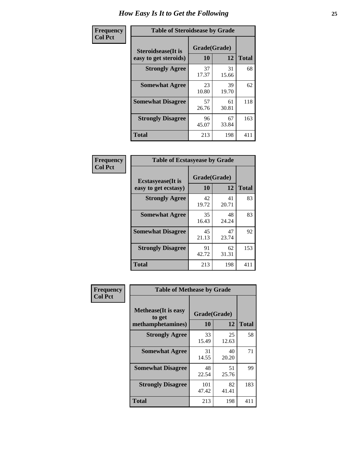| Frequency      | <b>Table of Steroidsease by Grade</b>               |                    |             |              |  |  |  |  |  |  |  |
|----------------|-----------------------------------------------------|--------------------|-------------|--------------|--|--|--|--|--|--|--|
| <b>Col Pct</b> | <b>Steroidsease</b> (It is<br>easy to get steroids) | Grade(Grade)<br>10 | 12          | <b>Total</b> |  |  |  |  |  |  |  |
|                | <b>Strongly Agree</b>                               | 37<br>17.37        | 31<br>15.66 | 68           |  |  |  |  |  |  |  |
|                | <b>Somewhat Agree</b>                               | 23<br>10.80        | 39<br>19.70 | 62           |  |  |  |  |  |  |  |
|                | <b>Somewhat Disagree</b>                            | 57<br>26.76        | 61<br>30.81 | 118          |  |  |  |  |  |  |  |
|                | <b>Strongly Disagree</b>                            | 96<br>45.07        | 67<br>33.84 | 163          |  |  |  |  |  |  |  |
|                | <b>Total</b>                                        | 213                | 198         | 411          |  |  |  |  |  |  |  |

| Frequency      | <b>Table of Ecstasyease by Grade</b>              |                    |             |              |  |  |  |  |  |  |  |
|----------------|---------------------------------------------------|--------------------|-------------|--------------|--|--|--|--|--|--|--|
| <b>Col Pct</b> | <b>Ecstasyease</b> (It is<br>easy to get ecstasy) | Grade(Grade)<br>10 | 12          | <b>Total</b> |  |  |  |  |  |  |  |
|                | <b>Strongly Agree</b>                             | 42<br>19.72        | 41<br>20.71 | 83           |  |  |  |  |  |  |  |
|                | <b>Somewhat Agree</b>                             | 35<br>16.43        | 48<br>24.24 | 83           |  |  |  |  |  |  |  |
|                | <b>Somewhat Disagree</b>                          | 45<br>21.13        | 47<br>23.74 | 92           |  |  |  |  |  |  |  |
|                | <b>Strongly Disagree</b>                          | 91<br>42.72        | 62<br>31.31 | 153          |  |  |  |  |  |  |  |
|                | Total                                             | 213                | 198         | 411          |  |  |  |  |  |  |  |

| Frequency<br><b>Col Pct</b> | <b>Table of Methease by Grade</b>     |              |             |              |  |  |  |  |  |
|-----------------------------|---------------------------------------|--------------|-------------|--------------|--|--|--|--|--|
|                             | <b>Methease</b> (It is easy<br>to get | Grade(Grade) |             |              |  |  |  |  |  |
|                             | methamphetamines)                     | 10           | 12          | <b>Total</b> |  |  |  |  |  |
|                             | <b>Strongly Agree</b>                 | 33<br>15.49  | 25<br>12.63 | 58           |  |  |  |  |  |
|                             | <b>Somewhat Agree</b>                 | 31<br>14.55  | 40<br>20.20 | 71           |  |  |  |  |  |
|                             | <b>Somewhat Disagree</b>              | 48<br>22.54  | 51<br>25.76 | 99           |  |  |  |  |  |
|                             | <b>Strongly Disagree</b>              | 101<br>47.42 | 82<br>41.41 | 183          |  |  |  |  |  |
|                             | <b>Total</b>                          | 213          | 198         | 411          |  |  |  |  |  |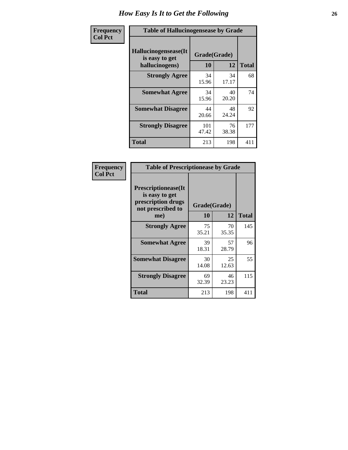| <b>Frequency</b> | <b>Table of Hallucinogensease by Grade</b>               |                    |             |              |  |  |  |  |  |  |
|------------------|----------------------------------------------------------|--------------------|-------------|--------------|--|--|--|--|--|--|
| <b>Col Pct</b>   | Hallucinogensease(It<br>is easy to get<br>hallucinogens) | Grade(Grade)<br>10 | 12          | <b>Total</b> |  |  |  |  |  |  |
|                  | <b>Strongly Agree</b>                                    | 34<br>15.96        | 34<br>17.17 | 68           |  |  |  |  |  |  |
|                  | <b>Somewhat Agree</b>                                    | 34<br>15.96        | 40<br>20.20 | 74           |  |  |  |  |  |  |
|                  | <b>Somewhat Disagree</b>                                 | 44<br>20.66        | 48<br>24.24 | 92           |  |  |  |  |  |  |
|                  | <b>Strongly Disagree</b>                                 | 101<br>47.42       | 76<br>38.38 | 177          |  |  |  |  |  |  |
|                  | <b>Total</b>                                             | 213                | 198         | 411          |  |  |  |  |  |  |

| Frequency<br>Col Pct |
|----------------------|
|                      |

| <b>Table of Prescriptionease by Grade</b>                                                |             |              |              |  |  |  |  |  |
|------------------------------------------------------------------------------------------|-------------|--------------|--------------|--|--|--|--|--|
| <b>Prescriptionease</b> (It<br>is easy to get<br>prescription drugs<br>not prescribed to |             | Grade(Grade) |              |  |  |  |  |  |
| me)                                                                                      | 10          | 12           | <b>Total</b> |  |  |  |  |  |
| <b>Strongly Agree</b>                                                                    | 75<br>35.21 | 70<br>35.35  | 145          |  |  |  |  |  |
| <b>Somewhat Agree</b>                                                                    | 39<br>18.31 | 57<br>28.79  | 96           |  |  |  |  |  |
| <b>Somewhat Disagree</b>                                                                 | 30<br>14.08 | 25<br>12.63  | 55           |  |  |  |  |  |
| <b>Strongly Disagree</b>                                                                 | 69<br>32.39 | 46<br>23.23  | 115          |  |  |  |  |  |
| <b>Total</b>                                                                             | 213         | 198          | 411          |  |  |  |  |  |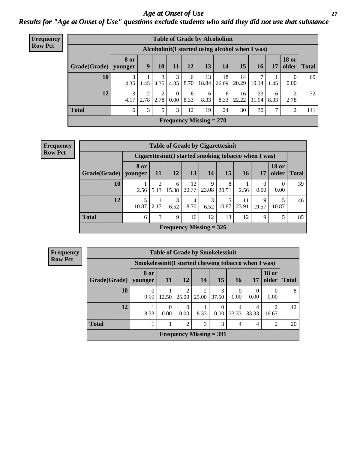#### *Age at Onset of Use* **27** *Results for "Age at Onset of Use" questions exclude students who said they did not use that substance*

| <b>Frequency</b> | <b>Table of Grade by Alcoholinit</b> |                        |                                                  |           |                      |           |                           |             |             |             |           |                       |              |
|------------------|--------------------------------------|------------------------|--------------------------------------------------|-----------|----------------------|-----------|---------------------------|-------------|-------------|-------------|-----------|-----------------------|--------------|
| <b>Row Pct</b>   |                                      |                        | Alcoholinit (I started using alcohol when I was) |           |                      |           |                           |             |             |             |           |                       |              |
|                  | Grade(Grade)                         | <b>8 or</b><br>younger | 9                                                | 10        | 11                   | 12        | 13                        | 14          | 15          | 16          | 17        | <b>18 or</b><br>older | <b>Total</b> |
|                  | 10                                   | 3<br>4.35              | 1.45                                             | 3<br>4.35 | 3<br>4.35            | 6<br>8.70 | 13<br>18.84               | 18<br>26.09 | 14<br>20.29 | 7<br>10.14  | 1.45      | 0.00                  | 69           |
|                  | 12                                   | 3<br>4.17              | 2<br>2.78                                        | 2<br>2.78 | $\Omega$<br>$0.00\,$ | 6<br>8.33 | 6<br>8.33                 | 6<br>8.33   | 16<br>22.22 | 23<br>31.94 | 6<br>8.33 | 2<br>2.78             | 72           |
|                  | <b>Total</b>                         | 6                      | 3                                                | 5         | 3                    | 12        | 19                        | 24          | 30          | 30          | 7         | 2                     | 141          |
|                  |                                      |                        |                                                  |           |                      |           | Frequency Missing $= 270$ |             |             |             |           |                       |              |

| <b>Frequency</b> | <b>Table of Grade by Cigarettesinit</b>                       |                                                       |      |            |             |                           |            |                 |                  |                       |              |  |  |
|------------------|---------------------------------------------------------------|-------------------------------------------------------|------|------------|-------------|---------------------------|------------|-----------------|------------------|-----------------------|--------------|--|--|
| <b>Row Pct</b>   |                                                               | Cigarettesinit (I started smoking tobacco when I was) |      |            |             |                           |            |                 |                  |                       |              |  |  |
|                  | Grade(Grade)                                                  | 8 or<br>younger                                       | 11   | 12         | 13          | 14                        | 15         | 16 <sup>1</sup> | 17               | <b>18 or</b><br>older | <b>Total</b> |  |  |
|                  | 10                                                            | 2.56                                                  | 5.13 | 6<br>15.38 | 12<br>30.77 | 9<br>23.08                | 8<br>20.51 | 2.56            | $\Omega$<br>0.00 | $\Omega$<br>0.00      | 39           |  |  |
|                  | 12                                                            | 10.87                                                 | 2.17 | 3<br>6.52  | 4<br>8.70   | 3<br>6.52                 | 10.87      | 11<br>23.91     | 9<br>19.57       | 5<br>10.87            | 46           |  |  |
|                  | <b>Total</b><br>3<br>12<br>13<br>12<br>9<br>5<br>16<br>9<br>6 |                                                       |      |            |             |                           |            |                 |                  |                       |              |  |  |
|                  |                                                               |                                                       |      |            |             | Frequency Missing $= 326$ |            |                 |                  |                       |              |  |  |

| <b>Frequency</b> |              | <b>Table of Grade by Smokelessinit</b>              |           |                  |                           |            |                  |                  |                       |              |  |  |
|------------------|--------------|-----------------------------------------------------|-----------|------------------|---------------------------|------------|------------------|------------------|-----------------------|--------------|--|--|
| <b>Row Pct</b>   |              | Smokelessinit(I started chewing tobacco when I was) |           |                  |                           |            |                  |                  |                       |              |  |  |
|                  | Grade(Grade) | 8 or<br>younger                                     | <b>11</b> | 12               | 14                        | <b>15</b>  | <b>16</b>        | 17               | <b>18 or</b><br>older | <b>Total</b> |  |  |
|                  | 10           | $\Omega$<br>0.00                                    | 12.50     | ↑<br>25.00       | ∍<br>25.00                | 3<br>37.50 | $\theta$<br>0.00 | $\theta$<br>0.00 | 0.00                  | 8            |  |  |
|                  | 12           | 8.33                                                | 0<br>0.00 | $\theta$<br>0.00 | 8.33                      | 0.00       | 4<br>33.33       | 4<br>33.33       | 16.67                 | 12           |  |  |
|                  | <b>Total</b> |                                                     |           | $\overline{c}$   | 3                         | 3          | 4                | 4                | $\overline{c}$        | 20           |  |  |
|                  |              |                                                     |           |                  | Frequency Missing $= 391$ |            |                  |                  |                       |              |  |  |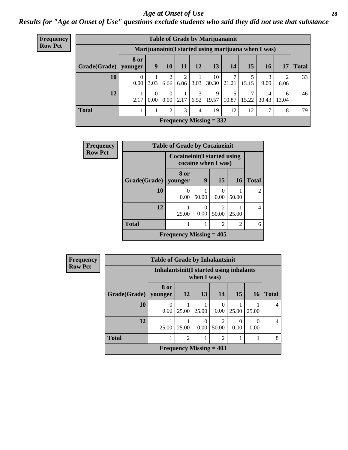#### *Age at Onset of Use* **28**

*Results for "Age at Onset of Use" questions exclude students who said they did not use that substance*

| Frequency      |              |                        |                |                                             |           |           | <b>Table of Grade by Marijuanainit</b> |               |       |                                                      |            |              |
|----------------|--------------|------------------------|----------------|---------------------------------------------|-----------|-----------|----------------------------------------|---------------|-------|------------------------------------------------------|------------|--------------|
| <b>Row Pct</b> |              |                        |                |                                             |           |           |                                        |               |       | Marijuanainit (I started using marijuana when I was) |            |              |
|                | Grade(Grade) | <b>8 or</b><br>younger | 9 <sup>°</sup> | 10                                          | 11        | 12        | 13                                     | 14            | 15    | 16                                                   | 17         | <b>Total</b> |
|                | 10           | $\theta$<br>0.00       | 3.03           | 2<br>6.06                                   | 2<br>6.06 | 3.03      | 10<br>30.30                            | 21.21         | 15.15 | 9.09                                                 | 2<br>6.06  | 33           |
|                | 12           | 2.17                   | $\theta$       | $\theta$<br>$0.00 \mid 0.00 \mid 2.17 \mid$ |           | 3<br>6.52 | 9                                      | 19.57   10.87 | 15.22 | 14<br>30.43                                          | 6<br>13.04 | 46           |
|                | <b>Total</b> |                        |                | 2                                           | 3         | 4         | 19                                     | 12            | 12    | 17                                                   | 8          | 79           |
|                |              |                        |                |                                             |           |           | Frequency Missing $= 332$              |               |       |                                                      |            |              |

| Frequency      | <b>Table of Grade by Cocaineinit</b> |                                     |                     |                |                |                |
|----------------|--------------------------------------|-------------------------------------|---------------------|----------------|----------------|----------------|
| <b>Row Pct</b> |                                      | <b>Cocaineinit</b> (I started using | cocaine when I was) |                |                |                |
|                | Grade(Grade)                         | 8 or<br>younger                     | 9                   | 15             | <b>16</b>      | <b>Total</b>   |
|                | 10                                   | $\theta$<br>0.00                    | 50.00               | 0.00           | 50.00          | $\overline{2}$ |
|                | 12                                   | 25.00                               | 0.00                | 50.00          | 25.00          | 4              |
|                | <b>Total</b>                         |                                     |                     | $\mathfrak{D}$ | $\mathfrak{D}$ | 6              |
|                |                                      | Frequency Missing $=$ 405           |                     |                |                |                |

| <b>Frequency</b> |              | <b>Table of Grade by Inhalantsinit</b> |                                                         |                           |                         |           |           |                |  |  |  |
|------------------|--------------|----------------------------------------|---------------------------------------------------------|---------------------------|-------------------------|-----------|-----------|----------------|--|--|--|
| <b>Row Pct</b>   |              |                                        | Inhalantsinit (I started using inhalants<br>when I was) |                           |                         |           |           |                |  |  |  |
|                  | Grade(Grade) | 8 or<br>vounger                        | <b>12</b>                                               | 13                        | 14                      | 15        | <b>16</b> | <b>Total</b>   |  |  |  |
|                  | 10           | 0<br>0.00                              | 25.00                                                   | 25.00                     | 0<br>0.00               | 25.00     | 25.00     | $\overline{4}$ |  |  |  |
|                  | 12           | 25.00                                  | 25.00                                                   | 0.00                      | $\overline{2}$<br>50.00 | 0<br>0.00 | 0.00      | $\overline{4}$ |  |  |  |
|                  | <b>Total</b> |                                        | 2                                                       |                           | $\overline{2}$          |           |           | 8              |  |  |  |
|                  |              |                                        |                                                         | Frequency Missing $= 403$ |                         |           |           |                |  |  |  |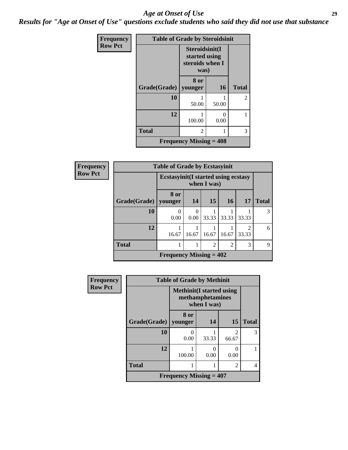#### *Age at Onset of Use* **29**

*Results for "Age at Onset of Use" questions exclude students who said they did not use that substance*

| Frequency      | <b>Table of Grade by Steroidsinit</b> |                                                            |           |                |  |  |  |
|----------------|---------------------------------------|------------------------------------------------------------|-----------|----------------|--|--|--|
| <b>Row Pct</b> |                                       | Steroidsinit(I<br>started using<br>steroids when I<br>was) |           |                |  |  |  |
|                | Grade(Grade)                          | 8 or<br>younger                                            | <b>16</b> | <b>Total</b>   |  |  |  |
|                | 10                                    | 50.00                                                      | 50.00     | $\overline{c}$ |  |  |  |
|                | 12                                    | 100.00                                                     | 0.00      |                |  |  |  |
|                | <b>Total</b>                          | $\overline{2}$                                             |           | 3              |  |  |  |
|                |                                       | Frequency Missing $=$ 408                                  |           |                |  |  |  |

| <b>Frequency</b> |              | <b>Table of Grade by Ecstasyinit</b>        |       |                |                |            |              |  |  |
|------------------|--------------|---------------------------------------------|-------|----------------|----------------|------------|--------------|--|--|
| <b>Row Pct</b>   |              | <b>Ecstasyinit</b> (I started using ecstasy |       | when I was)    |                |            |              |  |  |
|                  | Grade(Grade) | 8 or<br>vounger                             | 14    | 15             | 16             | 17         | <b>Total</b> |  |  |
|                  | 10           | $\Omega$<br>0.00                            | 0.00  | 33.33          | 33.33          | 33.33      | 3            |  |  |
|                  | 12           | 16.67                                       | 16.67 | 16.67          | 16.67          | ↑<br>33.33 | 6            |  |  |
|                  | <b>Total</b> |                                             |       | $\overline{2}$ | $\overline{2}$ | 3          | 9            |  |  |
|                  |              | Frequency Missing $= 402$                   |       |                |                |            |              |  |  |

| <b>Frequency</b> | <b>Table of Grade by Methinit</b> |                                                                     |                  |                         |              |  |  |
|------------------|-----------------------------------|---------------------------------------------------------------------|------------------|-------------------------|--------------|--|--|
| <b>Row Pct</b>   |                                   | <b>Methinit</b> (I started using<br>methamphetamines<br>when I was) |                  |                         |              |  |  |
|                  | Grade(Grade)                      | 8 or<br>younger                                                     | 14               | 15                      | <b>Total</b> |  |  |
|                  | 10                                | $\mathcal{O}$<br>0.00                                               | 33.33            | $\mathfrak{D}$<br>66.67 | 3            |  |  |
|                  | 12                                | 100.00                                                              | $\Omega$<br>0.00 | 0<br>0.00               |              |  |  |
|                  | <b>Total</b>                      |                                                                     |                  | $\overline{c}$          | 4            |  |  |
|                  | Frequency Missing $=$ 407         |                                                                     |                  |                         |              |  |  |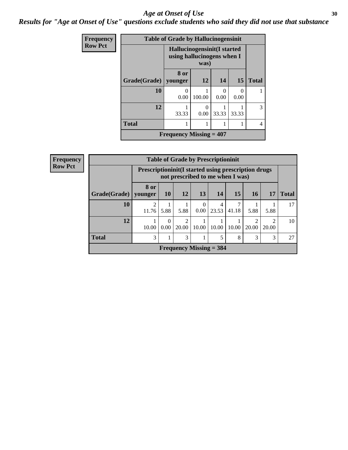#### Age at Onset of Use **30**

*Results for "Age at Onset of Use" questions exclude students who said they did not use that substance*

| Frequency      |              | <b>Table of Grade by Hallucinogensinit</b> |                                                                    |           |       |              |  |  |
|----------------|--------------|--------------------------------------------|--------------------------------------------------------------------|-----------|-------|--------------|--|--|
| <b>Row Pct</b> |              |                                            | Hallucinogensinit (I started<br>using hallucinogens when I<br>was) |           |       |              |  |  |
|                | Grade(Grade) | 8 or<br>younger                            | 12                                                                 | 14        | 15    | <b>Total</b> |  |  |
|                | 10           | 0<br>0.00                                  | 100.00                                                             | 0<br>0.00 | 0.00  |              |  |  |
|                | 12           | 33.33                                      | 0<br>0.00                                                          | 33.33     | 33.33 | 3            |  |  |
|                | <b>Total</b> |                                            |                                                                    |           |       |              |  |  |
|                |              | Frequency Missing $=$ 407                  |                                                                    |           |       |              |  |  |

| Frequency      | <b>Table of Grade by Prescriptioninit</b>                                                        |                 |           |                         |                  |                           |           |                 |            |              |
|----------------|--------------------------------------------------------------------------------------------------|-----------------|-----------|-------------------------|------------------|---------------------------|-----------|-----------------|------------|--------------|
| <b>Row Pct</b> | <b>Prescriptioninit (I started using prescription drugs)</b><br>not prescribed to me when I was) |                 |           |                         |                  |                           |           |                 |            |              |
|                | Grade(Grade)                                                                                     | 8 or<br>younger | <b>10</b> | <b>12</b>               | 13               | 14                        | <b>15</b> | 16 <sup>1</sup> | 17         | <b>Total</b> |
|                | 10                                                                                               | 2<br>11.76      | 5.88      | 5.88                    | $\Omega$<br>0.00 | 4<br>23.53                | 41.18     | 5.88            | 5.88       | 17           |
|                | 12                                                                                               | 10.00           | 0<br>0.00 | $\mathfrak{D}$<br>20.00 | 10.00            | 10.00                     | 10.00     | 2<br>20.00      | ി<br>20.00 | 10           |
|                | <b>Total</b>                                                                                     | 3               |           | 3                       |                  | 5                         | 8         | 3               | 3          | 27           |
|                |                                                                                                  |                 |           |                         |                  | Frequency Missing $=$ 384 |           |                 |            |              |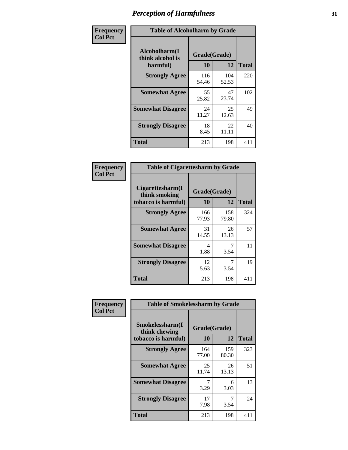| Frequency      | <b>Table of Alcoholharm by Grade</b>          |                    |              |              |  |  |
|----------------|-----------------------------------------------|--------------------|--------------|--------------|--|--|
| <b>Col Pct</b> | Alcoholharm(I<br>think alcohol is<br>harmful) | Grade(Grade)<br>10 | 12           | <b>Total</b> |  |  |
|                | <b>Strongly Agree</b>                         | 116<br>54.46       | 104<br>52.53 | 220          |  |  |
|                | <b>Somewhat Agree</b>                         | 55<br>25.82        | 47<br>23.74  | 102          |  |  |
|                | <b>Somewhat Disagree</b>                      | 24<br>11.27        | 25<br>12.63  | 49           |  |  |
|                | <b>Strongly Disagree</b>                      | 18<br>8.45         | 22<br>11.11  | 40           |  |  |
|                | <b>Total</b>                                  | 213                | 198          | 411          |  |  |

| <b>Table of Cigarettesharm by Grade</b>                  |                          |              |     |  |  |  |  |
|----------------------------------------------------------|--------------------------|--------------|-----|--|--|--|--|
| Cigarettesharm(I<br>think smoking<br>tobacco is harmful) | Grade(Grade)<br>12<br>10 |              |     |  |  |  |  |
| <b>Strongly Agree</b>                                    | 166<br>77.93             | 158<br>79.80 | 324 |  |  |  |  |
| <b>Somewhat Agree</b>                                    | 31<br>14.55              | 26<br>13.13  | 57  |  |  |  |  |
| <b>Somewhat Disagree</b>                                 | 4<br>1.88                | 3.54         | 11  |  |  |  |  |
| <b>Strongly Disagree</b>                                 | 12<br>5.63               | 7<br>3.54    | 19  |  |  |  |  |
| <b>Total</b>                                             | 213                      | 198          | 411 |  |  |  |  |

| Frequency      | <b>Table of Smokelessharm by Grade</b>                  |                    |              |              |
|----------------|---------------------------------------------------------|--------------------|--------------|--------------|
| <b>Col Pct</b> | Smokelessharm(I<br>think chewing<br>tobacco is harmful) | Grade(Grade)<br>10 | 12           | <b>Total</b> |
|                | <b>Strongly Agree</b>                                   | 164<br>77.00       | 159<br>80.30 | 323          |
|                | <b>Somewhat Agree</b>                                   | 25<br>11.74        | 26<br>13.13  | 51           |
|                | <b>Somewhat Disagree</b>                                | 3.29               | 6<br>3.03    | 13           |
|                | <b>Strongly Disagree</b>                                | 17<br>7.98         | 7<br>3.54    | 24           |
|                | <b>Total</b>                                            | 213                | 198          | 411          |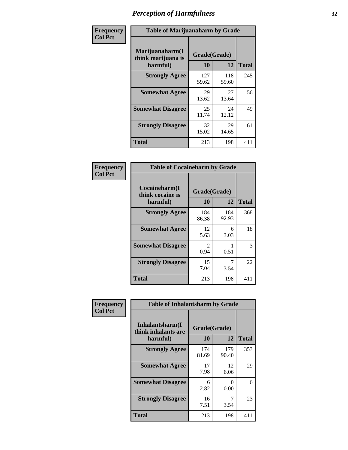| Frequency      |                                                   | <b>Table of Marijuanaharm by Grade</b> |              |              |  |  |  |  |
|----------------|---------------------------------------------------|----------------------------------------|--------------|--------------|--|--|--|--|
| <b>Col Pct</b> | Marijuanaharm(I<br>think marijuana is<br>harmful) | Grade(Grade)<br>10                     | 12           | <b>Total</b> |  |  |  |  |
|                | <b>Strongly Agree</b>                             | 127<br>59.62                           | 118<br>59.60 | 245          |  |  |  |  |
|                | <b>Somewhat Agree</b>                             | 29<br>13.62                            | 27<br>13.64  | 56           |  |  |  |  |
|                | <b>Somewhat Disagree</b>                          | 25<br>11.74                            | 24<br>12.12  | 49           |  |  |  |  |
|                | <b>Strongly Disagree</b>                          | 32<br>15.02                            | 29<br>14.65  | 61           |  |  |  |  |
|                | <b>Total</b>                                      | 213                                    | 198          | 411          |  |  |  |  |

| <b>Table of Cocaineharm by Grade</b>          |                        |              |     |  |  |  |
|-----------------------------------------------|------------------------|--------------|-----|--|--|--|
| Cocaineharm(I<br>think cocaine is<br>harmful) | Grade(Grade)<br>10     | <b>Total</b> |     |  |  |  |
| <b>Strongly Agree</b>                         | 184<br>86.38           | 184<br>92.93 | 368 |  |  |  |
| <b>Somewhat Agree</b>                         | 12<br>5.63             | 6<br>3.03    | 18  |  |  |  |
| <b>Somewhat Disagree</b>                      | $\mathfrak{D}$<br>0.94 | 0.51         | 3   |  |  |  |
| <b>Strongly Disagree</b>                      | 15<br>7.04             | 3.54         | 22  |  |  |  |
| Total                                         | 213                    | 198          | 411 |  |  |  |

| Frequency      | <b>Table of Inhalantsharm by Grade</b>              |                    |              |              |
|----------------|-----------------------------------------------------|--------------------|--------------|--------------|
| <b>Col Pct</b> | Inhalantsharm(I)<br>think inhalants are<br>harmful) | Grade(Grade)<br>10 | 12           | <b>Total</b> |
|                | <b>Strongly Agree</b>                               | 174<br>81.69       | 179<br>90.40 | 353          |
|                | <b>Somewhat Agree</b>                               | 17<br>7.98         | 12<br>6.06   | 29           |
|                | <b>Somewhat Disagree</b>                            | 6<br>2.82          | 0<br>0.00    | 6            |
|                | <b>Strongly Disagree</b>                            | 16<br>7.51         | 7<br>3.54    | 23           |
|                | <b>Total</b>                                        | 213                | 198          | 411          |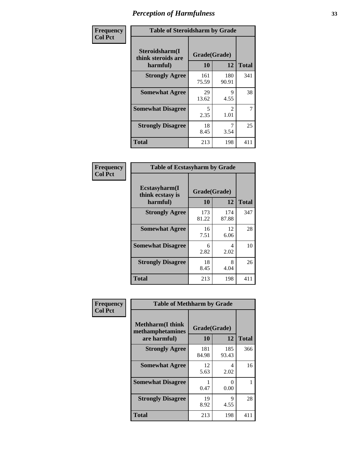| Frequency      | <b>Table of Steroidsharm by Grade</b>            |                    |                        |              |
|----------------|--------------------------------------------------|--------------------|------------------------|--------------|
| <b>Col Pct</b> | Steroidsharm(I<br>think steroids are<br>harmful) | Grade(Grade)<br>10 | 12                     | <b>Total</b> |
|                | <b>Strongly Agree</b>                            | 161<br>75.59       | 180<br>90.91           | 341          |
|                | <b>Somewhat Agree</b>                            | 29<br>13.62        | 9<br>4.55              | 38           |
|                | <b>Somewhat Disagree</b>                         | 5<br>2.35          | $\mathfrak{D}$<br>1.01 | 7            |
|                | <b>Strongly Disagree</b>                         | 18<br>8.45         | 7<br>3.54              | 25           |
|                | <b>Total</b>                                     | 213                | 198                    | 411          |

| <b>Table of Ecstasyharm by Grade</b>          |                    |              |     |  |  |  |
|-----------------------------------------------|--------------------|--------------|-----|--|--|--|
| Ecstasyharm(I<br>think ecstasy is<br>harmful) | Grade(Grade)<br>10 | <b>Total</b> |     |  |  |  |
| <b>Strongly Agree</b>                         | 173<br>81.22       | 174<br>87.88 | 347 |  |  |  |
| <b>Somewhat Agree</b>                         | 16<br>7.51         | 12<br>6.06   | 28  |  |  |  |
| <b>Somewhat Disagree</b>                      | 6<br>2.82          | 4<br>2.02    | 10  |  |  |  |
| <b>Strongly Disagree</b>                      | 18<br>8.45         | 8<br>4.04    | 26  |  |  |  |
| <b>Total</b>                                  | 213                | 198          | 411 |  |  |  |

| Frequency      | <b>Table of Methharm by Grade</b>                            |                           |              |              |  |
|----------------|--------------------------------------------------------------|---------------------------|--------------|--------------|--|
| <b>Col Pct</b> | <b>Methharm</b> (I think<br>methamphetamines<br>are harmful) | Grade(Grade)<br><b>10</b> | 12           | <b>Total</b> |  |
|                | <b>Strongly Agree</b>                                        | 181<br>84.98              | 185<br>93.43 | 366          |  |
|                | <b>Somewhat Agree</b>                                        | 12<br>5.63                | 4<br>2.02    | 16           |  |
|                | <b>Somewhat Disagree</b>                                     | 0.47                      | 0<br>0.00    |              |  |
|                | <b>Strongly Disagree</b>                                     | 19<br>8.92                | 9<br>4.55    | 28           |  |
|                | <b>Total</b>                                                 | 213                       | 198          | 411          |  |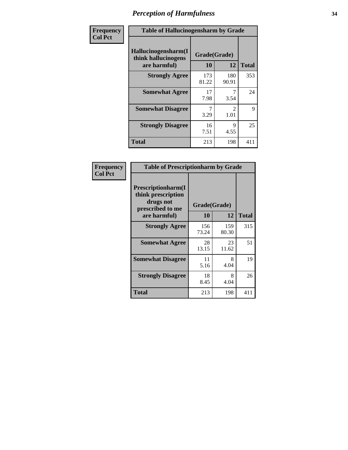| Frequency      | <b>Table of Hallucinogensharm by Grade</b>                 |                           |                        |              |
|----------------|------------------------------------------------------------|---------------------------|------------------------|--------------|
| <b>Col Pct</b> | Hallucinogensharm(I<br>think hallucinogens<br>are harmful) | Grade(Grade)<br><b>10</b> | 12                     | <b>Total</b> |
|                | <b>Strongly Agree</b>                                      | 173<br>81.22              | 180<br>90.91           | 353          |
|                | <b>Somewhat Agree</b>                                      | 17<br>7.98                | 3.54                   | 24           |
|                | <b>Somewhat Disagree</b>                                   | 3.29                      | $\mathfrak{D}$<br>1.01 | 9            |
|                | <b>Strongly Disagree</b>                                   | 16<br>7.51                | 9<br>4.55              | 25           |
|                | <b>Total</b>                                               | 213                       | 198                    | 411          |

| <b>Table of Prescriptionharm by Grade</b>                                         |              |              |              |  |  |
|-----------------------------------------------------------------------------------|--------------|--------------|--------------|--|--|
| <b>Prescriptionharm</b> (I<br>think prescription<br>drugs not<br>prescribed to me | Grade(Grade) |              |              |  |  |
| are harmful)                                                                      | 10           | 12           | <b>Total</b> |  |  |
| <b>Strongly Agree</b>                                                             | 156<br>73.24 | 159<br>80.30 | 315          |  |  |
| <b>Somewhat Agree</b>                                                             | 28<br>13.15  | 23<br>11.62  | 51           |  |  |
| <b>Somewhat Disagree</b>                                                          | 11<br>5.16   | 8<br>4.04    | 19           |  |  |
| <b>Strongly Disagree</b>                                                          | 18<br>8.45   | 8<br>4.04    | 26           |  |  |
| <b>Total</b>                                                                      | 213          | 198          | 411          |  |  |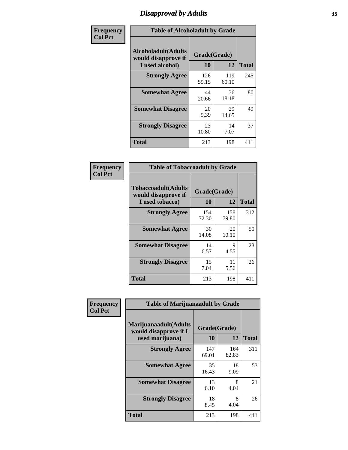### *Disapproval by Adults* **35**

| Frequency      | <b>Table of Alcoholadult by Grade</b>                                 |                    |              |              |  |
|----------------|-----------------------------------------------------------------------|--------------------|--------------|--------------|--|
| <b>Col Pct</b> | <b>Alcoholadult</b> (Adults<br>would disapprove if<br>I used alcohol) | Grade(Grade)<br>10 | 12           | <b>Total</b> |  |
|                | <b>Strongly Agree</b>                                                 | 126<br>59.15       | 119<br>60.10 | 245          |  |
|                | <b>Somewhat Agree</b>                                                 | 44<br>20.66        | 36<br>18.18  | 80           |  |
|                | <b>Somewhat Disagree</b>                                              | 20<br>9.39         | 29<br>14.65  | 49           |  |
|                | <b>Strongly Disagree</b>                                              | 23<br>10.80        | 14<br>7.07   | 37           |  |
|                | <b>Total</b>                                                          | 213                | 198          | 411          |  |

| <b>Table of Tobaccoadult by Grade</b>                                 |                                          |              |     |  |
|-----------------------------------------------------------------------|------------------------------------------|--------------|-----|--|
| <b>Tobaccoadult</b> (Adults<br>would disapprove if<br>I used tobacco) | Grade(Grade)<br>10<br>12<br><b>Total</b> |              |     |  |
| <b>Strongly Agree</b>                                                 | 154<br>72.30                             | 158<br>79.80 | 312 |  |
| <b>Somewhat Agree</b>                                                 | 30<br>14.08                              | 20<br>10.10  | 50  |  |
| <b>Somewhat Disagree</b>                                              | 14<br>6.57                               | 9<br>4.55    | 23  |  |
| <b>Strongly Disagree</b>                                              | 15<br>7.04                               | 11<br>5.56   | 26  |  |
| <b>Total</b>                                                          | 213                                      | 198          | 411 |  |

| Frequency      | <b>Table of Marijuanaadult by Grade</b>                           |                    |              |              |  |
|----------------|-------------------------------------------------------------------|--------------------|--------------|--------------|--|
| <b>Col Pct</b> | Marijuanaadult(Adults<br>would disapprove if I<br>used marijuana) | Grade(Grade)<br>10 | 12           | <b>Total</b> |  |
|                | <b>Strongly Agree</b>                                             | 147<br>69.01       | 164<br>82.83 | 311          |  |
|                | <b>Somewhat Agree</b>                                             | 35<br>16.43        | 18<br>9.09   | 53           |  |
|                | <b>Somewhat Disagree</b>                                          | 13<br>6.10         | 8<br>4.04    | 21           |  |
|                | <b>Strongly Disagree</b>                                          | 18<br>8.45         | 8<br>4.04    | 26           |  |
|                | <b>Total</b>                                                      | 213                | 198          | 411          |  |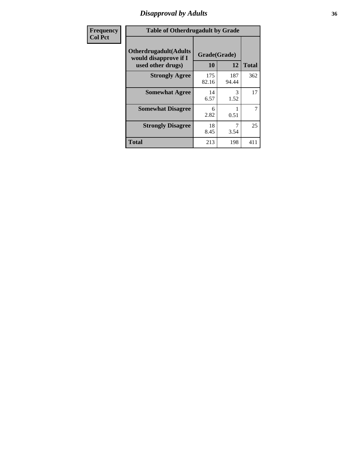### *Disapproval by Adults* **36**

| <b>Frequency</b> | <b>Table of Otherdrugadult by Grade</b>                                     |                    |              |              |
|------------------|-----------------------------------------------------------------------------|--------------------|--------------|--------------|
| <b>Col Pct</b>   | <b>Otherdrugadult</b> (Adults<br>would disapprove if I<br>used other drugs) | Grade(Grade)<br>10 | 12           | <b>Total</b> |
|                  | <b>Strongly Agree</b>                                                       | 175<br>82.16       | 187<br>94.44 | 362          |
|                  | <b>Somewhat Agree</b>                                                       | 14<br>6.57         | 3<br>1.52    | 17           |
|                  | <b>Somewhat Disagree</b>                                                    | 6<br>2.82          | 0.51         | 7            |
|                  | <b>Strongly Disagree</b>                                                    | 18<br>8.45         | 7<br>3.54    | 25           |
|                  | <b>Total</b>                                                                | 213                | 198          | 411          |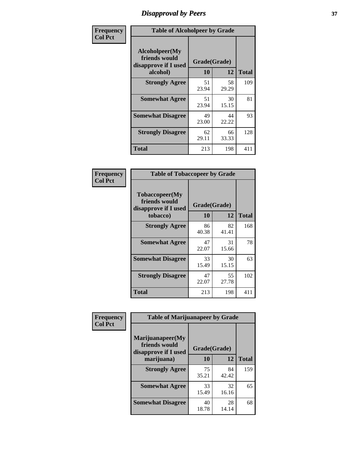# *Disapproval by Peers* **37**

| Frequency      | <b>Table of Alcoholpeer by Grade</b>                    |              |             |              |  |
|----------------|---------------------------------------------------------|--------------|-------------|--------------|--|
| <b>Col Pct</b> | Alcoholpeer(My<br>friends would<br>disapprove if I used | Grade(Grade) |             |              |  |
|                | alcohol)                                                | 10           | 12          | <b>Total</b> |  |
|                | <b>Strongly Agree</b>                                   | 51<br>23.94  | 58<br>29.29 | 109          |  |
|                | <b>Somewhat Agree</b>                                   | 51<br>23.94  | 30<br>15.15 | 81           |  |
|                | <b>Somewhat Disagree</b>                                | 49<br>23.00  | 44<br>22.22 | 93           |  |
|                | <b>Strongly Disagree</b>                                | 62<br>29.11  | 66<br>33.33 | 128          |  |
|                | Total                                                   | 213          | 198         | 411          |  |

| Frequency      | <b>Table of Tobaccopeer by Grade</b>                                |                    |             |              |  |
|----------------|---------------------------------------------------------------------|--------------------|-------------|--------------|--|
| <b>Col Pct</b> | Tobaccopeer(My<br>friends would<br>disapprove if I used<br>tobacco) | Grade(Grade)<br>10 | 12          | <b>Total</b> |  |
|                | <b>Strongly Agree</b>                                               | 86<br>40.38        | 82<br>41.41 | 168          |  |
|                | <b>Somewhat Agree</b>                                               | 47<br>22.07        | 31<br>15.66 | 78           |  |
|                | <b>Somewhat Disagree</b>                                            | 33<br>15.49        | 30<br>15.15 | 63           |  |
|                | <b>Strongly Disagree</b>                                            | 47<br>22.07        | 55<br>27.78 | 102          |  |
|                | <b>Total</b>                                                        | 213                | 198         | 411          |  |

| Frequency<br><b>Col Pct</b> | <b>Table of Marijuanapeer by Grade</b>                    |              |             |              |
|-----------------------------|-----------------------------------------------------------|--------------|-------------|--------------|
|                             | Marijuanapeer(My<br>friends would<br>disapprove if I used | Grade(Grade) |             |              |
|                             | marijuana)                                                | 10           | 12          | <b>Total</b> |
|                             | <b>Strongly Agree</b>                                     | 75<br>35.21  | 84<br>42.42 | 159          |
|                             | <b>Somewhat Agree</b>                                     | 33<br>15.49  | 32<br>16.16 | 65           |
|                             | <b>Somewhat Disagree</b>                                  | 40<br>18.78  | 28<br>14.14 | 68           |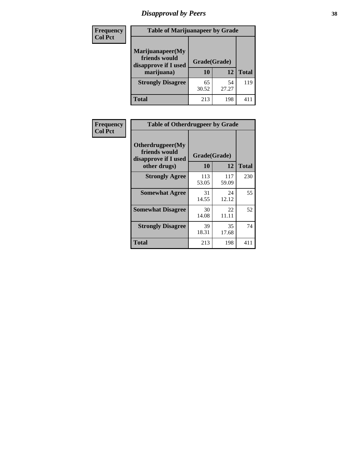# *Disapproval by Peers* **38**

| <b>Frequency</b> | <b>Table of Marijuanapeer by Grade</b>                                  |                           |             |              |  |
|------------------|-------------------------------------------------------------------------|---------------------------|-------------|--------------|--|
| <b>Col Pct</b>   | Marijuanapeer(My<br>friends would<br>disapprove if I used<br>marijuana) | Grade(Grade)<br><b>10</b> | 12          | <b>Total</b> |  |
|                  | <b>Strongly Disagree</b>                                                | 65<br>30.52               | 54<br>27.27 | 119          |  |
|                  | <b>Total</b>                                                            | 213                       | 198         | 41           |  |

| Frequency      |                                                                           | <b>Table of Otherdrugpeer by Grade</b> |              |              |  |
|----------------|---------------------------------------------------------------------------|----------------------------------------|--------------|--------------|--|
| <b>Col Pct</b> | Otherdrugpeer(My<br>friends would<br>disapprove if I used<br>other drugs) | Grade(Grade)<br><b>10</b>              | 12           | <b>Total</b> |  |
|                | <b>Strongly Agree</b>                                                     | 113<br>53.05                           | 117<br>59.09 | 230          |  |
|                | <b>Somewhat Agree</b>                                                     | 31<br>14.55                            | 24<br>12.12  | 55           |  |
|                | <b>Somewhat Disagree</b>                                                  | 30<br>14.08                            | 22<br>11.11  | 52           |  |
|                | <b>Strongly Disagree</b>                                                  | 39<br>18.31                            | 35<br>17.68  | 74           |  |
|                | <b>Total</b>                                                              | 213                                    | 198          | 411          |  |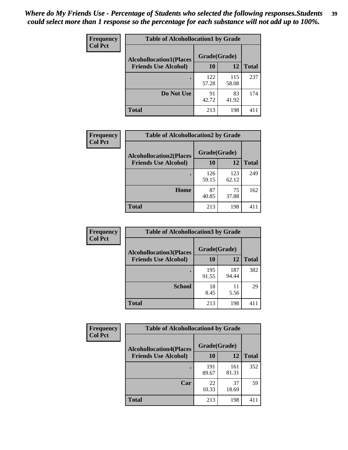| Frequency      | <b>Table of Alcohollocation1 by Grade</b> |              |              |              |
|----------------|-------------------------------------------|--------------|--------------|--------------|
| <b>Col Pct</b> | <b>Alcohollocation1(Places</b>            | Grade(Grade) |              |              |
|                | <b>Friends Use Alcohol)</b>               | 10           | 12           | <b>Total</b> |
|                |                                           | 122<br>57.28 | 115<br>58.08 | 237          |
|                | Do Not Use                                | 91<br>42.72  | 83<br>41.92  | 174          |
|                | <b>Total</b>                              | 213          | 198          | 411          |

| <b>Frequency</b> | <b>Table of Alcohollocation2 by Grade</b>                     |                    |              |              |
|------------------|---------------------------------------------------------------|--------------------|--------------|--------------|
| <b>Col Pct</b>   | <b>Alcohollocation2(Places</b><br><b>Friends Use Alcohol)</b> | Grade(Grade)<br>10 | <b>12</b>    | <b>Total</b> |
|                  |                                                               | 126<br>59.15       | 123<br>62.12 | 249          |
|                  | Home                                                          | 87<br>40.85        | 75<br>37.88  | 162          |
|                  | <b>Total</b>                                                  | 213                | 198          |              |

| <b>Frequency</b> | <b>Table of Alcohollocation 3 by Grade</b> |              |              |              |
|------------------|--------------------------------------------|--------------|--------------|--------------|
| <b>Col Pct</b>   | <b>Alcohollocation3(Places</b>             | Grade(Grade) |              |              |
|                  | <b>Friends Use Alcohol)</b>                | 10           | 12           | <b>Total</b> |
|                  |                                            | 195<br>91.55 | 187<br>94.44 | 382          |
|                  | <b>School</b>                              | 18<br>8.45   | 11<br>5.56   | 29           |
|                  | <b>Total</b>                               | 213          | 198          | 411          |

| Frequency      | <b>Table of Alcohollocation4 by Grade</b> |              |              |              |  |
|----------------|-------------------------------------------|--------------|--------------|--------------|--|
| <b>Col Pct</b> | <b>Alcohollocation4(Places</b>            | Grade(Grade) |              |              |  |
|                | <b>Friends Use Alcohol)</b>               | 10           | 12           | <b>Total</b> |  |
|                |                                           | 191<br>89.67 | 161<br>81.31 | 352          |  |
|                | Car                                       | 22<br>10.33  | 37<br>18.69  | 59           |  |
|                | <b>Total</b>                              | 213          | 198          | 411          |  |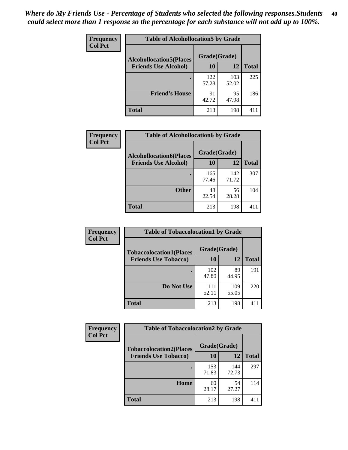| Frequency<br><b>Col Pct</b> | <b>Table of Alcohollocation5 by Grade</b>      |              |              |              |  |
|-----------------------------|------------------------------------------------|--------------|--------------|--------------|--|
|                             | Grade(Grade)<br><b>Alcohollocation5(Places</b> |              |              |              |  |
|                             | <b>Friends Use Alcohol)</b>                    | 10           | 12           | <b>Total</b> |  |
|                             |                                                | 122<br>57.28 | 103<br>52.02 | 225          |  |
|                             | <b>Friend's House</b>                          | 91<br>42.72  | 95<br>47.98  | 186          |  |
|                             | <b>Total</b>                                   | 213          | 198          | 411          |  |

| <b>Frequency</b> | <b>Table of Alcohollocation6 by Grade</b> |              |              |              |
|------------------|-------------------------------------------|--------------|--------------|--------------|
| <b>Col Pct</b>   | <b>Alcohollocation6(Places</b>            | Grade(Grade) |              |              |
|                  | <b>Friends Use Alcohol)</b>               | 10           | 12           | <b>Total</b> |
|                  |                                           | 165<br>77.46 | 142<br>71.72 | 307          |
|                  | <b>Other</b>                              | 48<br>22.54  | 56<br>28.28  | 104          |
|                  | <b>Total</b>                              | 213          | 198          |              |

| <b>Frequency</b> | <b>Table of Tobaccolocation1 by Grade</b> |              |              |              |
|------------------|-------------------------------------------|--------------|--------------|--------------|
| <b>Col Pct</b>   | <b>Tobaccolocation1(Places</b>            | Grade(Grade) |              |              |
|                  | <b>Friends Use Tobacco)</b>               | 10           | 12           | <b>Total</b> |
|                  |                                           | 102<br>47.89 | 89<br>44.95  | 191          |
|                  | Do Not Use                                | 111<br>52.11 | 109<br>55.05 | 220          |
|                  | <b>Total</b>                              | 213          | 198          |              |

| <b>Frequency</b> | <b>Table of Tobaccolocation2 by Grade</b> |              |              |              |  |
|------------------|-------------------------------------------|--------------|--------------|--------------|--|
| <b>Col Pct</b>   | <b>Tobaccolocation2(Places</b>            | Grade(Grade) |              |              |  |
|                  | <b>Friends Use Tobacco)</b>               | 10           | 12           | <b>Total</b> |  |
|                  |                                           | 153<br>71.83 | 144<br>72.73 | 297          |  |
|                  | Home                                      | 60<br>28.17  | 54<br>27.27  | 114          |  |
|                  | <b>Total</b>                              | 213          | 198          | 411          |  |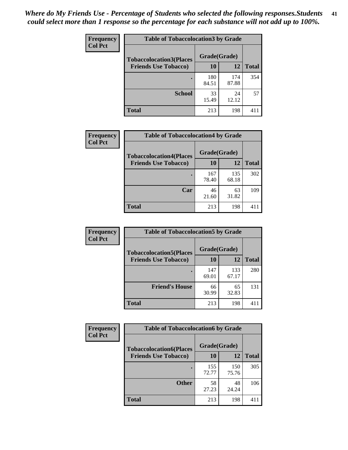| Frequency      | <b>Table of Tobaccolocation 3 by Grade</b> |              |              |              |
|----------------|--------------------------------------------|--------------|--------------|--------------|
| <b>Col Pct</b> | <b>Tobaccolocation3(Places</b>             | Grade(Grade) |              |              |
|                | <b>Friends Use Tobacco)</b>                | 10           | 12           | <b>Total</b> |
|                |                                            | 180<br>84.51 | 174<br>87.88 | 354          |
|                | <b>School</b>                              | 33<br>15.49  | 24<br>12.12  | 57           |
|                | <b>Total</b>                               | 213          | 198          | 411          |

| Frequency      | <b>Table of Tobaccolocation4 by Grade</b>                     |                           |              |              |
|----------------|---------------------------------------------------------------|---------------------------|--------------|--------------|
| <b>Col Pct</b> | <b>Tobaccolocation4(Places</b><br><b>Friends Use Tobacco)</b> | Grade(Grade)<br><b>10</b> | 12           | <b>Total</b> |
|                |                                                               | 167<br>78.40              | 135<br>68.18 | 302          |
|                | Car                                                           | 46<br>21.60               | 63<br>31.82  | 109          |
|                | <b>Total</b>                                                  | 213                       | 198          |              |

| Frequency<br><b>Col Pct</b> | <b>Table of Tobaccolocation5 by Grade</b> |              |              |              |
|-----------------------------|-------------------------------------------|--------------|--------------|--------------|
|                             | <b>Tobaccolocation5(Places</b>            | Grade(Grade) |              |              |
|                             | <b>Friends Use Tobacco)</b>               | 10           | <b>12</b>    | <b>Total</b> |
|                             |                                           | 147<br>69.01 | 133<br>67.17 | 280          |
|                             | <b>Friend's House</b>                     | 66<br>30.99  | 65<br>32.83  | 131          |
|                             | <b>Total</b>                              | 213          | 198          |              |

| <b>Frequency</b> | <b>Table of Tobaccolocation6 by Grade</b> |              |              |              |  |  |
|------------------|-------------------------------------------|--------------|--------------|--------------|--|--|
| <b>Col Pct</b>   | <b>Tobaccolocation6(Places</b>            | Grade(Grade) |              |              |  |  |
|                  | <b>Friends Use Tobacco)</b>               | 10           | 12           | <b>Total</b> |  |  |
|                  |                                           | 155<br>72.77 | 150<br>75.76 | 305          |  |  |
|                  | <b>Other</b>                              | 58<br>27.23  | 48<br>24.24  | 106          |  |  |
|                  | <b>Total</b>                              | 213          | 198          | 411          |  |  |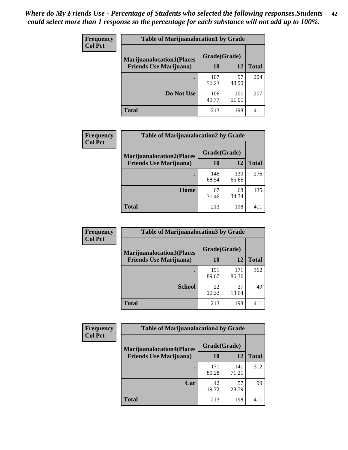| <b>Frequency</b> | <b>Table of Marijuanalocation1 by Grade</b> |              |              |              |
|------------------|---------------------------------------------|--------------|--------------|--------------|
| <b>Col Pct</b>   | <b>Marijuanalocation1(Places</b>            | Grade(Grade) |              |              |
|                  | <b>Friends Use Marijuana</b> )              | 10           | 12           | <b>Total</b> |
|                  |                                             | 107<br>50.23 | 97<br>48.99  | 204          |
|                  | Do Not Use                                  | 106<br>49.77 | 101<br>51.01 | 207          |
|                  | <b>Total</b>                                | 213          | 198          | 411          |

| <b>Frequency</b> | <b>Table of Marijuanalocation2 by Grade</b>                        |                           |              |              |
|------------------|--------------------------------------------------------------------|---------------------------|--------------|--------------|
| <b>Col Pct</b>   | <b>Marijuanalocation2(Places</b><br><b>Friends Use Marijuana</b> ) | Grade(Grade)<br><b>10</b> | 12           | <b>Total</b> |
|                  |                                                                    | 146<br>68.54              | 130<br>65.66 | 276          |
|                  | Home                                                               | 67<br>31.46               | 68<br>34.34  | 135          |
|                  | <b>Total</b>                                                       | 213                       | 198          | 411          |

| Frequency<br><b>Col Pct</b> | <b>Table of Marijuanalocation3 by Grade</b> |              |              |              |
|-----------------------------|---------------------------------------------|--------------|--------------|--------------|
|                             | <b>Marijuanalocation3</b> (Places           | Grade(Grade) |              |              |
|                             | <b>Friends Use Marijuana</b> )              | 10           | 12           | <b>Total</b> |
|                             |                                             | 191<br>89.67 | 171<br>86.36 | 362          |
|                             | <b>School</b>                               | 22<br>10.33  | 27<br>13.64  | 49           |
|                             | <b>Total</b>                                | 213          | 198          |              |

| <b>Frequency</b> | <b>Table of Marijuanalocation4 by Grade</b> |              |              |              |  |
|------------------|---------------------------------------------|--------------|--------------|--------------|--|
| <b>Col Pct</b>   | <b>Marijuanalocation4(Places</b>            | Grade(Grade) |              |              |  |
|                  | <b>Friends Use Marijuana</b> )              | <b>10</b>    | 12           | <b>Total</b> |  |
|                  |                                             | 171<br>80.28 | 141<br>71.21 | 312          |  |
|                  | Car                                         | 42<br>19.72  | 57<br>28.79  | 99           |  |
|                  | <b>Total</b>                                | 213          | 198          |              |  |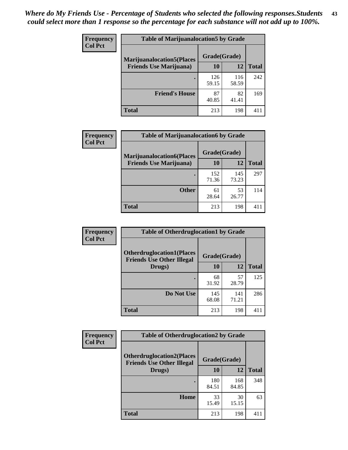| <b>Frequency</b> | <b>Table of Marijuanalocation5 by Grade</b> |              |              |              |
|------------------|---------------------------------------------|--------------|--------------|--------------|
| <b>Col Pct</b>   | <b>Marijuanalocation5</b> (Places           | Grade(Grade) |              |              |
|                  | <b>Friends Use Marijuana</b> )              | 10           | 12           | <b>Total</b> |
|                  |                                             | 126<br>59.15 | 116<br>58.59 | 242          |
|                  | <b>Friend's House</b>                       | 87<br>40.85  | 82<br>41.41  | 169          |
|                  | <b>Total</b>                                | 213          | 198          | 41           |

| <b>Frequency</b> | <b>Table of Marijuanalocation6 by Grade</b>                        |                    |              |              |
|------------------|--------------------------------------------------------------------|--------------------|--------------|--------------|
| <b>Col Pct</b>   | <b>Marijuanalocation6(Places</b><br><b>Friends Use Marijuana</b> ) | Grade(Grade)<br>10 | 12           | <b>Total</b> |
|                  |                                                                    | 152<br>71.36       | 145<br>73.23 | 297          |
|                  | <b>Other</b>                                                       | 61<br>28.64        | 53<br>26.77  | 114          |
|                  | <b>Total</b>                                                       | 213                | 198          | 41.          |

| <b>Frequency</b> | <b>Table of Otherdruglocation1 by Grade</b>                          |              |              |              |
|------------------|----------------------------------------------------------------------|--------------|--------------|--------------|
| <b>Col Pct</b>   | <b>Otherdruglocation1(Places</b><br><b>Friends Use Other Illegal</b> | Grade(Grade) |              |              |
|                  | Drugs)                                                               | 10           | 12           | <b>Total</b> |
|                  |                                                                      | 68<br>31.92  | 57<br>28.79  | 125          |
|                  | Do Not Use                                                           | 145<br>68.08 | 141<br>71.21 | 286          |
|                  | <b>Total</b>                                                         | 213          | 198          | 411          |

| Frequency      | <b>Table of Otherdruglocation2 by Grade</b>                          |              |              |              |
|----------------|----------------------------------------------------------------------|--------------|--------------|--------------|
| <b>Col Pct</b> | <b>Otherdruglocation2(Places</b><br><b>Friends Use Other Illegal</b> | Grade(Grade) |              |              |
|                | Drugs)                                                               | 10           | 12           | <b>Total</b> |
|                |                                                                      | 180<br>84.51 | 168<br>84.85 | 348          |
|                | Home                                                                 | 33<br>15.49  | 30<br>15.15  | 63           |
|                | <b>Total</b>                                                         | 213          | 198          | 411          |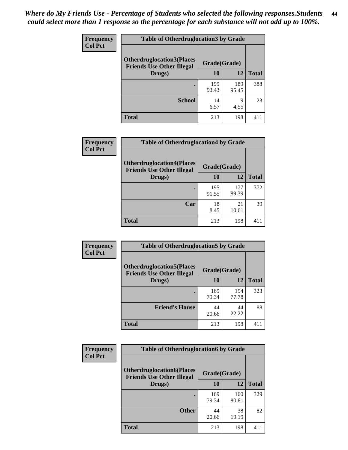| <b>Frequency</b> | <b>Table of Otherdruglocation 3 by Grade</b>                         |              |              |              |
|------------------|----------------------------------------------------------------------|--------------|--------------|--------------|
| <b>Col Pct</b>   | <b>Otherdruglocation3(Places</b><br><b>Friends Use Other Illegal</b> | Grade(Grade) |              |              |
|                  | Drugs)                                                               | 10           | 12           | <b>Total</b> |
|                  |                                                                      | 199<br>93.43 | 189<br>95.45 | 388          |
|                  | <b>School</b>                                                        | 14<br>6.57   | q<br>4.55    | 23           |
|                  | <b>Total</b>                                                         | 213          | 198          |              |

| Frequency      | <b>Table of Otherdruglocation4 by Grade</b>                          |              |              |              |
|----------------|----------------------------------------------------------------------|--------------|--------------|--------------|
| <b>Col Pct</b> | <b>Otherdruglocation4(Places</b><br><b>Friends Use Other Illegal</b> | Grade(Grade) |              |              |
|                | Drugs)                                                               | 10           | 12           | <b>Total</b> |
|                |                                                                      | 195<br>91.55 | 177<br>89.39 | 372          |
|                | Car                                                                  | 18<br>8.45   | 21<br>10.61  | 39           |
|                | <b>Total</b>                                                         | 213          | 198          |              |

| <b>Frequency</b> | <b>Table of Otherdruglocation5 by Grade</b>                          |              |              |              |
|------------------|----------------------------------------------------------------------|--------------|--------------|--------------|
| <b>Col Pct</b>   | <b>Otherdruglocation5(Places</b><br><b>Friends Use Other Illegal</b> | Grade(Grade) |              |              |
|                  | Drugs)                                                               | 10           | 12           | <b>Total</b> |
|                  |                                                                      | 169<br>79.34 | 154<br>77.78 | 323          |
|                  | <b>Friend's House</b>                                                | 44<br>20.66  | 44<br>22.22  | 88           |
|                  | <b>Total</b>                                                         | 213          | 198          |              |

| <b>Frequency</b> | <b>Table of Otherdruglocation6 by Grade</b>                           |              |              |              |
|------------------|-----------------------------------------------------------------------|--------------|--------------|--------------|
| <b>Col Pct</b>   | <b>Otherdruglocation6(Places)</b><br><b>Friends Use Other Illegal</b> | Grade(Grade) |              |              |
|                  | Drugs)                                                                | 10           | 12           | <b>Total</b> |
|                  |                                                                       | 169<br>79.34 | 160<br>80.81 | 329          |
|                  | <b>Other</b>                                                          | 44<br>20.66  | 38<br>19.19  | 82           |
|                  | <b>Total</b>                                                          | 213          | 198          | 411          |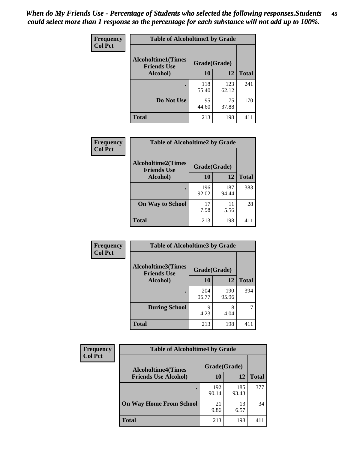| Frequency      | <b>Table of Alcoholtime1 by Grade</b>           |              |              |              |
|----------------|-------------------------------------------------|--------------|--------------|--------------|
| <b>Col Pct</b> | <b>Alcoholtime1(Times</b><br><b>Friends Use</b> | Grade(Grade) |              |              |
|                | Alcohol)                                        | 10           | 12           | <b>Total</b> |
|                |                                                 | 118<br>55.40 | 123<br>62.12 | 241          |
|                | Do Not Use                                      | 95<br>44.60  | 75<br>37.88  | 170          |
|                | <b>Total</b>                                    | 213          | 198          | 411          |

| Frequency      | <b>Table of Alcoholtime2 by Grade</b>           |              |              |              |
|----------------|-------------------------------------------------|--------------|--------------|--------------|
| <b>Col Pct</b> | <b>Alcoholtime2(Times</b><br><b>Friends Use</b> | Grade(Grade) |              |              |
|                | Alcohol)                                        | 10           | 12           | <b>Total</b> |
|                |                                                 | 196<br>92.02 | 187<br>94.44 | 383          |
|                | <b>On Way to School</b>                         | 17<br>7.98   | 11<br>5.56   | 28           |
|                | <b>Total</b>                                    | 213          | 198          | 411          |

| Frequency<br><b>Col Pct</b> | <b>Table of Alcoholtime3 by Grade</b>                           |              |              |              |
|-----------------------------|-----------------------------------------------------------------|--------------|--------------|--------------|
|                             | <b>Alcoholtime3(Times</b><br>Grade(Grade)<br><b>Friends Use</b> |              |              |              |
|                             | Alcohol)                                                        | 10           | 12           | <b>Total</b> |
|                             |                                                                 | 204<br>95.77 | 190<br>95.96 | 394          |
|                             | <b>During School</b>                                            | 9<br>4.23    | 8<br>4.04    | 17           |
|                             | Total                                                           | 213          | 198          | 411          |

| <b>Frequency</b><br><b>Col Pct</b> | <b>Table of Alcoholtime4 by Grade</b> |              |              |              |
|------------------------------------|---------------------------------------|--------------|--------------|--------------|
|                                    | <b>Alcoholtime4(Times</b>             | Grade(Grade) |              |              |
|                                    | <b>Friends Use Alcohol)</b>           | 10           | 12           | <b>Total</b> |
|                                    |                                       | 192<br>90.14 | 185<br>93.43 | 377          |
|                                    | <b>On Way Home From School</b>        | 21<br>9.86   | 13<br>6.57   | 34           |
|                                    | <b>Total</b>                          | 213          | 198          |              |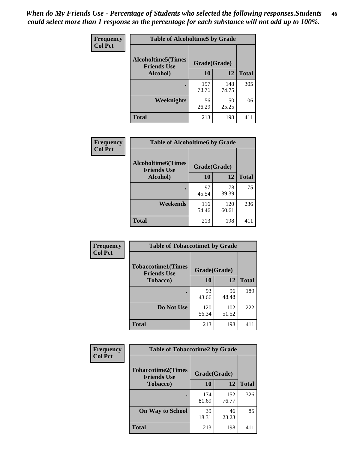*When do My Friends Use - Percentage of Students who selected the following responses.Students could select more than 1 response so the percentage for each substance will not add up to 100%.* **46**

| Frequency      | <b>Table of Alcoholtime5 by Grade</b>           |              |              |              |
|----------------|-------------------------------------------------|--------------|--------------|--------------|
| <b>Col Pct</b> | <b>Alcoholtime5(Times</b><br><b>Friends Use</b> | Grade(Grade) |              |              |
|                | Alcohol)                                        | 10           | 12           | <b>Total</b> |
|                |                                                 | 157<br>73.71 | 148<br>74.75 | 305          |
|                | Weeknights                                      | 56<br>26.29  | 50<br>25.25  | 106          |
|                | <b>Total</b>                                    | 213          | 198          | 411          |

| <b>Frequency</b> |                                                 | <b>Table of Alcoholtime6 by Grade</b> |              |              |  |
|------------------|-------------------------------------------------|---------------------------------------|--------------|--------------|--|
| <b>Col Pct</b>   | <b>Alcoholtime6(Times</b><br><b>Friends Use</b> | Grade(Grade)                          |              |              |  |
|                  | Alcohol)                                        | 10                                    | 12           | <b>Total</b> |  |
|                  |                                                 | 97<br>45.54                           | 78<br>39.39  | 175          |  |
|                  | Weekends                                        | 116<br>54.46                          | 120<br>60.61 | 236          |  |
|                  | <b>Total</b>                                    | 213                                   | 198          | 411          |  |

| Frequency<br><b>Col Pct</b> | <b>Table of Tobaccotime1 by Grade</b>           |              |              |              |
|-----------------------------|-------------------------------------------------|--------------|--------------|--------------|
|                             | <b>Tobaccotime1(Times</b><br><b>Friends Use</b> | Grade(Grade) |              |              |
|                             | <b>Tobacco</b> )                                | 10           | 12           | <b>Total</b> |
|                             | ٠                                               | 93<br>43.66  | 96<br>48.48  | 189          |
|                             | Do Not Use                                      | 120<br>56.34 | 102<br>51.52 | 222          |
|                             | <b>Total</b>                                    | 213          | 198          | 411          |

| <b>Frequency</b> | <b>Table of Tobaccotime2 by Grade</b>           |              |              |              |
|------------------|-------------------------------------------------|--------------|--------------|--------------|
| <b>Col Pct</b>   | <b>Tobaccotime2(Times</b><br><b>Friends Use</b> | Grade(Grade) |              |              |
|                  | <b>Tobacco</b> )                                | <b>10</b>    | 12           | <b>Total</b> |
|                  |                                                 | 174<br>81.69 | 152<br>76.77 | 326          |
|                  | <b>On Way to School</b>                         | 39<br>18.31  | 46<br>23.23  | 85           |
|                  | <b>Total</b>                                    | 213          | 198          | 411          |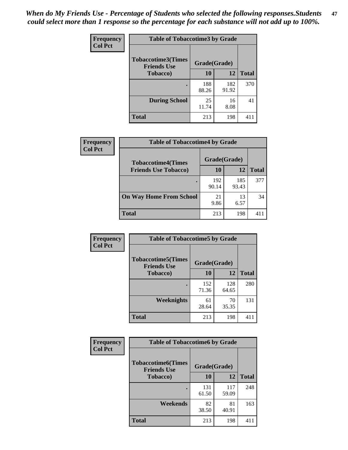*When do My Friends Use - Percentage of Students who selected the following responses.Students could select more than 1 response so the percentage for each substance will not add up to 100%.* **47**

| <b>Frequency</b> | <b>Table of Tobaccotime3 by Grade</b>           |              |              |              |  |
|------------------|-------------------------------------------------|--------------|--------------|--------------|--|
| <b>Col Pct</b>   | <b>Tobaccotime3(Times</b><br><b>Friends Use</b> |              | Grade(Grade) |              |  |
|                  | <b>Tobacco</b> )                                | 10           | 12           | <b>Total</b> |  |
|                  |                                                 | 188<br>88.26 | 182<br>91.92 | 370          |  |
|                  | <b>During School</b>                            | 25<br>11.74  | 16<br>8.08   | 41           |  |
|                  | <b>Total</b>                                    | 213          | 198          | 411          |  |

| <b>Frequency</b><br><b>Col Pct</b> | <b>Table of Tobaccotime4 by Grade</b> |              |              |              |
|------------------------------------|---------------------------------------|--------------|--------------|--------------|
|                                    | <b>Tobaccotime4(Times</b>             | Grade(Grade) |              |              |
|                                    | <b>Friends Use Tobacco)</b>           | 10           | 12           | <b>Total</b> |
|                                    |                                       | 192<br>90.14 | 185<br>93.43 | 377          |
|                                    | <b>On Way Home From School</b>        | 21<br>9.86   | 13<br>6.57   | 34           |
|                                    | <b>Total</b>                          | 213          | 198          | 41 i         |

| <b>Frequency</b> | <b>Table of Tobaccotime5 by Grade</b>           |              |              |              |
|------------------|-------------------------------------------------|--------------|--------------|--------------|
| <b>Col Pct</b>   | <b>Tobaccotime5(Times</b><br><b>Friends Use</b> | Grade(Grade) |              |              |
|                  | <b>Tobacco</b> )                                | 10           | 12           | <b>Total</b> |
|                  |                                                 | 152<br>71.36 | 128<br>64.65 | 280          |
|                  | Weeknights                                      | 61<br>28.64  | 70<br>35.35  | 131          |
|                  | <b>Total</b>                                    | 213          | 198          | 411          |

| Frequency<br><b>Col Pct</b> | <b>Table of Tobaccotime6 by Grade</b>           |              |              |              |  |
|-----------------------------|-------------------------------------------------|--------------|--------------|--------------|--|
|                             | <b>Tobaccotime6(Times</b><br><b>Friends Use</b> | Grade(Grade) |              |              |  |
|                             | <b>Tobacco</b> )                                | 10           | 12           | <b>Total</b> |  |
|                             |                                                 | 131<br>61.50 | 117<br>59.09 | 248          |  |
|                             | Weekends                                        | 82<br>38.50  | 81<br>40.91  | 163          |  |
|                             | Total                                           | 213          | 198          | 411          |  |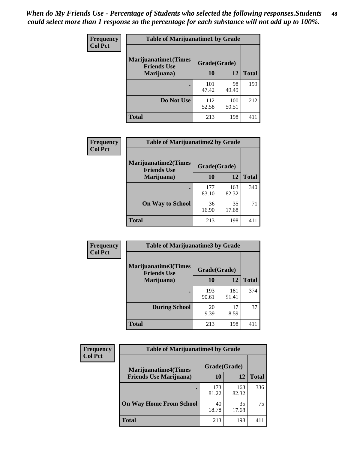| Frequency      | <b>Table of Marijuanatime1 by Grade</b>           |              |              |              |
|----------------|---------------------------------------------------|--------------|--------------|--------------|
| <b>Col Pct</b> | <b>Marijuanatime1(Times</b><br><b>Friends Use</b> | Grade(Grade) |              |              |
|                | Marijuana)                                        | 10           | 12           | <b>Total</b> |
|                |                                                   | 101<br>47.42 | 98<br>49.49  | 199          |
|                | Do Not Use                                        | 112<br>52.58 | 100<br>50.51 | 212          |
|                | <b>Total</b>                                      | 213          | 198          | 411          |

| Frequency      | <b>Table of Marijuanatime2 by Grade</b>           |              |              |              |
|----------------|---------------------------------------------------|--------------|--------------|--------------|
| <b>Col Pct</b> | <b>Marijuanatime2(Times</b><br><b>Friends Use</b> | Grade(Grade) |              |              |
|                | Marijuana)                                        | 10           | 12           | <b>Total</b> |
|                |                                                   | 177<br>83.10 | 163<br>82.32 | 340          |
|                | <b>On Way to School</b>                           | 36<br>16.90  | 35<br>17.68  | 71           |
|                | <b>Total</b>                                      | 213          | 198          | 411          |

| <b>Frequency</b> | <b>Table of Marijuanatime3 by Grade</b>            |              |              |              |  |
|------------------|----------------------------------------------------|--------------|--------------|--------------|--|
| <b>Col Pct</b>   | <b>Marijuanatime3</b> (Times<br><b>Friends Use</b> | Grade(Grade) |              |              |  |
|                  | Marijuana)                                         | 10           | 12           | <b>Total</b> |  |
|                  |                                                    | 193<br>90.61 | 181<br>91.41 | 374          |  |
|                  | <b>During School</b>                               | 20<br>9.39   | 17<br>8.59   | 37           |  |
|                  | <b>Total</b>                                       | 213          | 198          | 411          |  |

| <b>Frequency</b> | <b>Table of Marijuanatime4 by Grade</b> |              |              |              |
|------------------|-----------------------------------------|--------------|--------------|--------------|
| <b>Col Pct</b>   | <b>Marijuanatime4(Times</b>             | Grade(Grade) |              |              |
|                  | <b>Friends Use Marijuana</b> )          | 10           | 12           | <b>Total</b> |
|                  | ٠                                       | 173<br>81.22 | 163<br>82.32 | 336          |
|                  | <b>On Way Home From School</b>          | 40<br>18.78  | 35<br>17.68  | 75           |
|                  | <b>Total</b>                            | 213          | 198          | 411          |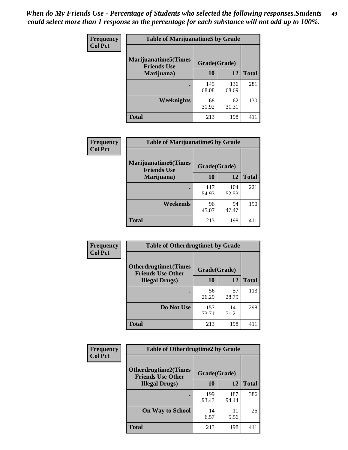| Frequency      | <b>Table of Marijuanatime5 by Grade</b>            |              |              |              |
|----------------|----------------------------------------------------|--------------|--------------|--------------|
| <b>Col Pct</b> | <b>Marijuanatime5</b> (Times<br><b>Friends Use</b> | Grade(Grade) |              |              |
|                | Marijuana)                                         | 10           | 12           | <b>Total</b> |
|                |                                                    | 145<br>68.08 | 136<br>68.69 | 281          |
|                | <b>Weeknights</b>                                  | 68<br>31.92  | 62<br>31.31  | 130          |
|                | <b>Total</b>                                       | 213          | 198          | 411          |

| Frequency      | <b>Table of Marijuanatime6 by Grade</b>    |              |              |              |  |
|----------------|--------------------------------------------|--------------|--------------|--------------|--|
| <b>Col Pct</b> | Marijuanatime6(Times<br><b>Friends Use</b> | Grade(Grade) |              |              |  |
|                | Marijuana)                                 | 10           | 12           | <b>Total</b> |  |
|                |                                            | 117<br>54.93 | 104<br>52.53 | 221          |  |
|                | Weekends                                   | 96<br>45.07  | 94<br>47.47  | 190          |  |
|                | <b>Total</b>                               | 213          | 198          | 411          |  |

| Frequency      | <b>Table of Otherdrugtime1 by Grade</b>                 |              |              |              |
|----------------|---------------------------------------------------------|--------------|--------------|--------------|
| <b>Col Pct</b> | <b>Otherdrugtime1(Times</b><br><b>Friends Use Other</b> | Grade(Grade) |              |              |
|                | <b>Illegal Drugs</b> )                                  | 10           | 12           | <b>Total</b> |
|                |                                                         | 56<br>26.29  | 57<br>28.79  | 113          |
|                | Do Not Use                                              | 157<br>73.71 | 141<br>71.21 | 298          |
|                | Total                                                   | 213          | 198          | 411          |

| Frequency      | <b>Table of Otherdrugtime2 by Grade</b>                 |              |              |              |  |  |  |
|----------------|---------------------------------------------------------|--------------|--------------|--------------|--|--|--|
| <b>Col Pct</b> | <b>Otherdrugtime2(Times</b><br><b>Friends Use Other</b> | Grade(Grade) |              |              |  |  |  |
|                | <b>Illegal Drugs</b> )                                  | 10           | 12           | <b>Total</b> |  |  |  |
|                |                                                         | 199<br>93.43 | 187<br>94.44 | 386          |  |  |  |
|                | <b>On Way to School</b>                                 | 14<br>6.57   | 11<br>5.56   | 25           |  |  |  |
|                | Total                                                   | 213          | 198          | 411          |  |  |  |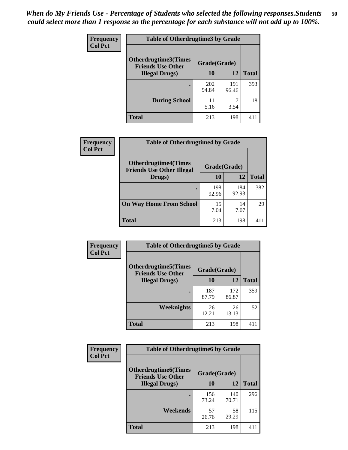| <b>Frequency</b> | <b>Table of Otherdrugtime3 by Grade</b>                 |              |              |              |  |  |  |
|------------------|---------------------------------------------------------|--------------|--------------|--------------|--|--|--|
| <b>Col Pct</b>   | <b>Otherdrugtime3(Times</b><br><b>Friends Use Other</b> | Grade(Grade) |              |              |  |  |  |
|                  | <b>Illegal Drugs)</b>                                   | 10           | 12           | <b>Total</b> |  |  |  |
|                  |                                                         | 202<br>94.84 | 191<br>96.46 | 393          |  |  |  |
|                  | <b>During School</b>                                    | 11<br>5.16   | ℸ<br>3.54    | 18           |  |  |  |
|                  | Total                                                   | 213          | 198          | 411          |  |  |  |

| Frequency      | <b>Table of Otherdrugtime4 by Grade</b>                         |              |              |              |  |  |  |
|----------------|-----------------------------------------------------------------|--------------|--------------|--------------|--|--|--|
| <b>Col Pct</b> | <b>Otherdrugtime4(Times</b><br><b>Friends Use Other Illegal</b> | Grade(Grade) |              |              |  |  |  |
|                | Drugs)                                                          | 10           | 12           | <b>Total</b> |  |  |  |
|                | ٠                                                               | 198<br>92.96 | 184<br>92.93 | 382          |  |  |  |
|                | <b>On Way Home From School</b>                                  | 15<br>7.04   | 14<br>7.07   | 29           |  |  |  |
|                | Total                                                           | 213          | 198          |              |  |  |  |

| <b>Frequency</b> | <b>Table of Otherdrugtime5 by Grade</b>                  |              |              |              |  |  |  |
|------------------|----------------------------------------------------------|--------------|--------------|--------------|--|--|--|
| <b>Col Pct</b>   | <b>Otherdrugtime5</b> (Times<br><b>Friends Use Other</b> | Grade(Grade) |              |              |  |  |  |
|                  | <b>Illegal Drugs</b> )                                   | 10           | 12           | <b>Total</b> |  |  |  |
|                  |                                                          | 187<br>87.79 | 172<br>86.87 | 359          |  |  |  |
|                  | Weeknights                                               | 26<br>12.21  | 26<br>13.13  | 52           |  |  |  |
|                  | Total                                                    | 213          | 198          |              |  |  |  |

| Frequency      | <b>Table of Otherdrugtime6 by Grade</b>                 |              |              |              |  |  |  |
|----------------|---------------------------------------------------------|--------------|--------------|--------------|--|--|--|
| <b>Col Pct</b> | <b>Otherdrugtime6(Times</b><br><b>Friends Use Other</b> | Grade(Grade) |              |              |  |  |  |
|                | <b>Illegal Drugs</b> )                                  | 10           | 12           | <b>Total</b> |  |  |  |
|                |                                                         | 156<br>73.24 | 140<br>70.71 | 296          |  |  |  |
|                | Weekends                                                | 57<br>26.76  | 58<br>29.29  | 115          |  |  |  |
|                | <b>Total</b>                                            | 213          | 198          | 411          |  |  |  |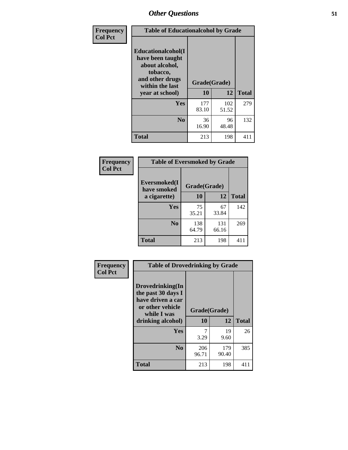| Frequency      | <b>Table of Educationalcohol by Grade</b>                                                                  |              |              |              |  |  |
|----------------|------------------------------------------------------------------------------------------------------------|--------------|--------------|--------------|--|--|
| <b>Col Pct</b> | Educationalcohol(I<br>have been taught<br>about alcohol,<br>tobacco,<br>and other drugs<br>within the last | Grade(Grade) |              |              |  |  |
|                | year at school)                                                                                            | 10           | 12           | <b>Total</b> |  |  |
|                | <b>Yes</b>                                                                                                 | 177<br>83.10 | 102<br>51.52 | 279          |  |  |
|                | N <sub>0</sub>                                                                                             | 36<br>16.90  | 96<br>48.48  | 132          |  |  |
|                | <b>Total</b>                                                                                               | 213          | 198          | 411          |  |  |

| Frequency      | <b>Table of Eversmoked by Grade</b>         |              |              |              |  |  |  |
|----------------|---------------------------------------------|--------------|--------------|--------------|--|--|--|
| <b>Col Pct</b> | Eversmoked(I<br>Grade(Grade)<br>have smoked |              |              |              |  |  |  |
|                | a cigarette)                                | 10           | 12           | <b>Total</b> |  |  |  |
|                | <b>Yes</b>                                  | 75<br>35.21  | 67<br>33.84  | 142          |  |  |  |
|                | N <sub>0</sub>                              | 138<br>64.79 | 131<br>66.16 | 269          |  |  |  |
|                | <b>Total</b>                                | 213          | 198          | 411          |  |  |  |

| Frequency<br><b>Col Pct</b> | <b>Table of Drovedrinking by Grade</b>                                                                              |                    |              |     |  |  |
|-----------------------------|---------------------------------------------------------------------------------------------------------------------|--------------------|--------------|-----|--|--|
|                             | Drovedrinking(In<br>the past 30 days I<br>have driven a car<br>or other vehicle<br>while I was<br>drinking alcohol) | Grade(Grade)<br>10 | <b>Total</b> |     |  |  |
|                             | <b>Yes</b>                                                                                                          | 3.29               | 19<br>9.60   | 26  |  |  |
|                             | N <sub>0</sub>                                                                                                      | 206<br>96.71       | 179<br>90.40 | 385 |  |  |
|                             | <b>Total</b>                                                                                                        | 213                | 198          | 411 |  |  |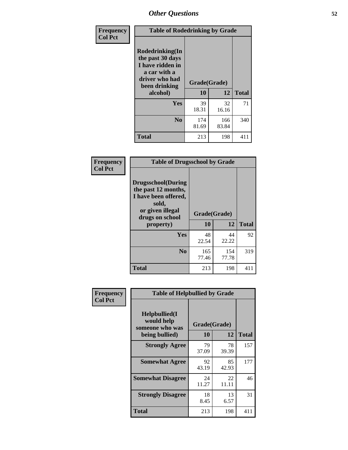| Frequency<br><b>Col Pct</b> | <b>Table of Rodedrinking by Grade</b>                                                                      |              |              |              |  |  |
|-----------------------------|------------------------------------------------------------------------------------------------------------|--------------|--------------|--------------|--|--|
|                             | Rodedrinking(In<br>the past 30 days<br>I have ridden in<br>a car with a<br>driver who had<br>been drinking | Grade(Grade) |              |              |  |  |
|                             | alcohol)                                                                                                   | 10           | 12           | <b>Total</b> |  |  |
|                             | <b>Yes</b>                                                                                                 | 39<br>18.31  | 32<br>16.16  | 71           |  |  |
|                             | N <sub>0</sub>                                                                                             | 174<br>81.69 | 166<br>83.84 | 340          |  |  |
|                             | <b>Total</b>                                                                                               | 213          | 198          | 411          |  |  |

#### **Frequency Col Pct**

| <b>Table of Drugsschool by Grade</b>                                                                                      |              |              |              |  |  |  |  |
|---------------------------------------------------------------------------------------------------------------------------|--------------|--------------|--------------|--|--|--|--|
| <b>Drugsschool</b> (During<br>the past 12 months,<br>I have been offered,<br>sold,<br>or given illegal<br>drugs on school | Grade(Grade) |              |              |  |  |  |  |
| property)                                                                                                                 | 10           | 12           | <b>Total</b> |  |  |  |  |
| Yes                                                                                                                       | 48<br>22.54  | 44<br>22.22  | 92           |  |  |  |  |
| $\bf No$                                                                                                                  | 165<br>77.46 | 154<br>77.78 | 319          |  |  |  |  |
| <b>Total</b>                                                                                                              | 213          | 198          | 411          |  |  |  |  |

| Frequency      | <b>Table of Helpbullied by Grade</b>                                   |                    |              |     |  |  |  |
|----------------|------------------------------------------------------------------------|--------------------|--------------|-----|--|--|--|
| <b>Col Pct</b> | $Helpb$ ullied $(I$<br>would help<br>someone who was<br>being bullied) | Grade(Grade)<br>10 | <b>Total</b> |     |  |  |  |
|                |                                                                        |                    | 12           |     |  |  |  |
|                | <b>Strongly Agree</b>                                                  | 79<br>37.09        | 78<br>39.39  | 157 |  |  |  |
|                | <b>Somewhat Agree</b>                                                  | 92<br>43.19        | 85<br>42.93  | 177 |  |  |  |
|                | <b>Somewhat Disagree</b>                                               | 24<br>11.27        | 22<br>11.11  | 46  |  |  |  |
|                | <b>Strongly Disagree</b>                                               | 18<br>8.45         | 13<br>6.57   | 31  |  |  |  |
|                | <b>Total</b>                                                           | 213                | 198          | 411 |  |  |  |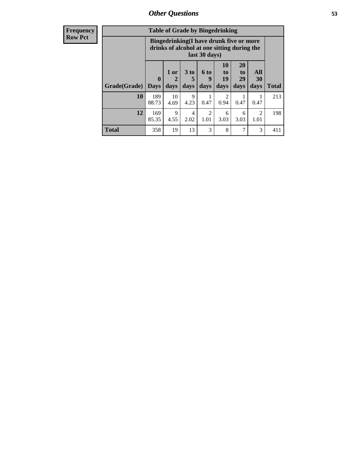| <b>Frequency</b> | <b>Table of Grade by Bingedrinking</b> |                                                                                                         |                              |                              |                   |                        |                        |                          |              |
|------------------|----------------------------------------|---------------------------------------------------------------------------------------------------------|------------------------------|------------------------------|-------------------|------------------------|------------------------|--------------------------|--------------|
| <b>Row Pct</b>   |                                        | Bingedrinking(I have drunk five or more<br>drinks of alcohol at one sitting during the<br>last 30 days) |                              |                              |                   |                        |                        |                          |              |
|                  | <b>Grade(Grade)</b>                    | $\mathbf{0}$<br><b>Days</b>                                                                             | 1 or<br>$\mathbf{2}$<br>days | 3 <sub>to</sub><br>5<br>days | 6 to<br>9<br>days | 10<br>to<br>19<br>days | 20<br>to<br>29<br>days | All<br><b>30</b><br>days | <b>Total</b> |
|                  | 10                                     | 189<br>88.73                                                                                            | 10<br>4.69                   | 9<br>4.23                    | 0.47              | $\mathcal{D}$<br>0.94  | 0.47                   | 0.47                     | 213          |
|                  | 12                                     | 169<br>85.35                                                                                            | 9<br>4.55                    | 4<br>2.02                    | 2<br>1.01         | 6<br>3.03              | 6<br>3.03              | $\mathfrak{D}$<br>1.01   | 198          |
|                  | <b>Total</b>                           | 358                                                                                                     | 19                           | 13                           | 3                 | 8                      | ⇁                      | 3                        | 411          |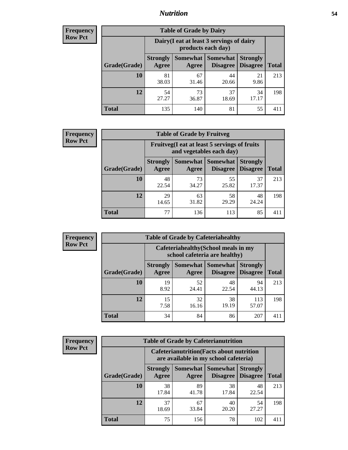### *Nutrition* **54**

| <b>Frequency</b><br>Row Pct |
|-----------------------------|
|                             |

| <b>Table of Grade by Dairy</b> |                          |                                                                 |                             |                                    |              |  |
|--------------------------------|--------------------------|-----------------------------------------------------------------|-----------------------------|------------------------------------|--------------|--|
|                                |                          | Dairy (I eat at least 3 servings of dairy<br>products each day) |                             |                                    |              |  |
| Grade(Grade)                   | <b>Strongly</b><br>Agree | <b>Somewhat</b><br>Agree                                        | <b>Somewhat</b><br>Disagree | <b>Strongly</b><br><b>Disagree</b> | <b>Total</b> |  |
| 10                             | 81<br>38.03              | 67<br>31.46                                                     | 44<br>20.66                 | 21<br>9.86                         | 213          |  |
| 12                             | 54<br>27.27              | 73<br>36.87                                                     | 37<br>18.69                 | 34<br>17.17                        | 198          |  |
| <b>Total</b>                   | 135                      | 140                                                             | 81                          | 55                                 | 411          |  |

| <b>Frequency</b> |  |
|------------------|--|
| <b>Row Pct</b>   |  |

| <b>Table of Grade by Fruitveg</b> |                          |                                                                          |                                      |                                    |              |  |
|-----------------------------------|--------------------------|--------------------------------------------------------------------------|--------------------------------------|------------------------------------|--------------|--|
|                                   |                          | Fruitveg(I eat at least 5 servings of fruits<br>and vegetables each day) |                                      |                                    |              |  |
| Grade(Grade)                      | <b>Strongly</b><br>Agree | Agree                                                                    | Somewhat Somewhat<br><b>Disagree</b> | <b>Strongly</b><br><b>Disagree</b> | <b>Total</b> |  |
| 10                                | 48<br>22.54              | 73<br>34.27                                                              | 55<br>25.82                          | 37<br>17.37                        | 213          |  |
| 12                                | 29<br>14.65              | 63<br>31.82                                                              | 58<br>29.29                          | 48<br>24.24                        | 198          |  |
| <b>Total</b>                      | 77                       | 136                                                                      | 113                                  | 85                                 | 41           |  |

| <b>Frequency</b> | <b>Table of Grade by Cafeteriahealthy</b>                             |                          |             |                                        |                                    |              |  |
|------------------|-----------------------------------------------------------------------|--------------------------|-------------|----------------------------------------|------------------------------------|--------------|--|
| <b>Row Pct</b>   | Cafeteriahealthy (School meals in my<br>school cafeteria are healthy) |                          |             |                                        |                                    |              |  |
|                  | Grade(Grade)                                                          | <b>Strongly</b><br>Agree | Agree       | Somewhat   Somewhat<br><b>Disagree</b> | <b>Strongly</b><br><b>Disagree</b> | <b>Total</b> |  |
|                  | 10                                                                    | 19<br>8.92               | 52<br>24.41 | 48<br>22.54                            | 94<br>44.13                        | 213          |  |
|                  | 12                                                                    | 15<br>7.58               | 32<br>16.16 | 38<br>19.19                            | 113<br>57.07                       | 198          |  |
|                  | <b>Total</b>                                                          | 34                       | 84          | 86                                     | 207                                | 411          |  |

| <b>Frequency</b> |
|------------------|
| <b>Row Pct</b>   |

| <b>Table of Grade by Cafeterianutrition</b> |                                                                                           |             |                                        |                                    |              |  |
|---------------------------------------------|-------------------------------------------------------------------------------------------|-------------|----------------------------------------|------------------------------------|--------------|--|
|                                             | <b>Cafeterianutrition</b> (Facts about nutrition<br>are available in my school cafeteria) |             |                                        |                                    |              |  |
| Grade(Grade)                                | <b>Strongly</b><br>Agree                                                                  | Agree       | Somewhat   Somewhat<br><b>Disagree</b> | <b>Strongly</b><br><b>Disagree</b> | <b>Total</b> |  |
| 10                                          | 38<br>17.84                                                                               | 89<br>41.78 | 38<br>17.84                            | 48<br>22.54                        | 213          |  |
| 12                                          | 37<br>18.69                                                                               | 67<br>33.84 | 40<br>20.20                            | 54<br>27.27                        | 198          |  |
| <b>Total</b>                                | 75                                                                                        | 156         | 78                                     | 102                                | 411          |  |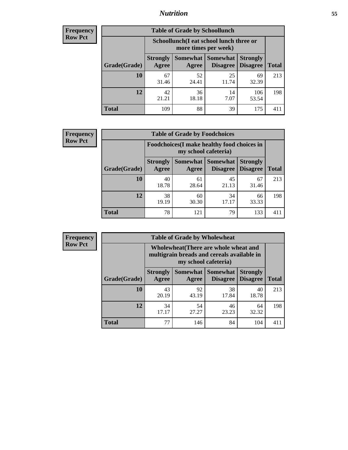### *Nutrition* **55**

| <b>Frequency</b> |
|------------------|
| <b>Row Pct</b>   |

| <b>Table of Grade by Schoollunch</b> |                                                                                                                            |                                                                 |             |              |     |  |
|--------------------------------------|----------------------------------------------------------------------------------------------------------------------------|-----------------------------------------------------------------|-------------|--------------|-----|--|
|                                      |                                                                                                                            | Schoollunch(I eat school lunch three or<br>more times per week) |             |              |     |  |
| Grade(Grade)                         | Somewhat   Somewhat<br><b>Strongly</b><br><b>Strongly</b><br><b>Disagree</b><br>Disagree<br><b>Total</b><br>Agree<br>Agree |                                                                 |             |              |     |  |
| 10                                   | 67<br>31.46                                                                                                                | 52<br>24.41                                                     | 25<br>11.74 | 69<br>32.39  | 213 |  |
| 12                                   | 42<br>21.21                                                                                                                | 36<br>18.18                                                     | 14<br>7.07  | 106<br>53.54 | 198 |  |
| <b>Total</b>                         | 109                                                                                                                        | 88                                                              | 39          | 175          |     |  |

| <b>Frequency</b> |  |
|------------------|--|
| <b>Row Pct</b>   |  |

| <b>Table of Grade by Foodchoices</b> |                          |                                                                     |                                      |                                    |              |  |
|--------------------------------------|--------------------------|---------------------------------------------------------------------|--------------------------------------|------------------------------------|--------------|--|
|                                      |                          | Foodchoices (I make healthy food choices in<br>my school cafeteria) |                                      |                                    |              |  |
| Grade(Grade)                         | <b>Strongly</b><br>Agree | Agree                                                               | Somewhat Somewhat<br><b>Disagree</b> | <b>Strongly</b><br><b>Disagree</b> | <b>Total</b> |  |
| 10                                   | 40<br>18.78              | 61<br>28.64                                                         | 45<br>21.13                          | 67<br>31.46                        | 213          |  |
| 12                                   | 38<br>19.19              | 60<br>30.30                                                         | 34<br>17.17                          | 66<br>33.33                        | 198          |  |
| <b>Total</b>                         | 78                       | 121                                                                 | 79                                   | 133                                |              |  |

| <b>Frequency</b><br>Row Pct |
|-----------------------------|
|                             |

| <b>Table of Grade by Wholewheat</b> |                                                                                                             |             |                                 |                                    |              |  |
|-------------------------------------|-------------------------------------------------------------------------------------------------------------|-------------|---------------------------------|------------------------------------|--------------|--|
|                                     | Wholewheat (There are whole wheat and<br>multigrain breads and cereals available in<br>my school cafeteria) |             |                                 |                                    |              |  |
| Grade(Grade)                        | <b>Strongly</b><br>Agree                                                                                    | Agree       | Somewhat   Somewhat<br>Disagree | <b>Strongly</b><br><b>Disagree</b> | <b>Total</b> |  |
| <b>10</b>                           | 43<br>20.19                                                                                                 | 92<br>43.19 | 38<br>17.84                     | 40<br>18.78                        | 213          |  |
| 12                                  | 34<br>17.17                                                                                                 | 54<br>27.27 | 46<br>23.23                     | 64<br>32.32                        | 198          |  |
| <b>Total</b>                        | 77                                                                                                          | 146         | 84                              | 104                                |              |  |

٦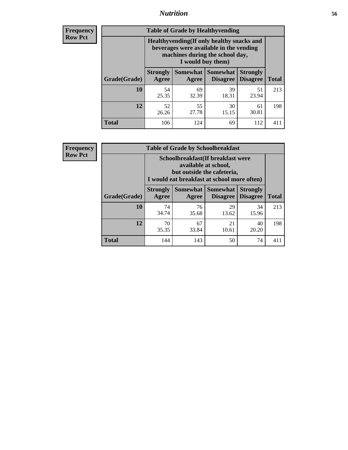### *Nutrition* **56**

**Frequency Row Pct**

| <b>Table of Grade by Healthyvending</b> |                                                                                                                                               |                          |                                    |                                    |              |  |
|-----------------------------------------|-----------------------------------------------------------------------------------------------------------------------------------------------|--------------------------|------------------------------------|------------------------------------|--------------|--|
|                                         | Healthyvending (If only healthy snacks and<br>beverages were available in the vending<br>machines during the school day,<br>I would buy them) |                          |                                    |                                    |              |  |
| Grade(Grade)                            | <b>Strongly</b><br>Agree                                                                                                                      | <b>Somewhat</b><br>Agree | <b>Somewhat</b><br><b>Disagree</b> | <b>Strongly</b><br><b>Disagree</b> | <b>Total</b> |  |
| 10                                      | 54<br>25.35                                                                                                                                   | 69<br>32.39              | 39<br>18.31                        | 51<br>23.94                        | 213          |  |
| 12                                      | 52<br>26.26                                                                                                                                   | 55<br>27.78              | 30<br>15.15                        | 61<br>30.81                        | 198          |  |
| <b>Total</b>                            | 106                                                                                                                                           | 124                      | 69                                 | 112                                |              |  |

**Frequency Row Pct**

| <b>Table of Grade by Schoolbreakfast</b> |                                                                                                                                        |                     |                                    |                                    |              |  |
|------------------------------------------|----------------------------------------------------------------------------------------------------------------------------------------|---------------------|------------------------------------|------------------------------------|--------------|--|
|                                          | Schoolbreakfast(If breakfast were<br>available at school,<br>but outside the cafeteria,<br>I would eat breakfast at school more often) |                     |                                    |                                    |              |  |
| Grade(Grade)                             | <b>Strongly</b><br>Agree                                                                                                               | Somewhat  <br>Agree | <b>Somewhat</b><br><b>Disagree</b> | <b>Strongly</b><br><b>Disagree</b> | <b>Total</b> |  |
| 10                                       | 74<br>34.74                                                                                                                            | 76<br>35.68         | 29<br>13.62                        | 34<br>15.96                        | 213          |  |
| 12                                       | 70<br>35.35                                                                                                                            | 67<br>33.84         | 21<br>10.61                        | 40<br>20.20                        | 198          |  |
| <b>Total</b>                             | 144                                                                                                                                    | 143                 | 50                                 | 74                                 | 411          |  |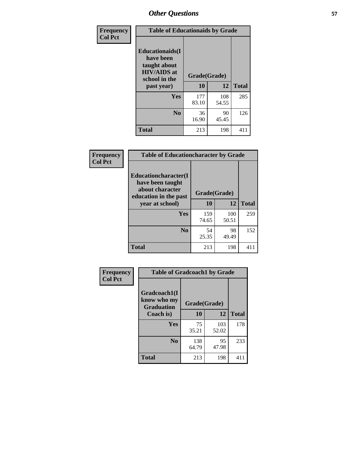| Frequency<br><b>Col Pct</b> | <b>Table of Educationaids by Grade</b>                                                                    |                    |              |              |
|-----------------------------|-----------------------------------------------------------------------------------------------------------|--------------------|--------------|--------------|
|                             | <b>Educationaids</b> (I<br>have been<br>taught about<br><b>HIV/AIDS</b> at<br>school in the<br>past year) | Grade(Grade)<br>10 | 12           | <b>Total</b> |
|                             | Yes                                                                                                       | 177<br>83.10       | 108<br>54.55 | 285          |
|                             | N <sub>0</sub>                                                                                            | 36<br>16.90        | 90<br>45.45  | 126          |
|                             | <b>Total</b>                                                                                              | 213                | 198          | 411          |

| <b>Frequency</b> | <b>Table of Educationcharacter by Grade</b>                                                             |              |              |              |
|------------------|---------------------------------------------------------------------------------------------------------|--------------|--------------|--------------|
| <b>Col Pct</b>   | Educationcharacter(I<br>have been taught<br>about character<br>education in the past<br>year at school) | Grade(Grade) |              |              |
|                  |                                                                                                         | 10           | 12           | <b>Total</b> |
|                  | Yes                                                                                                     | 159<br>74.65 | 100<br>50.51 | 259          |
|                  | N <sub>0</sub>                                                                                          | 54<br>25.35  | 98<br>49.49  | 152          |
|                  | <b>Total</b>                                                                                            | 213          | 198          | 411          |

| Frequency      | <b>Table of Gradcoach1 by Grade</b>              |              |              |              |
|----------------|--------------------------------------------------|--------------|--------------|--------------|
| <b>Col Pct</b> | Gradcoach1(I<br>know who my<br><b>Graduation</b> | Grade(Grade) |              |              |
|                | Coach is)                                        | 10           | 12           | <b>Total</b> |
|                | Yes                                              | 75<br>35.21  | 103<br>52.02 | 178          |
|                | N <sub>0</sub>                                   | 138<br>64.79 | 95<br>47.98  | 233          |
|                | <b>Total</b>                                     | 213          | 198          | 411          |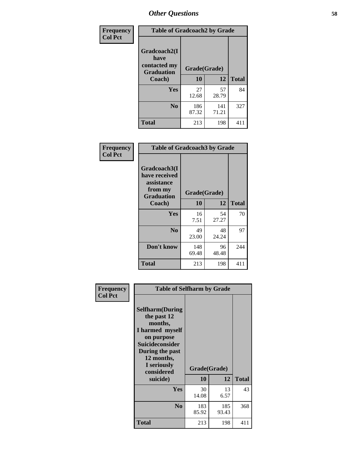| Frequency      | <b>Table of Gradcoach2 by Grade</b> |              |              |              |
|----------------|-------------------------------------|--------------|--------------|--------------|
| <b>Col Pct</b> |                                     |              |              |              |
|                | Gradcoach2(I<br>have                |              |              |              |
|                | contacted my<br><b>Graduation</b>   | Grade(Grade) |              |              |
|                | Coach)                              | 10           | 12           | <b>Total</b> |
|                | Yes                                 | 27<br>12.68  | 57<br>28.79  | 84           |
|                | N <sub>0</sub>                      | 186<br>87.32 | 141<br>71.21 | 327          |
|                | <b>Total</b>                        | 213          | 198          | 411          |

| Frequency<br><b>Col Pct</b> | <b>Table of Gradcoach3 by Grade</b>                                         |              |             |              |  |
|-----------------------------|-----------------------------------------------------------------------------|--------------|-------------|--------------|--|
|                             | Gradcoach3(I<br>have received<br>assistance<br>from my<br><b>Graduation</b> | Grade(Grade) |             |              |  |
|                             | Coach)                                                                      | 10           | 12          | <b>Total</b> |  |
|                             | <b>Yes</b>                                                                  | 16<br>7.51   | 54<br>27.27 | 70           |  |
|                             | N <sub>0</sub>                                                              | 49<br>23.00  | 48<br>24.24 | 97           |  |
|                             | Don't know                                                                  | 148<br>69.48 | 96<br>48.48 | 244          |  |
|                             | <b>Total</b>                                                                | 213          | 198         | 411          |  |

| Frequency      | <b>Table of Selfharm by Grade</b>                                                                                                                                                      |                    |              |              |
|----------------|----------------------------------------------------------------------------------------------------------------------------------------------------------------------------------------|--------------------|--------------|--------------|
| <b>Col Pct</b> | <b>Selfharm</b> (During<br>the past 12<br>months,<br>I harmed myself<br>on purpose<br><b>Suicideconsider</b><br>During the past<br>12 months,<br>I seriously<br>considered<br>suicide) | Grade(Grade)<br>10 | 12           | <b>Total</b> |
|                | Yes                                                                                                                                                                                    | 30<br>14.08        | 13<br>6.57   | 43           |
|                | N <sub>0</sub>                                                                                                                                                                         | 183<br>85.92       | 185<br>93.43 | 368          |
|                | <b>Total</b>                                                                                                                                                                           | 213                | 198          | 411          |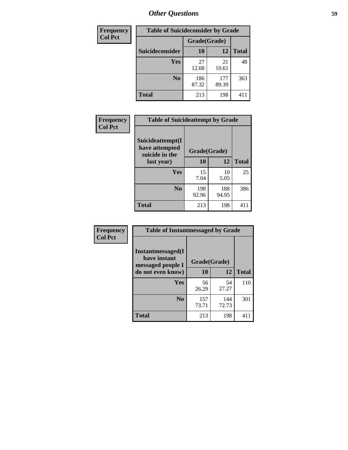| <b>Frequency</b> | <b>Table of Suicideconsider by Grade</b> |              |              |              |
|------------------|------------------------------------------|--------------|--------------|--------------|
| <b>Col Pct</b>   |                                          | Grade(Grade) |              |              |
|                  | Suicideconsider                          | <b>10</b>    | 12           | <b>Total</b> |
|                  | Yes                                      | 27<br>12.68  | 21<br>10.61  | 48           |
|                  | N <sub>0</sub>                           | 186<br>87.32 | 177<br>89.39 | 363          |
|                  | <b>Total</b>                             | 213          | 198          | 411          |

| Frequency      | <b>Table of Suicideattempt by Grade</b>              |              |              |              |
|----------------|------------------------------------------------------|--------------|--------------|--------------|
| <b>Col Pct</b> | Suicideattempt(I<br>have attempted<br>suicide in the | Grade(Grade) |              |              |
|                | last year)                                           | 10           | 12           | <b>Total</b> |
|                | Yes                                                  | 15<br>7.04   | 10<br>5.05   | 25           |
|                | N <sub>0</sub>                                       | 198<br>92.96 | 188<br>94.95 | 386          |
|                | <b>Total</b>                                         | 213          | 198          | 411          |

| Frequency      | <b>Table of Instantmessaged by Grade</b>               |              |              |              |
|----------------|--------------------------------------------------------|--------------|--------------|--------------|
| <b>Col Pct</b> | Instantmessaged(I<br>have instant<br>messaged people I | Grade(Grade) |              |              |
|                | do not even know)                                      | 10           | 12           | <b>Total</b> |
|                | Yes                                                    | 56<br>26.29  | 54<br>27.27  | 110          |
|                | N <sub>0</sub>                                         | 157<br>73.71 | 144<br>72.73 | 301          |
|                | <b>Total</b>                                           | 213          | 198          | 411          |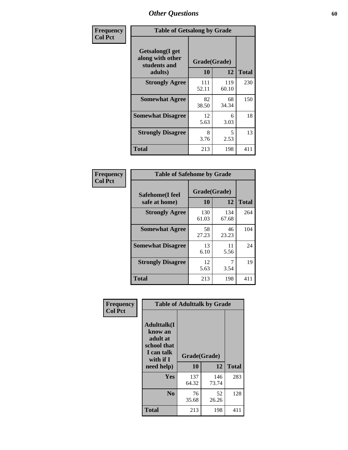| Frequency      | <b>Table of Getsalong by Grade</b>                          |              |              |              |  |  |
|----------------|-------------------------------------------------------------|--------------|--------------|--------------|--|--|
| <b>Col Pct</b> | <b>Getsalong</b> (I get<br>along with other<br>students and | Grade(Grade) |              |              |  |  |
|                | adults)                                                     | 10           | 12           | <b>Total</b> |  |  |
|                | <b>Strongly Agree</b>                                       | 111<br>52.11 | 119<br>60.10 | 230          |  |  |
|                | <b>Somewhat Agree</b>                                       | 82<br>38.50  | 68<br>34.34  | 150          |  |  |
|                | <b>Somewhat Disagree</b>                                    | 12<br>5.63   | 6<br>3.03    | 18           |  |  |
|                | <b>Strongly Disagree</b>                                    | 8<br>3.76    | 5<br>2.53    | 13           |  |  |
|                | <b>Total</b>                                                | 213          | 198          | 411          |  |  |

| Frequency      | <b>Table of Safehome by Grade</b> |                           |              |              |  |  |
|----------------|-----------------------------------|---------------------------|--------------|--------------|--|--|
| <b>Col Pct</b> | Safehome(I feel<br>safe at home)  | Grade(Grade)<br><b>10</b> | 12           | <b>Total</b> |  |  |
|                | <b>Strongly Agree</b>             | 130<br>61.03              | 134<br>67.68 | 264          |  |  |
|                | <b>Somewhat Agree</b>             | 58<br>27.23               | 46<br>23.23  | 104          |  |  |
|                | <b>Somewhat Disagree</b>          | 13<br>6.10                | 11<br>5.56   | 24           |  |  |
|                | <b>Strongly Disagree</b>          | 12<br>5.63                | 3.54         | 19           |  |  |
|                | <b>Total</b>                      | 213                       | 198          | 411          |  |  |

| Frequency      |                                                                                     |              | <b>Table of Adulttalk by Grade</b> |              |
|----------------|-------------------------------------------------------------------------------------|--------------|------------------------------------|--------------|
| <b>Col Pct</b> | <b>Adulttalk(I</b><br>know an<br>adult at<br>school that<br>I can talk<br>with if I | Grade(Grade) |                                    |              |
|                | need help)                                                                          | 10           | 12                                 | <b>Total</b> |
|                | <b>Yes</b>                                                                          | 137<br>64.32 | 146<br>73.74                       | 283          |
|                | N <sub>0</sub>                                                                      | 76<br>35.68  | 52<br>26.26                        | 128          |
|                | <b>Total</b>                                                                        | 213          | 198                                | 411          |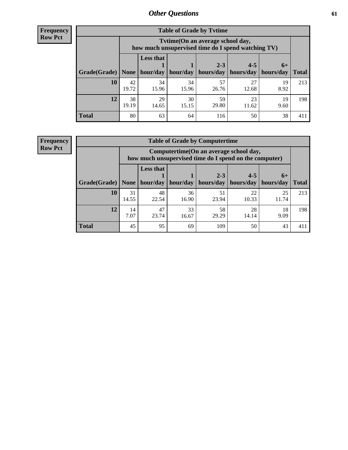**Frequency Row Pct**

| <b>Table of Grade by Tvtime</b> |             |                                                                                        |                     |             |                       |            |              |  |  |  |
|---------------------------------|-------------|----------------------------------------------------------------------------------------|---------------------|-------------|-----------------------|------------|--------------|--|--|--|
|                                 |             | Tvtime(On an average school day,<br>how much unsupervised time do I spend watching TV) |                     |             |                       |            |              |  |  |  |
|                                 |             | <b>Less that</b>                                                                       |                     | $2 - 3$     | $4 - 5$               | $6+$       |              |  |  |  |
| Grade(Grade)   None             |             |                                                                                        | hour/day   hour/day | hours/day   | hours/day   hours/day |            | <b>Total</b> |  |  |  |
| 10                              | 42<br>19.72 | 34<br>15.96                                                                            | 34<br>15.96         | 57<br>26.76 | 27<br>12.68           | 19<br>8.92 | 213          |  |  |  |
| 12                              | 38<br>19.19 | 29<br>14.65                                                                            | 30<br>15.15         | 59<br>29.80 | 23<br>11.62           | 19<br>9.60 | 198          |  |  |  |
| <b>Total</b>                    | 80          | 63                                                                                     | 64                  | 116         | 50                    | 38         | 411          |  |  |  |

**Frequency Row Pct**

| <b>Table of Grade by Computertime</b> |             |                                                                                                   |             |                      |                      |                   |              |  |  |  |
|---------------------------------------|-------------|---------------------------------------------------------------------------------------------------|-------------|----------------------|----------------------|-------------------|--------------|--|--|--|
|                                       |             | Computertime (On an average school day,<br>how much unsupervised time do I spend on the computer) |             |                      |                      |                   |              |  |  |  |
| Grade(Grade)                          | None        | <b>Less that</b><br>hour/day                                                                      | hour/day    | $2 - 3$<br>hours/day | $4 - 5$<br>hours/day | $6+$<br>hours/day | <b>Total</b> |  |  |  |
| 10                                    | 31<br>14.55 | 48<br>22.54                                                                                       | 36<br>16.90 | 51<br>23.94          | 22<br>10.33          | 25<br>11.74       | 213          |  |  |  |
| 12                                    | 14<br>7.07  | 47<br>33<br>58<br>28<br>18<br>23.74<br>29.29<br>14.14<br>9.09<br>16.67                            |             |                      |                      |                   |              |  |  |  |
| <b>Total</b>                          | 45          | 95                                                                                                | 69          | 109                  | 50                   | 43                | 411          |  |  |  |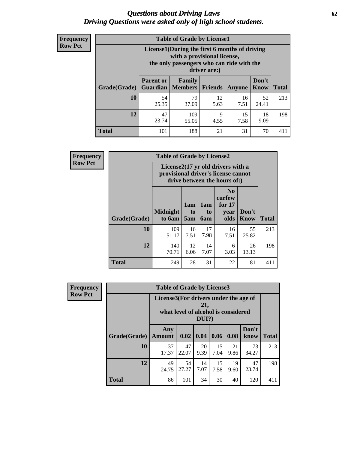#### *Questions about Driving Laws* **62** *Driving Questions were asked only of high school students.*

| <b>Frequency</b> |
|------------------|
| <b>Row Pct</b>   |

| <b>Table of Grade by License1</b> |                                     |                                                                                                                                           |                |            |               |              |  |  |  |  |
|-----------------------------------|-------------------------------------|-------------------------------------------------------------------------------------------------------------------------------------------|----------------|------------|---------------|--------------|--|--|--|--|
|                                   |                                     | License1(During the first 6 months of driving<br>with a provisional license,<br>the only passengers who can ride with the<br>driver are:) |                |            |               |              |  |  |  |  |
| Grade(Grade)                      | <b>Parent or</b><br><b>Guardian</b> | <b>Family</b><br><b>Members</b>                                                                                                           | <b>Friends</b> | Anyone     | Don't<br>Know | <b>Total</b> |  |  |  |  |
| 10                                | 54<br>25.35                         | 79<br>37.09                                                                                                                               | 12<br>5.63     | 16<br>7.51 | 52<br>24.41   | 213          |  |  |  |  |
| 12                                | 47<br>23.74                         | 109<br>15<br>18<br>9<br>9.09<br>55.05<br>7.58<br>4.55                                                                                     |                |            |               |              |  |  |  |  |
| <b>Total</b>                      | 101                                 | 188                                                                                                                                       | 21             | 31         | 70            |              |  |  |  |  |

| <b>Frequency</b> |              | <b>Table of Grade by License2</b>                                                                        |                  |                              |                                                      |               |              |  |  |
|------------------|--------------|----------------------------------------------------------------------------------------------------------|------------------|------------------------------|------------------------------------------------------|---------------|--------------|--|--|
| <b>Row Pct</b>   |              | License2(17 yr old drivers with a<br>provisional driver's license cannot<br>drive between the hours of:) |                  |                              |                                                      |               |              |  |  |
|                  | Grade(Grade) | <b>Midnight</b><br>to 6am                                                                                | 1am<br>to<br>5am | 1am<br>t <sub>0</sub><br>6am | N <sub>0</sub><br>curfew<br>for $17$<br>vear<br>olds | Don't<br>Know | <b>Total</b> |  |  |
|                  | 10           | 109<br>51.17                                                                                             | 16<br>7.51       | 17<br>7.98                   | 16<br>7.51                                           | 55<br>25.82   | 213          |  |  |
|                  | 12           | 140<br>70.71                                                                                             | 12<br>6.06       | 14<br>7.07                   | 6<br>3.03                                            | 26<br>13.13   | 198          |  |  |
|                  | <b>Total</b> | 249                                                                                                      | 28               | 31                           | 22                                                   | 81            | 411          |  |  |

| Frequency      |              | <b>Table of Grade by License3</b>                                                            |             |              |            |            |               |              |  |  |
|----------------|--------------|----------------------------------------------------------------------------------------------|-------------|--------------|------------|------------|---------------|--------------|--|--|
| <b>Row Pct</b> |              | License3(For drivers under the age of<br>21,<br>what level of alcohol is considered<br>DUI?) |             |              |            |            |               |              |  |  |
|                | Grade(Grade) | Any<br><b>Amount</b>                                                                         | 0.02        | $\vert$ 0.04 | 0.06       | 0.08       | Don't<br>know | <b>Total</b> |  |  |
|                | 10           | 37<br>17.37                                                                                  | 47<br>22.07 | 20<br>9.39   | 15<br>7.04 | 21<br>9.86 | 73<br>34.27   | 213          |  |  |
|                | 12           | 49<br>24.75                                                                                  | 54<br>27.27 | 14<br>7.07   | 15<br>7.58 | 19<br>9.60 | 47<br>23.74   | 198          |  |  |
|                | <b>Total</b> | 86                                                                                           | 101         | 34           | 30         | 40         | 120           | 411          |  |  |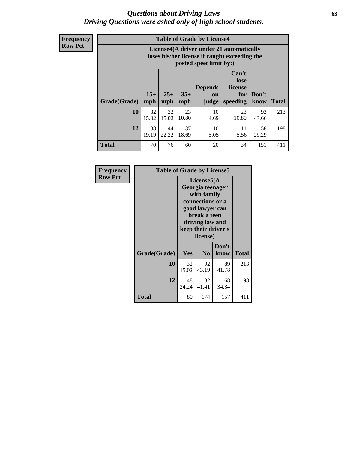#### *Questions about Driving Laws* **63** *Driving Questions were asked only of high school students.*

**Frequency Row Pct**

| <b>Table of Grade by License4</b> |             |                                                                                                                                                                                                                                                                                |             |            |             |             |     |  |  |  |
|-----------------------------------|-------------|--------------------------------------------------------------------------------------------------------------------------------------------------------------------------------------------------------------------------------------------------------------------------------|-------------|------------|-------------|-------------|-----|--|--|--|
|                                   |             | License4(A driver under 21 automatically<br>loses his/her license if caught exceeding the<br>posted speet limit by:)<br>Can't<br>lose<br><b>Depends</b><br>license<br>$15+$<br>$25+$<br>$35+$<br>Don't<br>for<br>on<br>mph<br><b>Total</b><br>speeding<br>know<br>mph<br>judge |             |            |             |             |     |  |  |  |
| Grade(Grade)                      | mph         |                                                                                                                                                                                                                                                                                |             |            |             |             |     |  |  |  |
| 10                                | 32<br>15.02 | 32<br>15.02                                                                                                                                                                                                                                                                    | 23<br>10.80 | 10<br>4.69 | 23<br>10.80 | 93<br>43.66 | 213 |  |  |  |
| 12                                | 38<br>19.19 | 37<br>10<br>44<br>11<br>58<br>22.22<br>18.69<br>5.05<br>5.56<br>29.29                                                                                                                                                                                                          |             |            |             |             |     |  |  |  |
| <b>Total</b>                      | 70          | 76                                                                                                                                                                                                                                                                             | 60          | 20         | 34          | 151         | 411 |  |  |  |

| Frequency      | <b>Table of Grade by License5</b> |             |                                                                                                                                      |                     |       |
|----------------|-----------------------------------|-------------|--------------------------------------------------------------------------------------------------------------------------------------|---------------------|-------|
| <b>Row Pct</b> |                                   |             | License5(A)<br>Georgia teenager<br>with family<br>connections or a<br>good lawyer can<br>break a teen<br>driving law and<br>license) | keep their driver's |       |
|                | Grade(Grade)                      | <b>Yes</b>  | N <sub>0</sub>                                                                                                                       | Don't<br>know       | Total |
|                | 10                                | 32<br>15.02 | 92<br>43.19                                                                                                                          | 89<br>41.78         | 213   |
|                | 12                                | 48<br>24.24 | 82<br>41.41                                                                                                                          | 68<br>34.34         | 198   |
|                | Total                             | 80          | 174                                                                                                                                  | 157                 | 411   |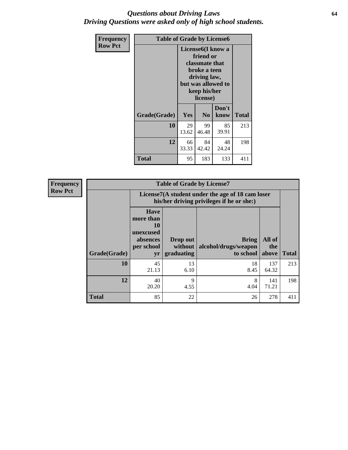#### *Questions about Driving Laws* **64** *Driving Questions were asked only of high school students.*

| <b>Frequency</b> | <b>Table of Grade by License6</b> |                                                                                                                                                        |                            |               |              |
|------------------|-----------------------------------|--------------------------------------------------------------------------------------------------------------------------------------------------------|----------------------------|---------------|--------------|
| <b>Row Pct</b>   |                                   | License <sub>6</sub> (I know a<br>friend or<br><b>classmate that</b><br>broke a teen<br>driving law,<br>but was allowed to<br>keep his/her<br>license) |                            |               |              |
|                  | Grade(Grade)                      | Yes                                                                                                                                                    | N <sub>0</sub>             | Don't<br>know | <b>Total</b> |
|                  | 10                                | 29<br>13.62                                                                                                                                            | 99<br>85<br>39.91<br>46.48 |               |              |
|                  | 12                                | 66<br>33.33                                                                                                                                            | 198                        |               |              |
|                  | Total                             | 95                                                                                                                                                     | 183                        | 133           | 411          |

| <b>Frequency</b> | <b>Table of Grade by License7</b> |                                                                                               |                                   |                                            |                        |              |
|------------------|-----------------------------------|-----------------------------------------------------------------------------------------------|-----------------------------------|--------------------------------------------|------------------------|--------------|
| <b>Row Pct</b>   |                                   | License7(A student under the age of 18 cam loser<br>his/her driving privileges if he or she:) |                                   |                                            |                        |              |
|                  | Grade(Grade)                      | <b>Have</b><br>more than<br>10<br>unexcused<br>absences<br>per school<br>yr                   | Drop out<br>without<br>graduating | Bring<br>alcohol/drugs/weapon<br>to school | All of<br>the<br>above | <b>Total</b> |
|                  | 10                                | 45<br>21.13                                                                                   | 13<br>6.10                        | 18<br>8.45                                 | 137<br>64.32           | 213          |
|                  | 12                                | 40<br>20.20                                                                                   | 9<br>4.55                         | 8<br>4.04                                  | 141<br>71.21           | 198          |
|                  | <b>Total</b>                      | 85                                                                                            | 22                                | 26                                         | 278                    | 411          |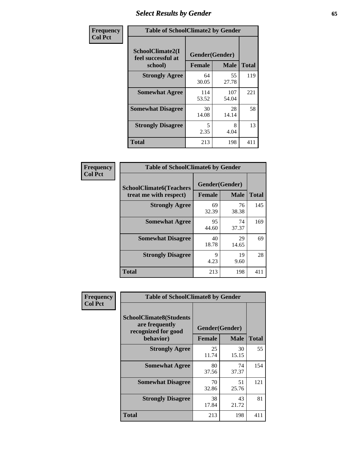# *Select Results by Gender* **65**

| Frequency      | <b>Table of SchoolClimate2 by Gender</b>          |                                 |              |              |
|----------------|---------------------------------------------------|---------------------------------|--------------|--------------|
| <b>Col Pct</b> | SchoolClimate2(I<br>feel successful at<br>school) | Gender(Gender)<br><b>Female</b> | <b>Male</b>  | <b>Total</b> |
|                | <b>Strongly Agree</b>                             | 64<br>30.05                     | 55<br>27.78  | 119          |
|                | <b>Somewhat Agree</b>                             | 114<br>53.52                    | 107<br>54.04 | 221          |
|                | <b>Somewhat Disagree</b>                          | 30<br>14.08                     | 28<br>14.14  | 58           |
|                | <b>Strongly Disagree</b>                          | 5<br>2.35                       | 8<br>4.04    | 13           |
|                | <b>Total</b>                                      | 213                             | 198          | 411          |

| Frequency      | <b>Table of SchoolClimate6 by Gender</b>                 |                                 |             |              |  |
|----------------|----------------------------------------------------------|---------------------------------|-------------|--------------|--|
| <b>Col Pct</b> | <b>SchoolClimate6(Teachers</b><br>treat me with respect) | Gender(Gender)<br><b>Female</b> | <b>Male</b> | <b>Total</b> |  |
|                | <b>Strongly Agree</b>                                    | 69<br>32.39                     | 76<br>38.38 | 145          |  |
|                | <b>Somewhat Agree</b>                                    | 95<br>44.60                     | 74<br>37.37 | 169          |  |
|                | <b>Somewhat Disagree</b>                                 | 40<br>18.78                     | 29<br>14.65 | 69           |  |
|                | <b>Strongly Disagree</b>                                 | 9<br>4.23                       | 19<br>9.60  | 28           |  |
|                | <b>Total</b>                                             | 213                             | 198         | 411          |  |

| Frequency      | <b>Table of SchoolClimate8 by Gender</b>                                             |                                 |             |              |
|----------------|--------------------------------------------------------------------------------------|---------------------------------|-------------|--------------|
| <b>Col Pct</b> | <b>SchoolClimate8(Students</b><br>are frequently<br>recognized for good<br>behavior) | Gender(Gender)<br><b>Female</b> | <b>Male</b> | <b>Total</b> |
|                | <b>Strongly Agree</b>                                                                | 25<br>11.74                     | 30<br>15.15 | 55           |
|                | <b>Somewhat Agree</b>                                                                | 80<br>37.56                     | 74<br>37.37 | 154          |
|                | <b>Somewhat Disagree</b>                                                             | 70<br>32.86                     | 51<br>25.76 | 121          |
|                | <b>Strongly Disagree</b>                                                             | 38<br>17.84                     | 43<br>21.72 | 81           |
|                | Total                                                                                | 213                             | 198         | 411          |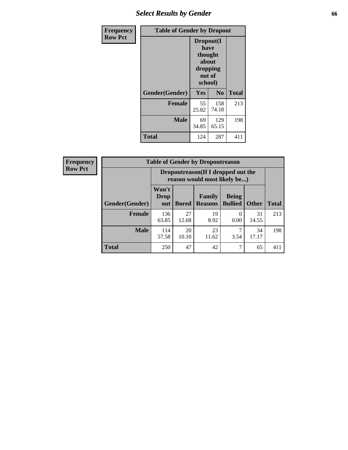# *Select Results by Gender* **66**

| Frequency      | <b>Table of Gender by Dropout</b> |                                                                        |                |              |
|----------------|-----------------------------------|------------------------------------------------------------------------|----------------|--------------|
| <b>Row Pct</b> |                                   | Dropout(I<br>have<br>thought<br>about<br>dropping<br>out of<br>school) |                |              |
|                | Gender(Gender)                    | Yes                                                                    | N <sub>0</sub> | <b>Total</b> |
|                | <b>Female</b>                     | 55<br>25.82                                                            | 158<br>74.18   | 213          |
|                | <b>Male</b>                       | 69<br>34.85                                                            | 129<br>65.15   | 198          |
|                | <b>Total</b>                      | 124                                                                    | 287            | 411          |

| <b>Frequency</b> |                        | <b>Table of Gender by Dropoutreason</b> |              |                                                                    |                                |              |              |
|------------------|------------------------|-----------------------------------------|--------------|--------------------------------------------------------------------|--------------------------------|--------------|--------------|
| <b>Row Pct</b>   |                        |                                         |              | Dropoutreason(If I dropped out the<br>reason would most likely be) |                                |              |              |
|                  | <b>Gender</b> (Gender) | Won't<br><b>Drop</b><br>out             | <b>Bored</b> | <b>Family</b><br><b>Reasons</b>                                    | <b>Being</b><br><b>Bullied</b> | <b>Other</b> | <b>Total</b> |
|                  | Female                 | 136<br>63.85                            | 27<br>12.68  | 19<br>8.92                                                         | $\Omega$<br>0.00               | 31<br>14.55  | 213          |
|                  | <b>Male</b>            | 114<br>57.58                            | 20<br>10.10  | 23<br>11.62                                                        | 7<br>3.54                      | 34<br>17.17  | 198          |
|                  | <b>Total</b>           | 250                                     | 47           | 42                                                                 | 7                              | 65           | 411          |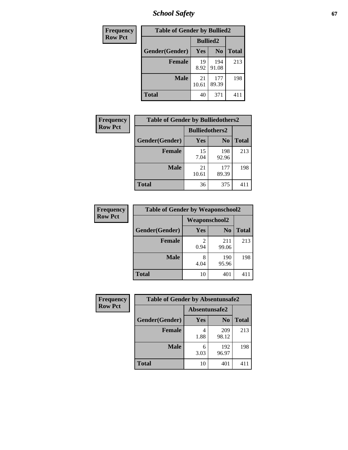*School Safety* **67**

| Frequency      | <b>Table of Gender by Bullied2</b> |                 |                |              |  |
|----------------|------------------------------------|-----------------|----------------|--------------|--|
| <b>Row Pct</b> |                                    | <b>Bullied2</b> |                |              |  |
|                | Gender(Gender)                     | Yes             | N <sub>0</sub> | <b>Total</b> |  |
|                | <b>Female</b>                      | 19<br>8.92      | 194<br>91.08   | 213          |  |
|                | <b>Male</b>                        | 21<br>10.61     | 177<br>89.39   | 198          |  |
|                | Total                              | 40              | 371            | 411          |  |

| <b>Frequency</b> | <b>Table of Gender by Bulliedothers2</b> |                       |                |              |
|------------------|------------------------------------------|-----------------------|----------------|--------------|
| <b>Row Pct</b>   |                                          | <b>Bulliedothers2</b> |                |              |
|                  | Gender(Gender)                           | <b>Yes</b>            | N <sub>0</sub> | <b>Total</b> |
|                  | <b>Female</b>                            | 15<br>7.04            | 198<br>92.96   | 213          |
|                  | <b>Male</b>                              | 21<br>10.61           | 177<br>89.39   | 198          |
|                  | <b>Total</b>                             | 36                    | 375            | 411          |

| Frequency      | <b>Table of Gender by Weaponschool2</b> |               |                |       |
|----------------|-----------------------------------------|---------------|----------------|-------|
| <b>Row Pct</b> |                                         | Weaponschool2 |                |       |
|                | Gender(Gender)                          | <b>Yes</b>    | N <sub>0</sub> | Total |
|                | <b>Female</b>                           | 0.94          | 211<br>99.06   | 213   |
|                | <b>Male</b>                             | 8<br>4.04     | 190<br>95.96   | 198   |
|                | <b>Total</b>                            | 10            | 401            | 411   |

| Frequency      | <b>Table of Gender by Absentunsafe2</b> |               |                |              |
|----------------|-----------------------------------------|---------------|----------------|--------------|
| <b>Row Pct</b> |                                         | Absentunsafe2 |                |              |
|                | Gender(Gender)                          | Yes           | N <sub>0</sub> | <b>Total</b> |
|                | <b>Female</b>                           | 4<br>1.88     | 209<br>98.12   | 213          |
|                | <b>Male</b>                             | 3.03          | 192<br>96.97   | 198          |
|                | <b>Total</b>                            | 10            | 401            | 411          |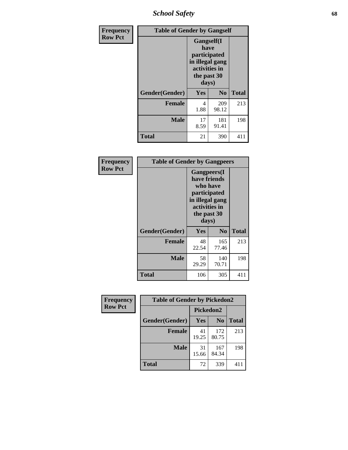*School Safety* **68**

| Frequency      | <b>Table of Gender by Gangself</b> |                                                                                                        |              |              |
|----------------|------------------------------------|--------------------------------------------------------------------------------------------------------|--------------|--------------|
| <b>Row Pct</b> |                                    | <b>Gangself</b> (I<br>have<br>participated<br>in illegal gang<br>activities in<br>the past 30<br>days) |              |              |
|                | Gender(Gender)                     | Yes                                                                                                    | $\bf No$     | <b>Total</b> |
|                | <b>Female</b>                      | 4<br>1.88                                                                                              | 209<br>98.12 | 213          |
|                | <b>Male</b>                        | 17<br>8.59                                                                                             | 181<br>91.41 | 198          |
|                | <b>Total</b>                       | 21                                                                                                     | 390          | 411          |

| Frequency      | <b>Table of Gender by Gangpeers</b> |                                                                                                                             |                |              |
|----------------|-------------------------------------|-----------------------------------------------------------------------------------------------------------------------------|----------------|--------------|
| <b>Row Pct</b> |                                     | <b>Gangpeers</b> (I<br>have friends<br>who have<br>participated<br>in illegal gang<br>activities in<br>the past 30<br>days) |                |              |
|                | Gender(Gender)                      | <b>Yes</b>                                                                                                                  | N <sub>0</sub> | <b>Total</b> |
|                | <b>Female</b>                       | 48<br>22.54                                                                                                                 | 165<br>77.46   | 213          |
|                | <b>Male</b>                         | 58<br>29.29                                                                                                                 | 140<br>70.71   | 198          |
|                | <b>Total</b>                        | 106                                                                                                                         | 305            | 411          |

| Frequency      | <b>Table of Gender by Pickedon2</b> |             |                |              |
|----------------|-------------------------------------|-------------|----------------|--------------|
| <b>Row Pct</b> |                                     | Pickedon2   |                |              |
|                | Gender(Gender)                      | <b>Yes</b>  | N <sub>0</sub> | <b>Total</b> |
|                | <b>Female</b>                       | 41<br>19.25 | 172<br>80.75   | 213          |
|                | <b>Male</b>                         | 31<br>15.66 | 167<br>84.34   | 198          |
|                | <b>Total</b>                        | 72          | 339            | 411          |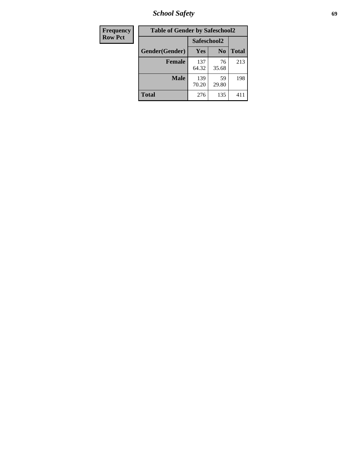*School Safety* **69**

| Frequency      | <b>Table of Gender by Safeschool2</b> |              |                |              |  |
|----------------|---------------------------------------|--------------|----------------|--------------|--|
| <b>Row Pct</b> |                                       | Safeschool2  |                |              |  |
|                | Gender(Gender)                        | Yes          | N <sub>0</sub> | <b>Total</b> |  |
|                | <b>Female</b>                         | 137<br>64.32 | 76<br>35.68    | 213          |  |
|                | Male                                  | 139<br>70.20 | 59<br>29.80    | 198          |  |
|                | <b>Total</b>                          | 276          | 135            | 411          |  |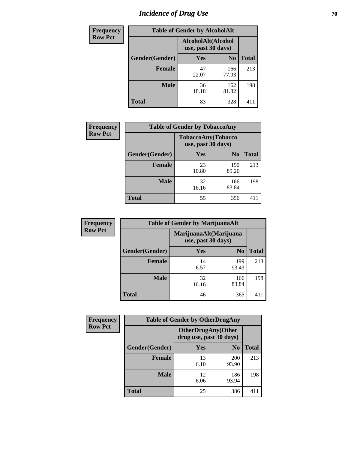# *Incidence of Drug Use* **70**

| <b>Frequency</b> | <b>Table of Gender by AlcoholAlt</b> |                    |                    |              |
|------------------|--------------------------------------|--------------------|--------------------|--------------|
| <b>Row Pct</b>   |                                      | use, past 30 days) | AlcoholAlt(Alcohol |              |
|                  | Gender(Gender)                       | Yes                | N <sub>0</sub>     | <b>Total</b> |
|                  | <b>Female</b>                        | 47<br>22.07        | 166<br>77.93       | 213          |
|                  | <b>Male</b>                          | 36<br>18.18        | 162<br>81.82       | 198          |
|                  | <b>Total</b>                         | 83                 | 328                | 411          |

| <b>Frequency</b> | <b>Table of Gender by TobaccoAny</b> |             |                                          |              |
|------------------|--------------------------------------|-------------|------------------------------------------|--------------|
| <b>Row Pct</b>   |                                      |             | TobaccoAny(Tobacco<br>use, past 30 days) |              |
|                  | Gender(Gender)                       | <b>Yes</b>  | N <sub>0</sub>                           | <b>Total</b> |
|                  | <b>Female</b>                        | 23<br>10.80 | 190<br>89.20                             | 213          |
|                  | <b>Male</b>                          | 32<br>16.16 | 166<br>83.84                             | 198          |
|                  | <b>Total</b>                         | 55          | 356                                      | 411          |

| <b>Frequency</b> | <b>Table of Gender by MarijuanaAlt</b> |                    |                        |              |  |
|------------------|----------------------------------------|--------------------|------------------------|--------------|--|
| <b>Row Pct</b>   |                                        | use, past 30 days) | MarijuanaAlt(Marijuana |              |  |
|                  | Gender(Gender)                         | <b>Yes</b>         | N <sub>0</sub>         | <b>Total</b> |  |
|                  | Female                                 | 14<br>6.57         | 199<br>93.43           | 213          |  |
|                  | <b>Male</b>                            | 32<br>16.16        | 166<br>83.84           | 198          |  |
|                  | <b>Total</b>                           | 46                 | 365                    |              |  |

| <b>Frequency</b> | <b>Table of Gender by OtherDrugAny</b> |                                                      |                |              |
|------------------|----------------------------------------|------------------------------------------------------|----------------|--------------|
| <b>Row Pct</b>   |                                        | <b>OtherDrugAny(Other</b><br>drug use, past 30 days) |                |              |
|                  | Gender(Gender)                         | <b>Yes</b>                                           | N <sub>0</sub> | <b>Total</b> |
|                  | <b>Female</b>                          | 13<br>6.10                                           | 200<br>93.90   | 213          |
|                  | <b>Male</b>                            | 12<br>6.06                                           | 186<br>93.94   | 198          |
|                  | <b>Total</b>                           | 25                                                   | 386            | 411          |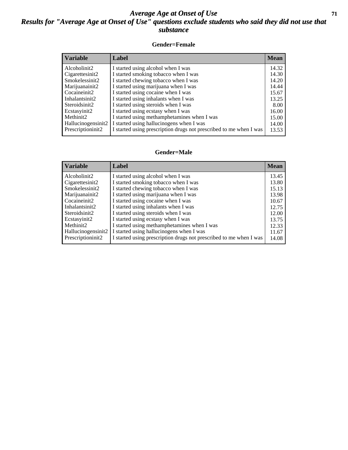#### *Average Age at Onset of Use* **71** *Results for "Average Age at Onset of Use" questions exclude students who said they did not use that substance*

#### **Gender=Female**

| <b>Variable</b>    | <b>Label</b>                                                       | <b>Mean</b> |
|--------------------|--------------------------------------------------------------------|-------------|
| Alcoholinit2       | I started using alcohol when I was                                 | 14.32       |
| Cigarettesinit2    | I started smoking tobacco when I was                               | 14.30       |
| Smokelessinit2     | I started chewing tobacco when I was                               | 14.20       |
| Marijuanainit2     | I started using marijuana when I was                               | 14.44       |
| Cocaineinit2       | I started using cocaine when I was                                 | 15.67       |
| Inhalantsinit2     | I started using inhalants when I was                               | 13.25       |
| Steroidsinit2      | I started using steroids when I was                                | 8.00        |
| Ecstasyinit2       | I started using ecstasy when I was                                 | 16.00       |
| Methinit2          | I started using methamphetamines when I was                        | 15.00       |
| Hallucinogensinit2 | I started using hallucinogens when I was                           | 14.00       |
| Prescription in t2 | I started using prescription drugs not prescribed to me when I was | 13.53       |

#### **Gender=Male**

| Label                                                              | <b>Mean</b> |
|--------------------------------------------------------------------|-------------|
| I started using alcohol when I was                                 | 13.45       |
| I started smoking tobacco when I was                               | 13.80       |
| I started chewing tobacco when I was                               | 15.13       |
| I started using marijuana when I was                               | 13.98       |
| I started using cocaine when I was                                 | 10.67       |
| I started using inhalants when I was                               | 12.75       |
| I started using steroids when I was                                | 12.00       |
| I started using ecstasy when I was                                 | 13.75       |
| I started using methamphetamines when I was                        | 12.33       |
| I started using hallucinogens when I was<br>Hallucinogensinit2     | 11.67       |
| I started using prescription drugs not prescribed to me when I was | 14.08       |
|                                                                    |             |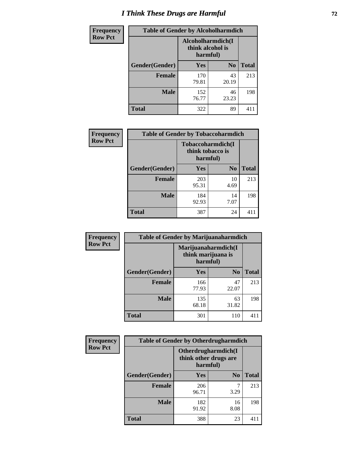# *I Think These Drugs are Harmful* **72**

| <b>Frequency</b> | <b>Table of Gender by Alcoholharmdich</b> |                                                   |                |              |  |
|------------------|-------------------------------------------|---------------------------------------------------|----------------|--------------|--|
| <b>Row Pct</b>   |                                           | Alcoholharmdich(I<br>think alcohol is<br>harmful) |                |              |  |
|                  | Gender(Gender)                            | Yes                                               | N <sub>0</sub> | <b>Total</b> |  |
|                  | <b>Female</b>                             | 170<br>79.81                                      | 43<br>20.19    | 213          |  |
|                  | <b>Male</b>                               | 152<br>76.77                                      | 46<br>23.23    | 198          |  |
|                  | Total                                     | 322                                               | 89             | 411          |  |

| Frequency      | <b>Table of Gender by Tobaccoharmdich</b> |                  |                               |              |  |
|----------------|-------------------------------------------|------------------|-------------------------------|--------------|--|
| <b>Row Pct</b> |                                           | think tobacco is | Tobaccoharmdich(I<br>harmful) |              |  |
|                | Gender(Gender)                            | Yes              | N <sub>0</sub>                | <b>Total</b> |  |
|                | <b>Female</b>                             | 203<br>95.31     | 10<br>4.69                    | 213          |  |
|                | <b>Male</b>                               | 184<br>92.93     | 14<br>7.07                    | 198          |  |
|                | <b>Total</b>                              | 387              | 24                            | 411          |  |

| Frequency      | <b>Table of Gender by Marijuanaharmdich</b> |                                                       |                |              |  |
|----------------|---------------------------------------------|-------------------------------------------------------|----------------|--------------|--|
| <b>Row Pct</b> |                                             | Marijuanaharmdich(I<br>think marijuana is<br>harmful) |                |              |  |
|                | Gender(Gender)                              | <b>Yes</b>                                            | N <sub>0</sub> | <b>Total</b> |  |
|                | <b>Female</b>                               | 166<br>77.93                                          | 47<br>22.07    | 213          |  |
|                | <b>Male</b>                                 | 135<br>68.18                                          | 63<br>31.82    | 198          |  |
|                | <b>Total</b>                                | 301                                                   | 110            | 411          |  |

| Frequency      | <b>Table of Gender by Otherdrugharmdich</b> |                                   |                     |              |  |
|----------------|---------------------------------------------|-----------------------------------|---------------------|--------------|--|
| <b>Row Pct</b> |                                             | think other drugs are<br>harmful) | Otherdrugharmdich(I |              |  |
|                | Gender(Gender)                              | <b>Yes</b>                        | N <sub>0</sub>      | <b>Total</b> |  |
|                | <b>Female</b>                               | 206<br>96.71                      | 3.29                | 213          |  |
|                | <b>Male</b>                                 | 182<br>91.92                      | 16<br>8.08          | 198          |  |
|                | <b>Total</b>                                | 388                               | 23                  | 411          |  |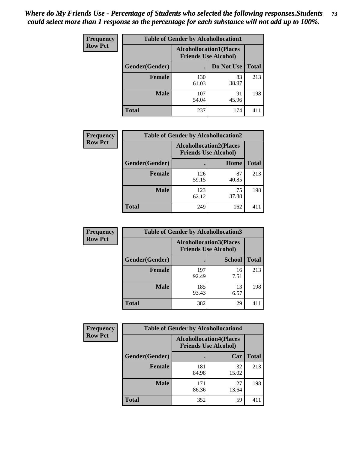| <b>Frequency</b> | <b>Table of Gender by Alcohollocation1</b> |                                                               |             |              |
|------------------|--------------------------------------------|---------------------------------------------------------------|-------------|--------------|
| <b>Row Pct</b>   |                                            | <b>Alcohollocation1(Places</b><br><b>Friends Use Alcohol)</b> |             |              |
|                  | Gender(Gender)                             |                                                               | Do Not Use  | <b>Total</b> |
|                  | <b>Female</b>                              | 130<br>61.03                                                  | 83<br>38.97 | 213          |
|                  | <b>Male</b>                                | 107<br>54.04                                                  | 91<br>45.96 | 198          |
|                  | <b>Total</b>                               | 237                                                           | 174         | 411          |

| <b>Frequency</b> | <b>Table of Gender by Alcohollocation2</b> |              |                                                               |              |
|------------------|--------------------------------------------|--------------|---------------------------------------------------------------|--------------|
| <b>Row Pct</b>   |                                            |              | <b>Alcohollocation2(Places</b><br><b>Friends Use Alcohol)</b> |              |
|                  | Gender(Gender)                             |              | Home                                                          | <b>Total</b> |
|                  | <b>Female</b>                              | 126<br>59.15 | 87<br>40.85                                                   | 213          |
|                  | <b>Male</b>                                | 123<br>62.12 | 75<br>37.88                                                   | 198          |
|                  | <b>Total</b>                               | 249          | 162                                                           | 41           |

| Frequency      | <b>Table of Gender by Alcohollocation3</b> |                                                               |               |              |
|----------------|--------------------------------------------|---------------------------------------------------------------|---------------|--------------|
| <b>Row Pct</b> |                                            | <b>Alcohollocation3(Places</b><br><b>Friends Use Alcohol)</b> |               |              |
|                | Gender(Gender)                             |                                                               | <b>School</b> | <b>Total</b> |
|                | <b>Female</b>                              | 197<br>92.49                                                  | 16<br>7.51    | 213          |
|                | <b>Male</b>                                | 185<br>93.43                                                  | 13<br>6.57    | 198          |
|                | <b>Total</b>                               | 382                                                           | 29            | 411          |

| Frequency      |                        | <b>Table of Gender by Alcohollocation4</b>                    |             |              |
|----------------|------------------------|---------------------------------------------------------------|-------------|--------------|
| <b>Row Pct</b> |                        | <b>Alcohollocation4(Places</b><br><b>Friends Use Alcohol)</b> |             |              |
|                | <b>Gender</b> (Gender) |                                                               | Car         | <b>Total</b> |
|                | <b>Female</b>          | 181<br>84.98                                                  | 32<br>15.02 | 213          |
|                | <b>Male</b>            | 171<br>86.36                                                  | 27<br>13.64 | 198          |
|                | <b>Total</b>           | 352                                                           | 59          | 41           |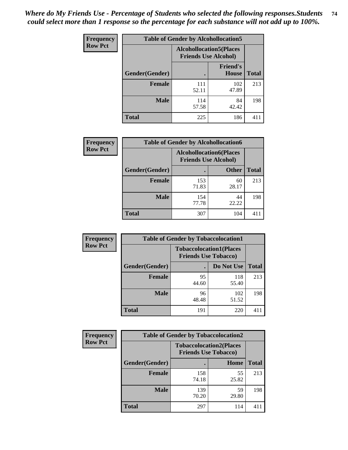| <b>Frequency</b> | <b>Table of Gender by Alcohollocation5</b> |                                                                |                                 |              |
|------------------|--------------------------------------------|----------------------------------------------------------------|---------------------------------|--------------|
| <b>Row Pct</b>   |                                            | <b>Alcohollocation5</b> (Places<br><b>Friends Use Alcohol)</b> |                                 |              |
|                  | <b>Gender</b> (Gender)                     |                                                                | <b>Friend's</b><br><b>House</b> | <b>Total</b> |
|                  | <b>Female</b>                              | 111<br>52.11                                                   | 102<br>47.89                    | 213          |
|                  | <b>Male</b>                                | 114<br>57.58                                                   | 84<br>42.42                     | 198          |
|                  | <b>Total</b>                               | 225                                                            | 186                             | 411          |

| Frequency      | <b>Table of Gender by Alcohollocation6</b> |                                                               |              |              |
|----------------|--------------------------------------------|---------------------------------------------------------------|--------------|--------------|
| <b>Row Pct</b> |                                            | <b>Alcohollocation6(Places</b><br><b>Friends Use Alcohol)</b> |              |              |
|                | Gender(Gender)                             |                                                               | <b>Other</b> | <b>Total</b> |
|                | <b>Female</b>                              | 153<br>71.83                                                  | 60<br>28.17  | 213          |
|                | <b>Male</b>                                | 154<br>77.78                                                  | 44<br>22.22  | 198          |
|                | <b>Total</b>                               | 307                                                           | 104          |              |

| Frequency      | <b>Table of Gender by Tobaccolocation1</b> |                                                               |              |              |  |
|----------------|--------------------------------------------|---------------------------------------------------------------|--------------|--------------|--|
| <b>Row Pct</b> |                                            | <b>Tobaccolocation1(Places</b><br><b>Friends Use Tobacco)</b> |              |              |  |
|                | Gender(Gender)                             |                                                               | Do Not Use   | <b>Total</b> |  |
|                | Female                                     | 95<br>44.60                                                   | 118<br>55.40 | 213          |  |
|                | <b>Male</b>                                | 96<br>48.48                                                   | 102<br>51.52 | 198          |  |
|                | <b>Total</b>                               | 191                                                           | 220          | 411          |  |

| <b>Frequency</b> | <b>Table of Gender by Tobaccolocation2</b> |                                                               |             |              |  |
|------------------|--------------------------------------------|---------------------------------------------------------------|-------------|--------------|--|
| <b>Row Pct</b>   |                                            | <b>Tobaccolocation2(Places</b><br><b>Friends Use Tobacco)</b> |             |              |  |
|                  | Gender(Gender)                             |                                                               | <b>Home</b> | <b>Total</b> |  |
|                  | Female                                     | 158<br>74.18                                                  | 55<br>25.82 | 213          |  |
|                  | <b>Male</b>                                | 139<br>70.20                                                  | 59<br>29.80 | 198          |  |
|                  | <b>Total</b>                               | 297                                                           | 114         |              |  |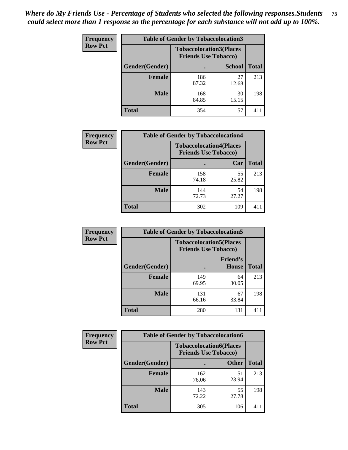| <b>Frequency</b> |                | <b>Table of Gender by Tobaccolocation3</b> |                                                               |              |
|------------------|----------------|--------------------------------------------|---------------------------------------------------------------|--------------|
| <b>Row Pct</b>   |                |                                            | <b>Tobaccolocation3(Places</b><br><b>Friends Use Tobacco)</b> |              |
|                  | Gender(Gender) |                                            | <b>School</b>                                                 | <b>Total</b> |
|                  | <b>Female</b>  | 186<br>87.32                               | 27<br>12.68                                                   | 213          |
|                  | <b>Male</b>    | 168<br>84.85                               | 30<br>15.15                                                   | 198          |
|                  | Total          | 354                                        | 57                                                            | 411          |

| <b>Frequency</b> | <b>Table of Gender by Tobaccolocation4</b> |              |                                                               |              |
|------------------|--------------------------------------------|--------------|---------------------------------------------------------------|--------------|
| <b>Row Pct</b>   |                                            |              | <b>Tobaccolocation4(Places</b><br><b>Friends Use Tobacco)</b> |              |
|                  | Gender(Gender)                             |              | Car                                                           | <b>Total</b> |
|                  | <b>Female</b>                              | 158<br>74.18 | 55<br>25.82                                                   | 213          |
|                  | <b>Male</b>                                | 144<br>72.73 | 54<br>27.27                                                   | 198          |
|                  | <b>Total</b>                               | 302          | 109                                                           |              |

| <b>Frequency</b> | <b>Table of Gender by Tobaccolocation5</b> |                                                               |                                 |              |
|------------------|--------------------------------------------|---------------------------------------------------------------|---------------------------------|--------------|
| <b>Row Pct</b>   |                                            | <b>Tobaccolocation5(Places</b><br><b>Friends Use Tobacco)</b> |                                 |              |
|                  | Gender(Gender)                             |                                                               | <b>Friend's</b><br><b>House</b> | <b>Total</b> |
|                  | <b>Female</b>                              | 149<br>69.95                                                  | 64<br>30.05                     | 213          |
|                  | <b>Male</b>                                | 131<br>66.16                                                  | 67<br>33.84                     | 198          |
|                  | <b>Total</b>                               | 280                                                           | 131                             | 411          |

| <b>Frequency</b> |                | <b>Table of Gender by Tobaccolocation6</b>                    |              |              |
|------------------|----------------|---------------------------------------------------------------|--------------|--------------|
| <b>Row Pct</b>   |                | <b>Tobaccolocation6(Places</b><br><b>Friends Use Tobacco)</b> |              |              |
|                  | Gender(Gender) |                                                               | <b>Other</b> | <b>Total</b> |
|                  | Female         | 162<br>76.06                                                  | 51<br>23.94  | 213          |
|                  | <b>Male</b>    | 143<br>72.22                                                  | 55<br>27.78  | 198          |
|                  | <b>Total</b>   | 305                                                           | 106          | 411          |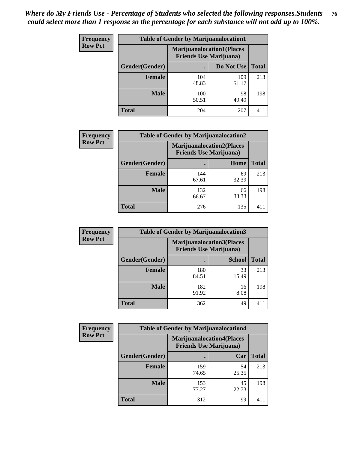| <b>Frequency</b> | <b>Table of Gender by Marijuanalocation1</b> |                                                                    |              |              |
|------------------|----------------------------------------------|--------------------------------------------------------------------|--------------|--------------|
| <b>Row Pct</b>   |                                              | <b>Marijuanalocation1(Places</b><br><b>Friends Use Marijuana</b> ) |              |              |
|                  | Gender(Gender)                               |                                                                    | Do Not Use   | <b>Total</b> |
|                  | <b>Female</b>                                | 104<br>48.83                                                       | 109<br>51.17 | 213          |
|                  | <b>Male</b>                                  | 100<br>50.51                                                       | 98<br>49.49  | 198          |
|                  | <b>Total</b>                                 | 204                                                                | 207          | 411          |

| <b>Frequency</b> | <b>Table of Gender by Marijuanalocation2</b> |                                                                    |             |              |
|------------------|----------------------------------------------|--------------------------------------------------------------------|-------------|--------------|
| <b>Row Pct</b>   |                                              | <b>Marijuanalocation2(Places</b><br><b>Friends Use Marijuana</b> ) |             |              |
|                  | Gender(Gender)                               |                                                                    | Home        | <b>Total</b> |
|                  | Female                                       | 144<br>67.61                                                       | 69<br>32.39 | 213          |
|                  | <b>Male</b>                                  | 132<br>66.67                                                       | 66<br>33.33 | 198          |
|                  | <b>Total</b>                                 | 276                                                                | 135         | 41           |

| Frequency      | <b>Table of Gender by Marijuanalocation3</b> |                                |                                  |              |
|----------------|----------------------------------------------|--------------------------------|----------------------------------|--------------|
| <b>Row Pct</b> |                                              | <b>Friends Use Marijuana</b> ) | <b>Marijuanalocation3(Places</b> |              |
|                | Gender(Gender)                               |                                | <b>School</b>                    | <b>Total</b> |
|                | Female                                       | 180<br>84.51                   | 33<br>15.49                      | 213          |
|                | <b>Male</b>                                  | 182<br>91.92                   | 16<br>8.08                       | 198          |
|                | <b>Total</b>                                 | 362                            | 49                               | 411          |

| Frequency      | <b>Table of Gender by Marijuanalocation4</b> |                                |                                  |              |
|----------------|----------------------------------------------|--------------------------------|----------------------------------|--------------|
| <b>Row Pct</b> |                                              | <b>Friends Use Marijuana</b> ) | <b>Marijuanalocation4(Places</b> |              |
|                | Gender(Gender)                               |                                | Car                              | <b>Total</b> |
|                | <b>Female</b>                                | 159<br>74.65                   | 54<br>25.35                      | 213          |
|                | <b>Male</b>                                  | 153<br>77.27                   | 45<br>22.73                      | 198          |
|                | <b>Total</b>                                 | 312                            | 99                               |              |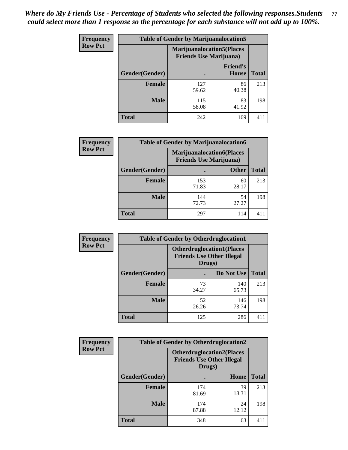| Frequency      | <b>Table of Gender by Marijuanalocation5</b> |                                                                    |                                 |              |
|----------------|----------------------------------------------|--------------------------------------------------------------------|---------------------------------|--------------|
| <b>Row Pct</b> |                                              | <b>Marijuanalocation5(Places</b><br><b>Friends Use Marijuana</b> ) |                                 |              |
|                | Gender(Gender)                               |                                                                    | <b>Friend's</b><br><b>House</b> | <b>Total</b> |
|                | <b>Female</b>                                | 127<br>59.62                                                       | 86<br>40.38                     | 213          |
|                | <b>Male</b>                                  | 115<br>58.08                                                       | 83<br>41.92                     | 198          |
|                | <b>Total</b>                                 | 242                                                                | 169                             | 41.          |

| Frequency      | <b>Table of Gender by Marijuanalocation6</b> |                                |                                  |              |  |
|----------------|----------------------------------------------|--------------------------------|----------------------------------|--------------|--|
| <b>Row Pct</b> |                                              | <b>Friends Use Marijuana</b> ) | <b>Marijuanalocation6(Places</b> |              |  |
|                | Gender(Gender)                               |                                | <b>Other</b>                     | <b>Total</b> |  |
|                | <b>Female</b>                                | 153<br>71.83                   | 60<br>28.17                      | 213          |  |
|                | <b>Male</b>                                  | 144<br>72.73                   | 54<br>27.27                      | 198          |  |
|                | <b>Total</b>                                 | 297                            | 114                              |              |  |

| <b>Frequency</b> | <b>Table of Gender by Otherdruglocation1</b> |                                                                                |              |              |
|------------------|----------------------------------------------|--------------------------------------------------------------------------------|--------------|--------------|
| <b>Row Pct</b>   |                                              | <b>Otherdruglocation1(Places</b><br><b>Friends Use Other Illegal</b><br>Drugs) |              |              |
|                  | Gender(Gender)                               |                                                                                | Do Not Use   | <b>Total</b> |
|                  | Female                                       | 73<br>34.27                                                                    | 140<br>65.73 | 213          |
|                  | <b>Male</b>                                  | 52<br>26.26                                                                    | 146<br>73.74 | 198          |
|                  | <b>Total</b>                                 | 125                                                                            | 286          | 411          |

| Frequency      | <b>Table of Gender by Otherdruglocation2</b> |                                                                                |             |              |
|----------------|----------------------------------------------|--------------------------------------------------------------------------------|-------------|--------------|
| <b>Row Pct</b> |                                              | <b>Otherdruglocation2(Places</b><br><b>Friends Use Other Illegal</b><br>Drugs) |             |              |
|                | Gender(Gender)                               |                                                                                | Home        | <b>Total</b> |
|                | Female                                       | 174<br>81.69                                                                   | 39<br>18.31 | 213          |
|                | <b>Male</b>                                  | 174<br>87.88                                                                   | 24<br>12.12 | 198          |
|                | <b>Total</b>                                 | 348                                                                            | 63          | 411          |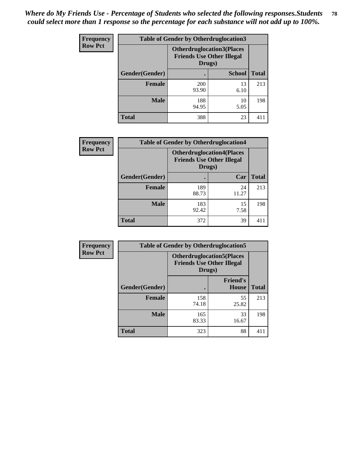| <b>Frequency</b> | <b>Table of Gender by Otherdruglocation3</b> |                                                                                |               |              |
|------------------|----------------------------------------------|--------------------------------------------------------------------------------|---------------|--------------|
| <b>Row Pct</b>   |                                              | <b>Otherdruglocation3(Places</b><br><b>Friends Use Other Illegal</b><br>Drugs) |               |              |
|                  | Gender(Gender)                               |                                                                                | <b>School</b> | <b>Total</b> |
|                  | <b>Female</b>                                | 200<br>93.90                                                                   | 13<br>6.10    | 213          |
|                  | <b>Male</b>                                  | 188<br>94.95                                                                   | 10<br>5.05    | 198          |
|                  | <b>Total</b>                                 | 388                                                                            | 23            | 411          |

| Frequency      | <b>Table of Gender by Otherdruglocation4</b> |                                                                                |             |              |
|----------------|----------------------------------------------|--------------------------------------------------------------------------------|-------------|--------------|
| <b>Row Pct</b> |                                              | <b>Otherdruglocation4(Places</b><br><b>Friends Use Other Illegal</b><br>Drugs) |             |              |
|                | Gender(Gender)                               |                                                                                | Car         | <b>Total</b> |
|                | <b>Female</b>                                | 189<br>88.73                                                                   | 24<br>11.27 | 213          |
|                | <b>Male</b>                                  | 183<br>92.42                                                                   | 15<br>7.58  | 198          |
|                | <b>Total</b>                                 | 372                                                                            | 39          | 411          |

| <b>Frequency</b> | <b>Table of Gender by Otherdruglocation5</b>                                   |              |                                 |              |
|------------------|--------------------------------------------------------------------------------|--------------|---------------------------------|--------------|
| <b>Row Pct</b>   | <b>Otherdruglocation5(Places</b><br><b>Friends Use Other Illegal</b><br>Drugs) |              |                                 |              |
|                  | Gender(Gender)                                                                 |              | <b>Friend's</b><br><b>House</b> | <b>Total</b> |
|                  | <b>Female</b>                                                                  | 158<br>74.18 | 55<br>25.82                     | 213          |
|                  | <b>Male</b>                                                                    | 165<br>83.33 | 33<br>16.67                     | 198          |
|                  | <b>Total</b>                                                                   | 323          | 88                              | 41           |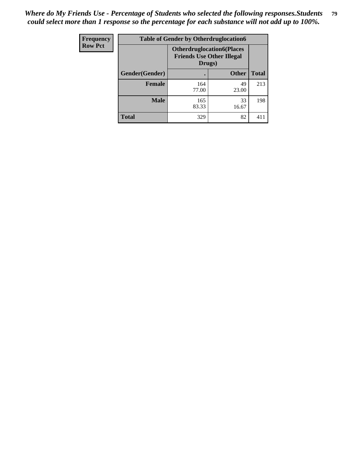| Frequency      | <b>Table of Gender by Otherdruglocation6</b> |                                                                                |              |              |
|----------------|----------------------------------------------|--------------------------------------------------------------------------------|--------------|--------------|
| <b>Row Pct</b> |                                              | <b>Otherdruglocation6(Places</b><br><b>Friends Use Other Illegal</b><br>Drugs) |              |              |
|                | Gender(Gender)                               |                                                                                | <b>Other</b> | <b>Total</b> |
|                | <b>Female</b>                                | 164<br>77.00                                                                   | 49<br>23.00  | 213          |
|                | <b>Male</b>                                  | 165<br>83.33                                                                   | 33<br>16.67  | 198          |
|                | <b>Total</b>                                 | 329                                                                            | 82           | 411          |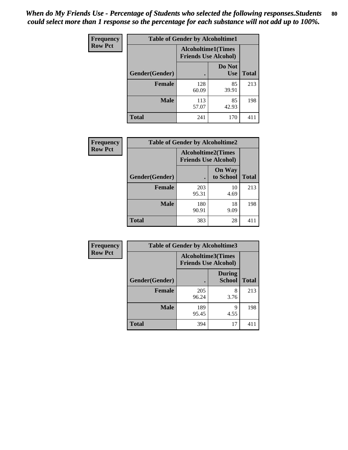| <b>Frequency</b> | <b>Table of Gender by Alcoholtime1</b> |                                                          |                      |              |
|------------------|----------------------------------------|----------------------------------------------------------|----------------------|--------------|
| <b>Row Pct</b>   |                                        | <b>Alcoholtime1(Times</b><br><b>Friends Use Alcohol)</b> |                      |              |
|                  | Gender(Gender)                         | ٠                                                        | Do Not<br><b>Use</b> | <b>Total</b> |
|                  | <b>Female</b>                          | 128<br>60.09                                             | 85<br>39.91          | 213          |
|                  | <b>Male</b>                            | 113<br>57.07                                             | 85<br>42.93          | 198          |
|                  | <b>Total</b>                           | 241                                                      | 170                  | 411          |

| <b>Frequency</b> | <b>Table of Gender by Alcoholtime2</b> |                                                          |                            |              |
|------------------|----------------------------------------|----------------------------------------------------------|----------------------------|--------------|
| <b>Row Pct</b>   |                                        | <b>Alcoholtime2(Times</b><br><b>Friends Use Alcohol)</b> |                            |              |
|                  | Gender(Gender)                         |                                                          | <b>On Way</b><br>to School | <b>Total</b> |
|                  | <b>Female</b>                          | 203<br>95.31                                             | 10<br>4.69                 | 213          |
|                  | <b>Male</b>                            | 180<br>90.91                                             | 18<br>9.09                 | 198          |
|                  | <b>Total</b>                           | 383                                                      | 28                         | 41           |

| <b>Frequency</b> | <b>Table of Gender by Alcoholtime3</b> |                           |                                |              |
|------------------|----------------------------------------|---------------------------|--------------------------------|--------------|
| <b>Row Pct</b>   |                                        | <b>Alcoholtime3(Times</b> | <b>Friends Use Alcohol)</b>    |              |
|                  | Gender(Gender)                         |                           | <b>During</b><br><b>School</b> | <b>Total</b> |
|                  | Female                                 | 205<br>96.24              | 8<br>3.76                      | 213          |
|                  | <b>Male</b>                            | 189<br>95.45              | Q<br>4.55                      | 198          |
|                  | <b>Total</b>                           | 394                       | 17                             | 411          |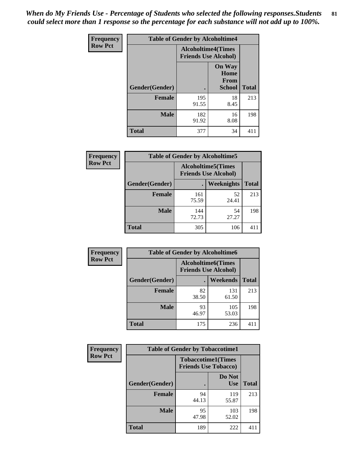*When do My Friends Use - Percentage of Students who selected the following responses.Students could select more than 1 response so the percentage for each substance will not add up to 100%.* **81**

| <b>Frequency</b> | <b>Table of Gender by Alcoholtime4</b> |                           |                                                       |              |
|------------------|----------------------------------------|---------------------------|-------------------------------------------------------|--------------|
| <b>Row Pct</b>   |                                        | <b>Alcoholtime4(Times</b> | <b>Friends Use Alcohol)</b>                           |              |
|                  | Gender(Gender)                         |                           | <b>On Way</b><br>Home<br><b>From</b><br><b>School</b> | <b>Total</b> |
|                  | <b>Female</b>                          | 195<br>91.55              | 18<br>8.45                                            | 213          |
|                  | <b>Male</b>                            | 182<br>91.92              | 16<br>8.08                                            | 198          |
|                  | <b>Total</b>                           | 377                       | 34                                                    | 411          |

| <b>Frequency</b> | <b>Table of Gender by Alcoholtime5</b> |                                                           |             |              |
|------------------|----------------------------------------|-----------------------------------------------------------|-------------|--------------|
| <b>Row Pct</b>   |                                        | <b>Alcoholtime5</b> (Times<br><b>Friends Use Alcohol)</b> |             |              |
|                  | Gender(Gender)                         |                                                           | Weeknights  | <b>Total</b> |
|                  | <b>Female</b>                          | 161<br>75.59                                              | 52<br>24.41 | 213          |
|                  | <b>Male</b>                            | 144<br>72.73                                              | 54<br>27.27 | 198          |
|                  | <b>Total</b>                           | 305                                                       | 106         | 411          |

| <b>Frequency</b> | <b>Table of Gender by Alcoholtime6</b> |             |                                                           |              |
|------------------|----------------------------------------|-------------|-----------------------------------------------------------|--------------|
| <b>Row Pct</b>   |                                        |             | <b>Alcoholtime6</b> (Times<br><b>Friends Use Alcohol)</b> |              |
|                  | Gender(Gender)                         |             | Weekends                                                  | <b>Total</b> |
|                  | Female                                 | 82<br>38.50 | 131<br>61.50                                              | 213          |
|                  | <b>Male</b>                            | 93<br>46.97 | 105<br>53.03                                              | 198          |
|                  | <b>Total</b>                           | 175         | 236                                                       | 411          |

| Frequency      | <b>Table of Gender by Tobaccotime1</b> |                                                          |                      |              |
|----------------|----------------------------------------|----------------------------------------------------------|----------------------|--------------|
| <b>Row Pct</b> |                                        | <b>Tobaccotime1(Times</b><br><b>Friends Use Tobacco)</b> |                      |              |
|                | Gender(Gender)                         |                                                          | Do Not<br><b>Use</b> | <b>Total</b> |
|                | <b>Female</b>                          | 94<br>44.13                                              | 119<br>55.87         | 213          |
|                | <b>Male</b>                            | 95<br>47.98                                              | 103<br>52.02         | 198          |
|                | <b>Total</b>                           | 189                                                      | 222                  | 411          |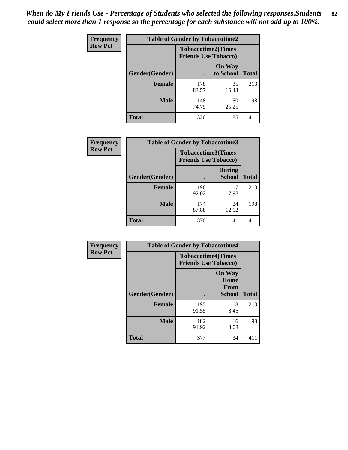| <b>Frequency</b> | <b>Table of Gender by Tobaccotime2</b> |                                                          |                            |              |
|------------------|----------------------------------------|----------------------------------------------------------|----------------------------|--------------|
| <b>Row Pct</b>   |                                        | <b>Tobaccotime2(Times</b><br><b>Friends Use Tobacco)</b> |                            |              |
|                  | Gender(Gender)                         |                                                          | <b>On Way</b><br>to School | <b>Total</b> |
|                  | <b>Female</b>                          | 178<br>83.57                                             | 35<br>16.43                | 213          |
|                  | <b>Male</b>                            | 148<br>74.75                                             | 50<br>25.25                | 198          |
|                  | <b>Total</b>                           | 326                                                      | 85                         | 411          |

| Frequency      | <b>Table of Gender by Tobaccotime3</b> |                                                          |                                |              |
|----------------|----------------------------------------|----------------------------------------------------------|--------------------------------|--------------|
| <b>Row Pct</b> |                                        | <b>Tobaccotime3(Times</b><br><b>Friends Use Tobacco)</b> |                                |              |
|                | Gender(Gender)                         |                                                          | <b>During</b><br><b>School</b> | <b>Total</b> |
|                | Female                                 | 196<br>92.02                                             | 17<br>7.98                     | 213          |
|                | <b>Male</b>                            | 174<br>87.88                                             | 24<br>12.12                    | 198          |
|                | <b>Total</b>                           | 370                                                      | 41                             |              |

| Frequency      | <b>Table of Gender by Tobaccotime4</b> |                                                          |                                                       |              |
|----------------|----------------------------------------|----------------------------------------------------------|-------------------------------------------------------|--------------|
| <b>Row Pct</b> |                                        | <b>Tobaccotime4(Times</b><br><b>Friends Use Tobacco)</b> |                                                       |              |
|                | Gender(Gender)                         |                                                          | <b>On Way</b><br>Home<br><b>From</b><br><b>School</b> | <b>Total</b> |
|                | <b>Female</b>                          | 195<br>91.55                                             | 18<br>8.45                                            | 213          |
|                | <b>Male</b>                            | 182<br>91.92                                             | 16<br>8.08                                            | 198          |
|                | <b>Total</b>                           | 377                                                      | 34                                                    | 411          |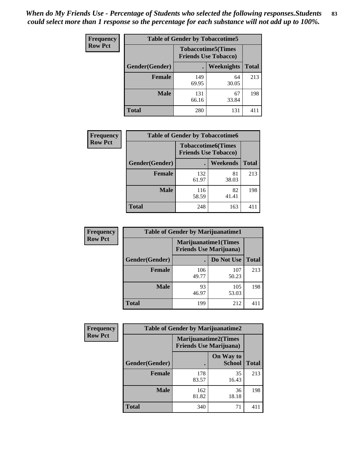| <b>Frequency</b> | <b>Table of Gender by Tobaccotime5</b> |              |                                                          |              |  |
|------------------|----------------------------------------|--------------|----------------------------------------------------------|--------------|--|
| <b>Row Pct</b>   |                                        |              | <b>Tobaccotime5(Times</b><br><b>Friends Use Tobacco)</b> |              |  |
|                  | Gender(Gender)                         |              | Weeknights                                               | <b>Total</b> |  |
|                  | Female                                 | 149<br>69.95 | 64<br>30.05                                              | 213          |  |
|                  | <b>Male</b>                            | 131<br>66.16 | 67<br>33.84                                              | 198          |  |
|                  | <b>Total</b>                           | 280          | 131                                                      | 411          |  |

| Frequency      | <b>Table of Gender by Tobaccotime6</b> |                                                          |             |              |
|----------------|----------------------------------------|----------------------------------------------------------|-------------|--------------|
| <b>Row Pct</b> |                                        | <b>Tobaccotime6(Times</b><br><b>Friends Use Tobacco)</b> |             |              |
|                | Gender(Gender)                         |                                                          | Weekends    | <b>Total</b> |
|                | Female                                 | 132<br>61.97                                             | 81<br>38.03 | 213          |
|                | <b>Male</b>                            | 116<br>58.59                                             | 82<br>41.41 | 198          |
|                | <b>Total</b>                           | 248                                                      | 163         |              |

| <b>Frequency</b> |                | <b>Table of Gender by Marijuanatime1</b>                      |              |              |  |
|------------------|----------------|---------------------------------------------------------------|--------------|--------------|--|
| <b>Row Pct</b>   |                | <b>Marijuanatime1(Times</b><br><b>Friends Use Marijuana</b> ) |              |              |  |
|                  | Gender(Gender) |                                                               | Do Not Use   | <b>Total</b> |  |
|                  | <b>Female</b>  | 106<br>49.77                                                  | 107<br>50.23 | 213          |  |
|                  | <b>Male</b>    | 93<br>46.97                                                   | 105<br>53.03 | 198          |  |
|                  | <b>Total</b>   | 199                                                           | 212          | 411          |  |

| <b>Frequency</b> | <b>Table of Gender by Marijuanatime2</b> |                                                               |                            |              |
|------------------|------------------------------------------|---------------------------------------------------------------|----------------------------|--------------|
| <b>Row Pct</b>   |                                          | <b>Marijuanatime2(Times</b><br><b>Friends Use Marijuana</b> ) |                            |              |
|                  | Gender(Gender)                           |                                                               | On Way to<br><b>School</b> | <b>Total</b> |
|                  | Female                                   | 178<br>83.57                                                  | 35<br>16.43                | 213          |
|                  | <b>Male</b>                              | 162<br>81.82                                                  | 36<br>18.18                | 198          |
|                  | <b>Total</b>                             | 340                                                           | 71                         | 411          |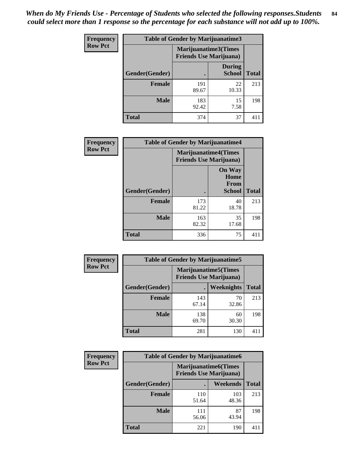| Frequency      | <b>Table of Gender by Marijuanatime3</b> |                                                        |                                |              |
|----------------|------------------------------------------|--------------------------------------------------------|--------------------------------|--------------|
| <b>Row Pct</b> |                                          | Marijuanatime3(Times<br><b>Friends Use Marijuana</b> ) |                                |              |
|                | Gender(Gender)                           |                                                        | <b>During</b><br><b>School</b> | <b>Total</b> |
|                | <b>Female</b>                            | 191<br>89.67                                           | 22<br>10.33                    | 213          |
|                | <b>Male</b>                              | 183<br>92.42                                           | 15<br>7.58                     | 198          |
|                | <b>Total</b>                             | 374                                                    | 37                             | 411          |

| <b>Frequency</b> | <b>Table of Gender by Marijuanatime4</b> |              |                                                               |              |
|------------------|------------------------------------------|--------------|---------------------------------------------------------------|--------------|
| <b>Row Pct</b>   |                                          |              | <b>Marijuanatime4(Times</b><br><b>Friends Use Marijuana</b> ) |              |
|                  |                                          |              | <b>On Way</b><br>Home<br>From                                 |              |
|                  | Gender(Gender)                           |              | School                                                        | <b>Total</b> |
|                  | <b>Female</b>                            | 173<br>81.22 | 40<br>18.78                                                   | 213          |
|                  | <b>Male</b>                              | 163<br>82.32 | 35<br>17.68                                                   | 198          |
|                  | <b>Total</b>                             | 336          | 75                                                            | 411          |

| Frequency      | <b>Table of Gender by Marijuanatime5</b> |              |                                                                |              |
|----------------|------------------------------------------|--------------|----------------------------------------------------------------|--------------|
| <b>Row Pct</b> |                                          |              | <b>Marijuanatime5</b> (Times<br><b>Friends Use Marijuana</b> ) |              |
|                | Gender(Gender)                           | ٠            | Weeknights                                                     | <b>Total</b> |
|                | <b>Female</b>                            | 143<br>67.14 | 70<br>32.86                                                    | 213          |
|                | <b>Male</b>                              | 138<br>69.70 | 60<br>30.30                                                    | 198          |
|                | <b>Total</b>                             | 281          | 130                                                            | 411          |

| Frequency      |                | <b>Table of Gender by Marijuanatime6</b>                      |                 |              |
|----------------|----------------|---------------------------------------------------------------|-----------------|--------------|
| <b>Row Pct</b> |                | <b>Marijuanatime6(Times</b><br><b>Friends Use Marijuana</b> ) |                 |              |
|                | Gender(Gender) |                                                               | <b>Weekends</b> | <b>Total</b> |
|                | <b>Female</b>  | 110<br>51.64                                                  | 103<br>48.36    | 213          |
|                | <b>Male</b>    | 111<br>56.06                                                  | 87<br>43.94     | 198          |
|                | <b>Total</b>   | 221                                                           | 190             | 411          |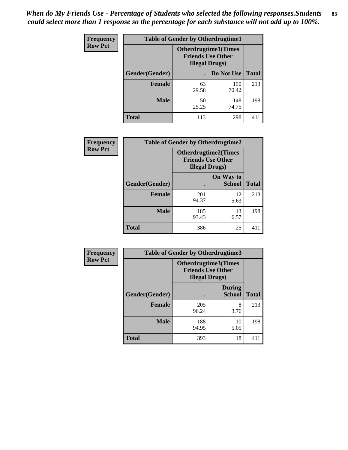*When do My Friends Use - Percentage of Students who selected the following responses.Students could select more than 1 response so the percentage for each substance will not add up to 100%.* **85**

| <b>Frequency</b> | <b>Table of Gender by Otherdrugtime1</b> |                                                    |                              |     |  |
|------------------|------------------------------------------|----------------------------------------------------|------------------------------|-----|--|
| <b>Row Pct</b>   |                                          | <b>Friends Use Other</b><br><b>Illegal Drugs</b> ) | <b>Otherdrugtime1</b> (Times |     |  |
|                  | Gender(Gender)                           |                                                    | Do Not Use   Total           |     |  |
|                  | <b>Female</b>                            | 63<br>29.58                                        | 150<br>70.42                 | 213 |  |
|                  | <b>Male</b>                              | 50<br>25.25                                        | 148<br>74.75                 | 198 |  |
|                  | <b>Total</b>                             | 113                                                | 298                          | 411 |  |

| Frequency      | <b>Table of Gender by Otherdrugtime2</b> |                                                                                   |                            |              |
|----------------|------------------------------------------|-----------------------------------------------------------------------------------|----------------------------|--------------|
| <b>Row Pct</b> |                                          | <b>Otherdrugtime2(Times</b><br><b>Friends Use Other</b><br><b>Illegal Drugs</b> ) |                            |              |
|                | Gender(Gender)                           |                                                                                   | On Way to<br><b>School</b> | <b>Total</b> |
|                | <b>Female</b>                            | 201<br>94.37                                                                      | 12<br>5.63                 | 213          |
|                | <b>Male</b>                              | 185<br>93.43                                                                      | 13<br>6.57                 | 198          |
|                | <b>Total</b>                             | 386                                                                               | 25                         |              |

| Frequency      | <b>Table of Gender by Otherdrugtime3</b> |                        |                                                         |              |
|----------------|------------------------------------------|------------------------|---------------------------------------------------------|--------------|
| <b>Row Pct</b> |                                          | <b>Illegal Drugs</b> ) | <b>Otherdrugtime3(Times</b><br><b>Friends Use Other</b> |              |
|                | Gender(Gender)                           |                        | <b>During</b><br><b>School</b>                          | <b>Total</b> |
|                | <b>Female</b>                            | 205<br>96.24           | 8<br>3.76                                               | 213          |
|                | <b>Male</b>                              | 188<br>94.95           | 10<br>5.05                                              | 198          |
|                | <b>Total</b>                             | 393                    | 18                                                      | 411          |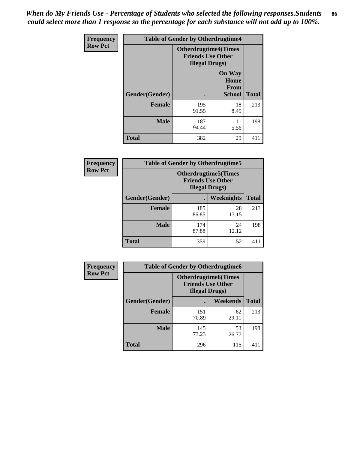*When do My Friends Use - Percentage of Students who selected the following responses.Students could select more than 1 response so the percentage for each substance will not add up to 100%.* **86**

| <b>Frequency</b> | <b>Table of Gender by Otherdrugtime4</b> |                                                    |                                         |              |
|------------------|------------------------------------------|----------------------------------------------------|-----------------------------------------|--------------|
| <b>Row Pct</b>   |                                          | <b>Friends Use Other</b><br><b>Illegal Drugs</b> ) | <b>Otherdrugtime4(Times</b>             |              |
|                  | Gender(Gender)                           |                                                    | <b>On Way</b><br>Home<br>From<br>School | <b>Total</b> |
|                  | <b>Female</b>                            | 195<br>91.55                                       | 18<br>8.45                              | 213          |
|                  | <b>Male</b>                              | 187<br>94.44                                       | 11<br>5.56                              | 198          |
|                  | <b>Total</b>                             | 382                                                | 29                                      |              |

| Frequency      | <b>Table of Gender by Otherdrugtime5</b> |                                                                                    |             |              |
|----------------|------------------------------------------|------------------------------------------------------------------------------------|-------------|--------------|
| <b>Row Pct</b> |                                          | <b>Otherdrugtime5</b> (Times<br><b>Friends Use Other</b><br><b>Illegal Drugs</b> ) |             |              |
|                | Gender(Gender)                           |                                                                                    | Weeknights  | <b>Total</b> |
|                | <b>Female</b>                            | 185<br>86.85                                                                       | 28<br>13.15 | 213          |
|                | <b>Male</b>                              | 174<br>87.88                                                                       | 24<br>12.12 | 198          |
|                | <b>Total</b>                             | 359                                                                                | 52          | 411          |

| <b>Frequency</b> | <b>Table of Gender by Otherdrugtime6</b> |                                                                                   |             |              |
|------------------|------------------------------------------|-----------------------------------------------------------------------------------|-------------|--------------|
| <b>Row Pct</b>   |                                          | <b>Otherdrugtime6(Times</b><br><b>Friends Use Other</b><br><b>Illegal Drugs</b> ) |             |              |
|                  | Gender(Gender)                           |                                                                                   | Weekends    | <b>Total</b> |
|                  | <b>Female</b>                            | 151<br>70.89                                                                      | 62<br>29.11 | 213          |
|                  | <b>Male</b>                              | 145<br>73.23                                                                      | 53<br>26.77 | 198          |
|                  | <b>Total</b>                             | 296                                                                               | 115         | 411          |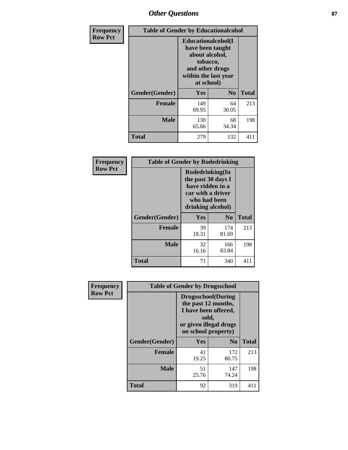# *Other Questions* **87**

| <b>Frequency</b> | <b>Table of Gender by Educationalcohol</b> |                                                                                                                               |                |              |  |
|------------------|--------------------------------------------|-------------------------------------------------------------------------------------------------------------------------------|----------------|--------------|--|
| <b>Row Pct</b>   |                                            | Educationalcohol(I<br>have been taught<br>about alcohol,<br>tobacco,<br>and other drugs<br>within the last year<br>at school) |                |              |  |
|                  | Gender(Gender)                             | <b>Yes</b>                                                                                                                    | N <sub>0</sub> | <b>Total</b> |  |
|                  | <b>Female</b>                              | 149<br>69.95                                                                                                                  | 64<br>30.05    | 213          |  |
|                  | <b>Male</b>                                | 130<br>65.66                                                                                                                  | 68<br>34.34    | 198          |  |
|                  | <b>Total</b>                               | 279                                                                                                                           | 132            | 411          |  |

| Frequency      | <b>Table of Gender by Rodedrinking</b> |                                                                                                                     |                |              |  |
|----------------|----------------------------------------|---------------------------------------------------------------------------------------------------------------------|----------------|--------------|--|
| <b>Row Pct</b> |                                        | Rodedrinking(In<br>the past 30 days I<br>have ridden in a<br>car with a driver<br>who had been<br>drinking alcohol) |                |              |  |
|                | Gender(Gender)                         | Yes                                                                                                                 | N <sub>0</sub> | <b>Total</b> |  |
|                | <b>Female</b>                          | 39<br>18.31                                                                                                         | 174<br>81.69   | 213          |  |
|                | <b>Male</b>                            | 32<br>16.16                                                                                                         | 166<br>83.84   | 198          |  |
|                | <b>Total</b>                           | 71                                                                                                                  | 340            | 411          |  |

| Frequency      | <b>Table of Gender by Drugsschool</b> |                                                                                                                                     |                |              |  |
|----------------|---------------------------------------|-------------------------------------------------------------------------------------------------------------------------------------|----------------|--------------|--|
| <b>Row Pct</b> |                                       | <b>Drugsschool</b> (During<br>the past 12 months,<br>I have been offered,<br>sold,<br>or given illegal drugs<br>on school property) |                |              |  |
|                | Gender(Gender)                        | Yes                                                                                                                                 | N <sub>0</sub> | <b>Total</b> |  |
|                | <b>Female</b>                         | 41<br>19.25                                                                                                                         | 172<br>80.75   | 213          |  |
|                | <b>Male</b>                           | 51<br>25.76                                                                                                                         | 147<br>74.24   | 198          |  |
|                | <b>Total</b>                          | 92                                                                                                                                  | 319            | 411          |  |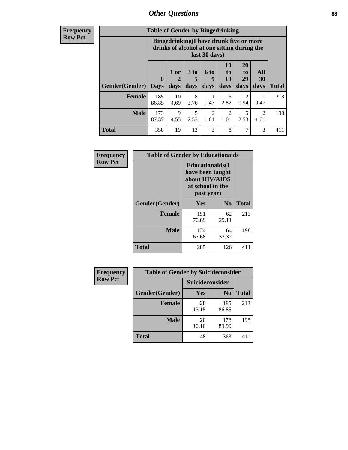## *Other Questions* **88**

**Frequency Row Pct**

| <b>Table of Gender by Bingedrinking</b> |                         |                                                                                                         |                   |                   |                        |                               |                   |              |
|-----------------------------------------|-------------------------|---------------------------------------------------------------------------------------------------------|-------------------|-------------------|------------------------|-------------------------------|-------------------|--------------|
|                                         |                         | Bingedrinking(I have drunk five or more<br>drinks of alcohol at one sitting during the<br>last 30 days) |                   |                   |                        |                               |                   |              |
| <b>Gender</b> (Gender)                  | $\bf{0}$<br><b>Days</b> | $1$ or<br>days                                                                                          | 3 to<br>5<br>days | 6 to<br>9<br>days | 10<br>to<br>19<br>days | <b>20</b><br>to<br>29<br>days | All<br>30<br>days | <b>Total</b> |
| <b>Female</b>                           | 185<br>86.85            | 10<br>4.69                                                                                              | 8<br>3.76         | 0.47              | 6<br>2.82              | 2<br>0.94                     | 0.47              | 213          |
| <b>Male</b>                             | 173                     | 9                                                                                                       | 5                 | $\mathfrak{D}$    | 2                      | 5                             | $\mathcal{D}$     | 198          |
|                                         | 87.37                   | 4.55                                                                                                    | 2.53              | 1.01              | 1.01                   | 2.53                          | 1.01              |              |

| Frequency      | <b>Table of Gender by Educationaids</b> |                                                                                                 |             |              |  |  |
|----------------|-----------------------------------------|-------------------------------------------------------------------------------------------------|-------------|--------------|--|--|
| <b>Row Pct</b> |                                         | <b>Educationaids</b> (I<br>have been taught<br>about HIV/AIDS<br>at school in the<br>past year) |             |              |  |  |
|                | Gender(Gender)                          | Yes                                                                                             | $\bf No$    | <b>Total</b> |  |  |
|                | <b>Female</b>                           | 151<br>70.89                                                                                    | 62<br>29.11 | 213          |  |  |
|                | <b>Male</b>                             | 134<br>67.68                                                                                    | 64<br>32.32 | 198          |  |  |
|                | <b>Total</b>                            | 285                                                                                             | 126         | 411          |  |  |

| Frequency      | <b>Table of Gender by Suicideconsider</b> |                 |                |       |  |
|----------------|-------------------------------------------|-----------------|----------------|-------|--|
| <b>Row Pct</b> |                                           | Suicideconsider |                |       |  |
|                | Gender(Gender)                            | Yes             | N <sub>0</sub> | Total |  |
|                | <b>Female</b>                             | 28<br>13.15     | 185<br>86.85   | 213   |  |
|                | <b>Male</b>                               | 20<br>10.10     | 178<br>89.90   | 198   |  |
|                | <b>Total</b>                              | 48              | 363            | 411   |  |